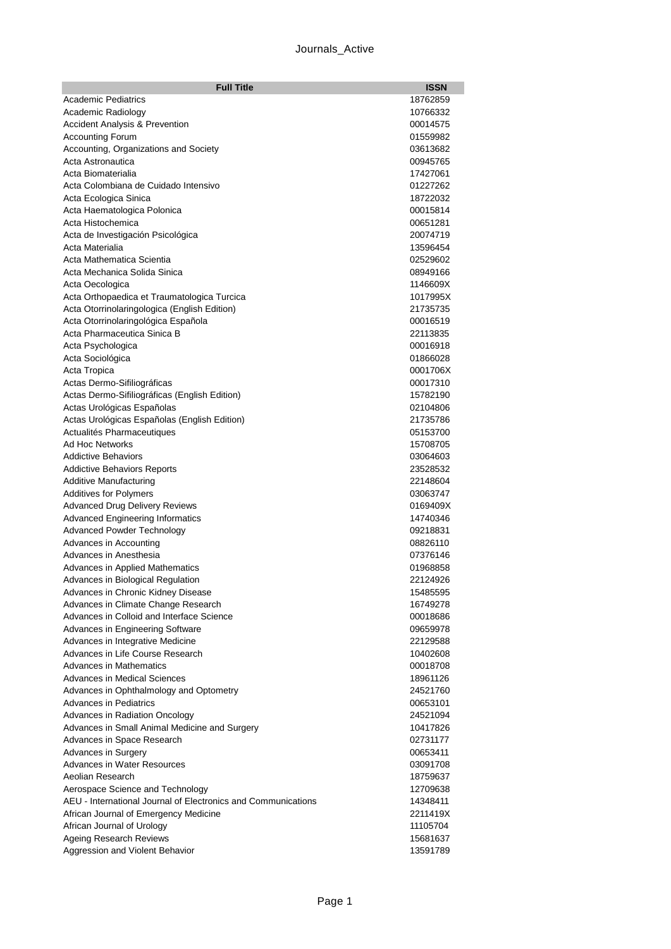## Journals\_Active

| <b>Full Title</b>                                                           | <b>ISSN</b>          |
|-----------------------------------------------------------------------------|----------------------|
| <b>Academic Pediatrics</b>                                                  | 18762859             |
| Academic Radiology                                                          | 10766332             |
| <b>Accident Analysis &amp; Prevention</b>                                   | 00014575             |
| <b>Accounting Forum</b>                                                     | 01559982             |
| Accounting, Organizations and Society                                       | 03613682             |
| Acta Astronautica                                                           | 00945765             |
| Acta Biomaterialia                                                          | 17427061             |
| Acta Colombiana de Cuidado Intensivo                                        | 01227262             |
| Acta Ecologica Sinica                                                       | 18722032<br>00015814 |
| Acta Haematologica Polonica<br>Acta Histochemica                            | 00651281             |
| Acta de Investigación Psicológica                                           | 20074719             |
| Acta Materialia                                                             | 13596454             |
| Acta Mathematica Scientia                                                   | 02529602             |
| Acta Mechanica Solida Sinica                                                | 08949166             |
| Acta Oecologica                                                             | 1146609X             |
| Acta Orthopaedica et Traumatologica Turcica                                 | 1017995X             |
| Acta Otorrinolaringologica (English Edition)                                | 21735735             |
| Acta Otorrinolaringológica Española                                         | 00016519             |
| Acta Pharmaceutica Sinica B                                                 | 22113835             |
| Acta Psychologica                                                           | 00016918             |
| Acta Sociológica                                                            | 01866028             |
| Acta Tropica                                                                | 0001706X             |
| Actas Dermo-Sifiliográficas                                                 | 00017310             |
| Actas Dermo-Sifiliográficas (English Edition)                               | 15782190             |
| Actas Urológicas Españolas                                                  | 02104806             |
| Actas Urológicas Españolas (English Edition)                                | 21735786             |
| Actualités Pharmaceutiques                                                  | 05153700             |
| Ad Hoc Networks                                                             | 15708705             |
| <b>Addictive Behaviors</b>                                                  | 03064603             |
| <b>Addictive Behaviors Reports</b>                                          | 23528532             |
| <b>Additive Manufacturing</b>                                               | 22148604             |
| <b>Additives for Polymers</b><br><b>Advanced Drug Delivery Reviews</b>      | 03063747<br>0169409X |
| <b>Advanced Engineering Informatics</b>                                     | 14740346             |
| <b>Advanced Powder Technology</b>                                           | 09218831             |
| Advances in Accounting                                                      | 08826110             |
| Advances in Anesthesia                                                      | 07376146             |
| Advances in Applied Mathematics                                             | 01968858             |
| Advances in Biological Regulation                                           | 22124926             |
| Advances in Chronic Kidney Disease                                          | 15485595             |
| Advances in Climate Change Research                                         | 16749278             |
| Advances in Colloid and Interface Science                                   | 00018686             |
| Advances in Engineering Software                                            | 09659978             |
| Advances in Integrative Medicine                                            | 22129588             |
| Advances in Life Course Research                                            | 10402608             |
| Advances in Mathematics                                                     | 00018708             |
| <b>Advances in Medical Sciences</b>                                         | 18961126             |
| Advances in Ophthalmology and Optometry                                     | 24521760             |
| <b>Advances in Pediatrics</b>                                               | 00653101             |
| Advances in Radiation Oncology                                              | 24521094             |
| Advances in Small Animal Medicine and Surgery<br>Advances in Space Research | 10417826<br>02731177 |
| Advances in Surgery                                                         | 00653411             |
| Advances in Water Resources                                                 | 03091708             |
| Aeolian Research                                                            | 18759637             |
| Aerospace Science and Technology                                            | 12709638             |
| AEU - International Journal of Electronics and Communications               | 14348411             |
| African Journal of Emergency Medicine                                       | 2211419X             |
| African Journal of Urology                                                  | 11105704             |
| Ageing Research Reviews                                                     | 15681637             |
| Aggression and Violent Behavior                                             | 13591789             |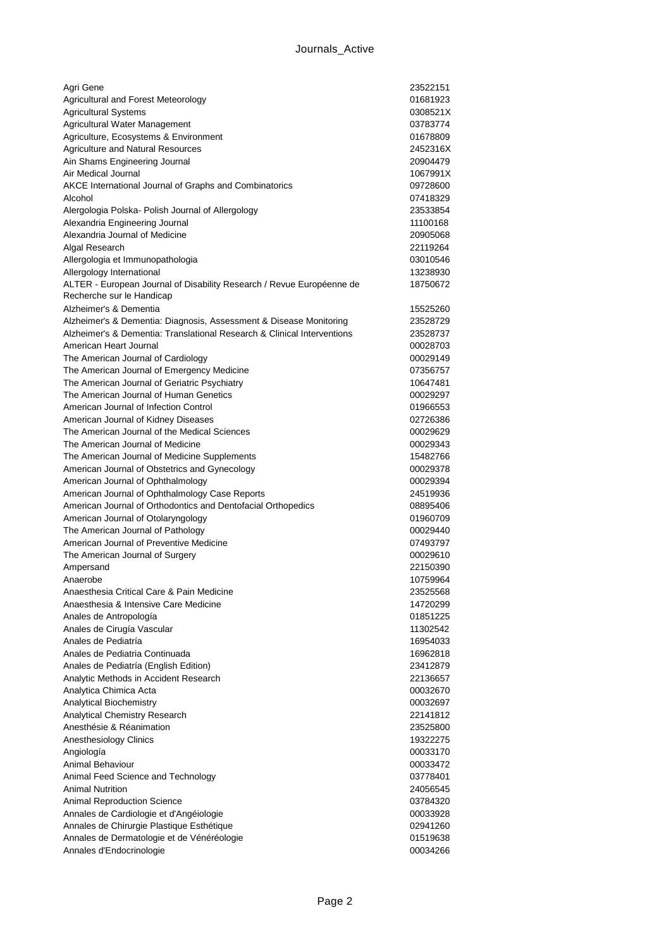| Agri Gene                                                                          | 23522151             |
|------------------------------------------------------------------------------------|----------------------|
| Agricultural and Forest Meteorology                                                | 01681923             |
| <b>Agricultural Systems</b>                                                        | 0308521X             |
| Agricultural Water Management                                                      | 03783774             |
| Agriculture, Ecosystems & Environment                                              | 01678809             |
| <b>Agriculture and Natural Resources</b>                                           | 2452316X             |
| Ain Shams Engineering Journal                                                      | 20904479             |
| Air Medical Journal                                                                | 1067991X             |
| AKCE International Journal of Graphs and Combinatorics                             | 09728600             |
| Alcohol                                                                            | 07418329             |
| Alergologia Polska- Polish Journal of Allergology                                  | 23533854             |
| Alexandria Engineering Journal                                                     | 11100168             |
| Alexandria Journal of Medicine                                                     | 20905068             |
| Algal Research                                                                     | 22119264<br>03010546 |
| Allergologia et Immunopathologia<br>Allergology International                      | 13238930             |
| ALTER - European Journal of Disability Research / Revue Européenne de              | 18750672             |
| Recherche sur le Handicap                                                          |                      |
| Alzheimer's & Dementia                                                             | 15525260             |
| Alzheimer's & Dementia: Diagnosis, Assessment & Disease Monitoring                 | 23528729             |
| Alzheimer's & Dementia: Translational Research & Clinical Interventions            | 23528737             |
| American Heart Journal                                                             | 00028703             |
| The American Journal of Cardiology                                                 | 00029149             |
| The American Journal of Emergency Medicine                                         | 07356757             |
| The American Journal of Geriatric Psychiatry                                       | 10647481             |
| The American Journal of Human Genetics                                             | 00029297             |
| American Journal of Infection Control                                              | 01966553             |
| American Journal of Kidney Diseases                                                | 02726386             |
| The American Journal of the Medical Sciences                                       | 00029629             |
| The American Journal of Medicine                                                   | 00029343             |
| The American Journal of Medicine Supplements                                       | 15482766             |
| American Journal of Obstetrics and Gynecology                                      | 00029378             |
| American Journal of Ophthalmology                                                  | 00029394             |
| American Journal of Ophthalmology Case Reports                                     | 24519936             |
| American Journal of Orthodontics and Dentofacial Orthopedics                       | 08895406             |
| American Journal of Otolaryngology                                                 | 01960709             |
| The American Journal of Pathology                                                  | 00029440             |
| American Journal of Preventive Medicine                                            | 07493797             |
| The American Journal of Surgery                                                    | 00029610             |
| Ampersand                                                                          | 22150390             |
| Anaerobe                                                                           | 10759964             |
| Anaesthesia Critical Care & Pain Medicine<br>Anaesthesia & Intensive Care Medicine | 23525568             |
| Anales de Antropología                                                             | 14720299<br>01851225 |
| Anales de Cirugía Vascular                                                         | 11302542             |
| Anales de Pediatría                                                                | 16954033             |
| Anales de Pediatria Continuada                                                     | 16962818             |
| Anales de Pediatría (English Edition)                                              | 23412879             |
| Analytic Methods in Accident Research                                              | 22136657             |
| Analytica Chimica Acta                                                             | 00032670             |
| Analytical Biochemistry                                                            | 00032697             |
| Analytical Chemistry Research                                                      | 22141812             |
| Anesthésie & Réanimation                                                           | 23525800             |
| Anesthesiology Clinics                                                             | 19322275             |
| Angiología                                                                         | 00033170             |
| Animal Behaviour                                                                   | 00033472             |
| Animal Feed Science and Technology                                                 | 03778401             |
| <b>Animal Nutrition</b>                                                            | 24056545             |
| Animal Reproduction Science                                                        | 03784320             |
| Annales de Cardiologie et d'Angéiologie                                            | 00033928             |
| Annales de Chirurgie Plastique Esthétique                                          | 02941260             |
| Annales de Dermatologie et de Vénéréologie                                         | 01519638             |
| Annales d'Endocrinologie                                                           | 00034266             |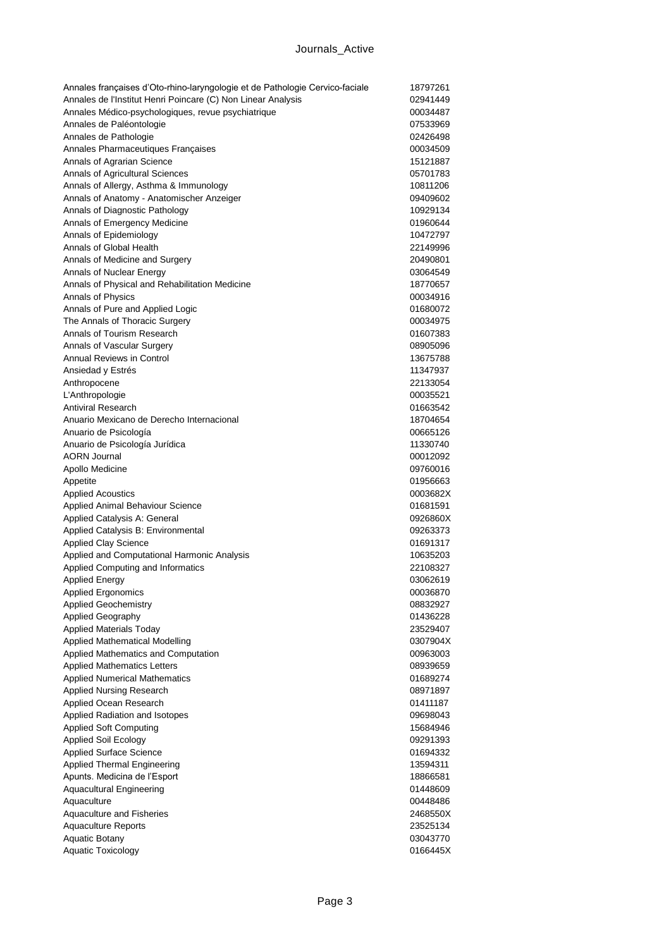| Annales françaises d'Oto-rhino-laryngologie et de Pathologie Cervico-faciale | 18797261 |
|------------------------------------------------------------------------------|----------|
| Annales de l'Institut Henri Poincare (C) Non Linear Analysis                 | 02941449 |
| Annales Médico-psychologiques, revue psychiatrique                           | 00034487 |
| Annales de Paléontologie                                                     | 07533969 |
| Annales de Pathologie                                                        | 02426498 |
| Annales Pharmaceutiques Françaises                                           | 00034509 |
| Annals of Agrarian Science                                                   | 15121887 |
| Annals of Agricultural Sciences                                              | 05701783 |
| Annals of Allergy, Asthma & Immunology                                       | 10811206 |
| Annals of Anatomy - Anatomischer Anzeiger                                    | 09409602 |
| Annals of Diagnostic Pathology                                               | 10929134 |
| Annals of Emergency Medicine                                                 | 01960644 |
| Annals of Epidemiology                                                       | 10472797 |
| Annals of Global Health                                                      | 22149996 |
| Annals of Medicine and Surgery                                               | 20490801 |
| Annals of Nuclear Energy                                                     | 03064549 |
| Annals of Physical and Rehabilitation Medicine                               | 18770657 |
| Annals of Physics                                                            | 00034916 |
| Annals of Pure and Applied Logic                                             | 01680072 |
| The Annals of Thoracic Surgery                                               | 00034975 |
| Annals of Tourism Research                                                   | 01607383 |
| Annals of Vascular Surgery                                                   | 08905096 |
| <b>Annual Reviews in Control</b>                                             | 13675788 |
| Ansiedad y Estrés                                                            | 11347937 |
| Anthropocene                                                                 | 22133054 |
| L'Anthropologie                                                              | 00035521 |
| <b>Antiviral Research</b>                                                    | 01663542 |
| Anuario Mexicano de Derecho Internacional                                    | 18704654 |
| Anuario de Psicología                                                        | 00665126 |
| Anuario de Psicología Jurídica                                               | 11330740 |
| <b>AORN Journal</b>                                                          | 00012092 |
| Apollo Medicine                                                              | 09760016 |
| Appetite                                                                     | 01956663 |
| <b>Applied Acoustics</b>                                                     | 0003682X |
| Applied Animal Behaviour Science                                             | 01681591 |
| Applied Catalysis A: General                                                 | 0926860X |
| Applied Catalysis B: Environmental                                           | 09263373 |
| <b>Applied Clay Science</b>                                                  | 01691317 |
| Applied and Computational Harmonic Analysis                                  | 10635203 |
| Applied Computing and Informatics                                            | 22108327 |
| <b>Applied Energy</b>                                                        | 03062619 |
| <b>Applied Ergonomics</b>                                                    | 00036870 |
| <b>Applied Geochemistry</b>                                                  | 08832927 |
| Applied Geography                                                            | 01436228 |
| <b>Applied Materials Today</b>                                               | 23529407 |
| Applied Mathematical Modelling                                               | 0307904X |
| Applied Mathematics and Computation                                          | 00963003 |
| <b>Applied Mathematics Letters</b>                                           | 08939659 |
| <b>Applied Numerical Mathematics</b>                                         | 01689274 |
| <b>Applied Nursing Research</b>                                              | 08971897 |
| Applied Ocean Research                                                       | 01411187 |
| Applied Radiation and Isotopes                                               | 09698043 |
| <b>Applied Soft Computing</b>                                                | 15684946 |
| <b>Applied Soil Ecology</b>                                                  | 09291393 |
| <b>Applied Surface Science</b>                                               | 01694332 |
| <b>Applied Thermal Engineering</b>                                           | 13594311 |
| Apunts. Medicina de l'Esport                                                 | 18866581 |
| <b>Aquacultural Engineering</b>                                              | 01448609 |
| Aquaculture                                                                  | 00448486 |
| Aquaculture and Fisheries                                                    | 2468550X |
| <b>Aquaculture Reports</b>                                                   | 23525134 |
| Aquatic Botany                                                               | 03043770 |
| Aquatic Toxicology                                                           | 0166445X |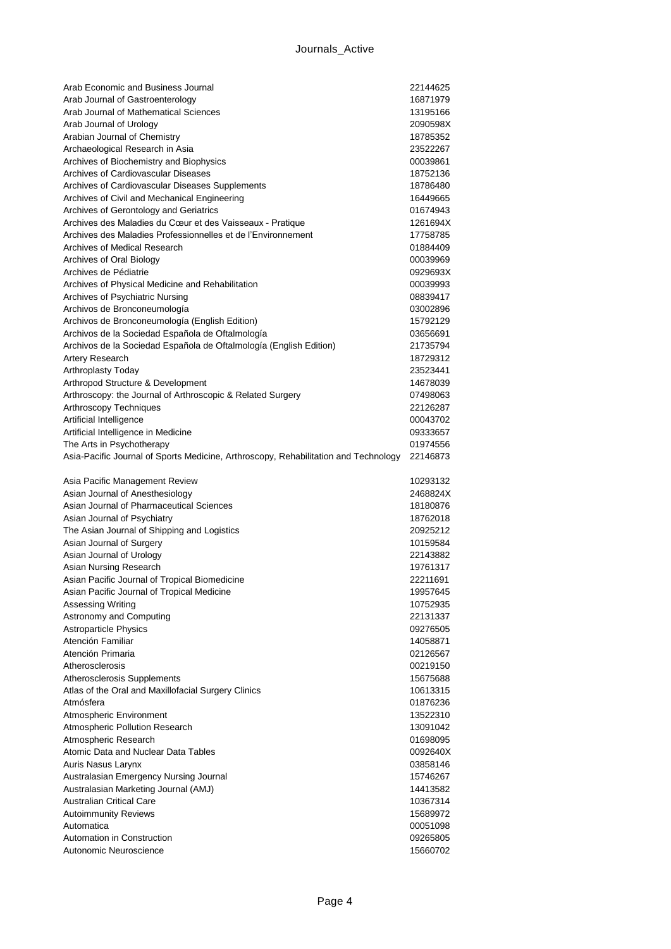| Arab Economic and Business Journal                                                  | 22144625             |
|-------------------------------------------------------------------------------------|----------------------|
| Arab Journal of Gastroenterology                                                    | 16871979             |
| Arab Journal of Mathematical Sciences                                               | 13195166             |
| Arab Journal of Urology                                                             | 2090598X             |
| Arabian Journal of Chemistry                                                        | 18785352             |
| Archaeological Research in Asia                                                     | 23522267             |
| Archives of Biochemistry and Biophysics                                             | 00039861             |
| Archives of Cardiovascular Diseases                                                 | 18752136             |
| Archives of Cardiovascular Diseases Supplements                                     | 18786480             |
| Archives of Civil and Mechanical Engineering                                        | 16449665             |
| Archives of Gerontology and Geriatrics                                              | 01674943             |
| Archives des Maladies du Cœur et des Vaisseaux - Pratique                           | 1261694X             |
| Archives des Maladies Professionnelles et de l'Environnement                        | 17758785             |
| Archives of Medical Research                                                        | 01884409             |
| Archives of Oral Biology                                                            | 00039969             |
| Archives de Pédiatrie                                                               | 0929693X             |
| Archives of Physical Medicine and Rehabilitation                                    | 00039993             |
| Archives of Psychiatric Nursing                                                     | 08839417             |
| Archivos de Bronconeumología                                                        | 03002896             |
| Archivos de Bronconeumología (English Edition)                                      | 15792129             |
| Archivos de la Sociedad Española de Oftalmología                                    | 03656691             |
| Archivos de la Sociedad Española de Oftalmología (English Edition)                  | 21735794             |
| <b>Artery Research</b>                                                              | 18729312             |
| Arthroplasty Today                                                                  | 23523441             |
| Arthropod Structure & Development                                                   | 14678039             |
| Arthroscopy: the Journal of Arthroscopic & Related Surgery                          | 07498063             |
| Arthroscopy Techniques                                                              | 22126287             |
| Artificial Intelligence                                                             | 00043702             |
| Artificial Intelligence in Medicine                                                 | 09333657             |
| The Arts in Psychotherapy                                                           | 01974556             |
| Asia-Pacific Journal of Sports Medicine, Arthroscopy, Rehabilitation and Technology | 22146873             |
|                                                                                     |                      |
|                                                                                     |                      |
| Asia Pacific Management Review                                                      | 10293132             |
| Asian Journal of Anesthesiology                                                     | 2468824X             |
| Asian Journal of Pharmaceutical Sciences                                            | 18180876             |
| Asian Journal of Psychiatry                                                         | 18762018             |
| The Asian Journal of Shipping and Logistics                                         | 20925212             |
| Asian Journal of Surgery                                                            | 10159584             |
| Asian Journal of Urology                                                            | 22143882             |
| Asian Nursing Research                                                              | 19761317             |
| Asian Pacific Journal of Tropical Biomedicine                                       | 22211691             |
| Asian Pacific Journal of Tropical Medicine                                          | 19957645             |
| Assessing Writing                                                                   | 10752935             |
| Astronomy and Computing                                                             | 22131337             |
| <b>Astroparticle Physics</b>                                                        | 09276505             |
| Atención Familiar                                                                   | 14058871             |
| Atención Primaria                                                                   | 02126567             |
| Atherosclerosis                                                                     | 00219150             |
| Atherosclerosis Supplements                                                         | 15675688             |
| Atlas of the Oral and Maxillofacial Surgery Clinics                                 | 10613315             |
| Atmósfera                                                                           | 01876236             |
| Atmospheric Environment                                                             | 13522310             |
| Atmospheric Pollution Research                                                      | 13091042             |
| Atmospheric Research                                                                | 01698095             |
| Atomic Data and Nuclear Data Tables                                                 | 0092640X             |
| Auris Nasus Larynx                                                                  | 03858146             |
| Australasian Emergency Nursing Journal                                              | 15746267             |
| Australasian Marketing Journal (AMJ)                                                | 14413582             |
| <b>Australian Critical Care</b>                                                     | 10367314             |
| <b>Autoimmunity Reviews</b><br>Automatica                                           | 15689972             |
| Automation in Construction                                                          | 00051098<br>09265805 |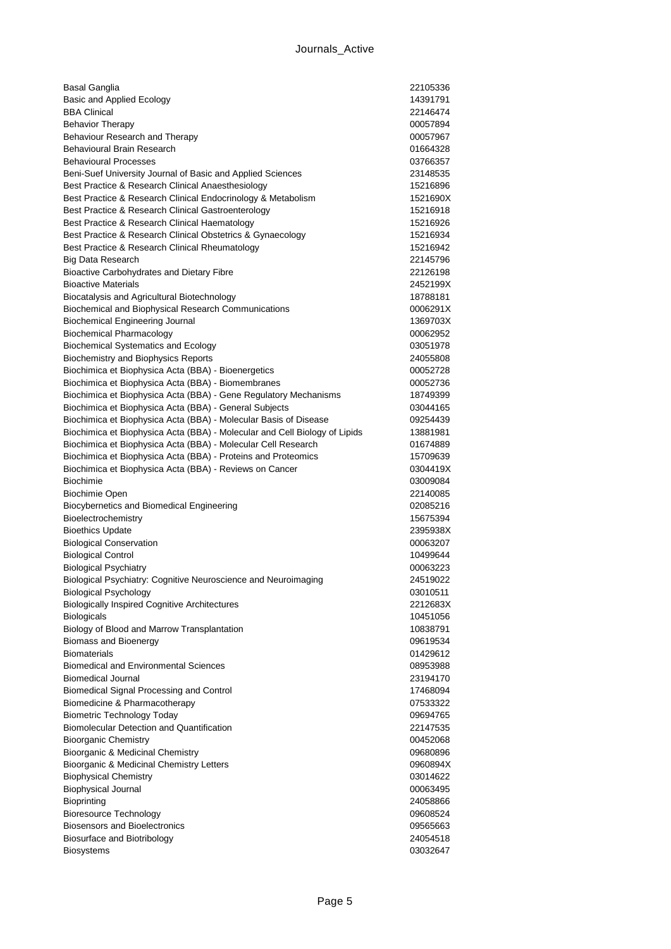| Basal Ganglia                                                                                               | 22105336             |
|-------------------------------------------------------------------------------------------------------------|----------------------|
| <b>Basic and Applied Ecology</b>                                                                            | 14391791             |
| <b>BBA Clinical</b>                                                                                         | 22146474             |
| <b>Behavior Therapy</b>                                                                                     | 00057894             |
| Behaviour Research and Therapy                                                                              | 00057967             |
| Behavioural Brain Research                                                                                  | 01664328             |
| <b>Behavioural Processes</b>                                                                                | 03766357             |
| Beni-Suef University Journal of Basic and Applied Sciences                                                  | 23148535             |
| Best Practice & Research Clinical Anaesthesiology                                                           | 15216896             |
| Best Practice & Research Clinical Endocrinology & Metabolism                                                | 1521690X             |
| Best Practice & Research Clinical Gastroenterology                                                          | 15216918             |
| Best Practice & Research Clinical Haematology<br>Best Practice & Research Clinical Obstetrics & Gynaecology | 15216926             |
| Best Practice & Research Clinical Rheumatology                                                              | 15216934<br>15216942 |
| <b>Big Data Research</b>                                                                                    | 22145796             |
| Bioactive Carbohydrates and Dietary Fibre                                                                   | 22126198             |
| <b>Bioactive Materials</b>                                                                                  | 2452199X             |
| Biocatalysis and Agricultural Biotechnology                                                                 | 18788181             |
| Biochemical and Biophysical Research Communications                                                         | 0006291X             |
| <b>Biochemical Engineering Journal</b>                                                                      | 1369703X             |
| <b>Biochemical Pharmacology</b>                                                                             | 00062952             |
| <b>Biochemical Systematics and Ecology</b>                                                                  | 03051978             |
| Biochemistry and Biophysics Reports                                                                         | 24055808             |
| Biochimica et Biophysica Acta (BBA) - Bioenergetics                                                         | 00052728             |
| Biochimica et Biophysica Acta (BBA) - Biomembranes                                                          | 00052736             |
| Biochimica et Biophysica Acta (BBA) - Gene Regulatory Mechanisms                                            | 18749399             |
| Biochimica et Biophysica Acta (BBA) - General Subjects                                                      | 03044165             |
| Biochimica et Biophysica Acta (BBA) - Molecular Basis of Disease                                            | 09254439             |
| Biochimica et Biophysica Acta (BBA) - Molecular and Cell Biology of Lipids                                  | 13881981             |
| Biochimica et Biophysica Acta (BBA) - Molecular Cell Research                                               | 01674889             |
| Biochimica et Biophysica Acta (BBA) - Proteins and Proteomics                                               | 15709639             |
| Biochimica et Biophysica Acta (BBA) - Reviews on Cancer                                                     | 0304419X             |
| <b>Biochimie</b>                                                                                            | 03009084             |
| <b>Biochimie Open</b><br>Biocybernetics and Biomedical Engineering                                          | 22140085<br>02085216 |
| Bioelectrochemistry                                                                                         | 15675394             |
| <b>Bioethics Update</b>                                                                                     | 2395938X             |
| <b>Biological Conservation</b>                                                                              | 00063207             |
| <b>Biological Control</b>                                                                                   | 10499644             |
| <b>Biological Psychiatry</b>                                                                                | 00063223             |
| Biological Psychiatry: Cognitive Neuroscience and Neuroimaging                                              | 24519022             |
| <b>Biological Psychology</b>                                                                                | 03010511             |
| <b>Biologically Inspired Cognitive Architectures</b>                                                        | 2212683X             |
| <b>Biologicals</b>                                                                                          | 10451056             |
| Biology of Blood and Marrow Transplantation                                                                 | 10838791             |
| <b>Biomass and Bioenergy</b>                                                                                | 09619534             |
| <b>Biomaterials</b>                                                                                         | 01429612             |
| <b>Biomedical and Environmental Sciences</b>                                                                | 08953988             |
| <b>Biomedical Journal</b>                                                                                   | 23194170             |
| Biomedical Signal Processing and Control                                                                    | 17468094             |
| Biomedicine & Pharmacotherapy                                                                               | 07533322             |
| <b>Biometric Technology Today</b><br><b>Biomolecular Detection and Quantification</b>                       | 09694765             |
|                                                                                                             | 22147535             |
| <b>Bioorganic Chemistry</b><br>Bioorganic & Medicinal Chemistry                                             | 00452068<br>09680896 |
| Bioorganic & Medicinal Chemistry Letters                                                                    | 0960894X             |
| <b>Biophysical Chemistry</b>                                                                                | 03014622             |
| <b>Biophysical Journal</b>                                                                                  | 00063495             |
| <b>Bioprinting</b>                                                                                          | 24058866             |
| <b>Bioresource Technology</b>                                                                               | 09608524             |
| <b>Biosensors and Bioelectronics</b>                                                                        | 09565663             |
| <b>Biosurface and Biotribology</b>                                                                          | 24054518             |
| <b>Biosystems</b>                                                                                           | 03032647             |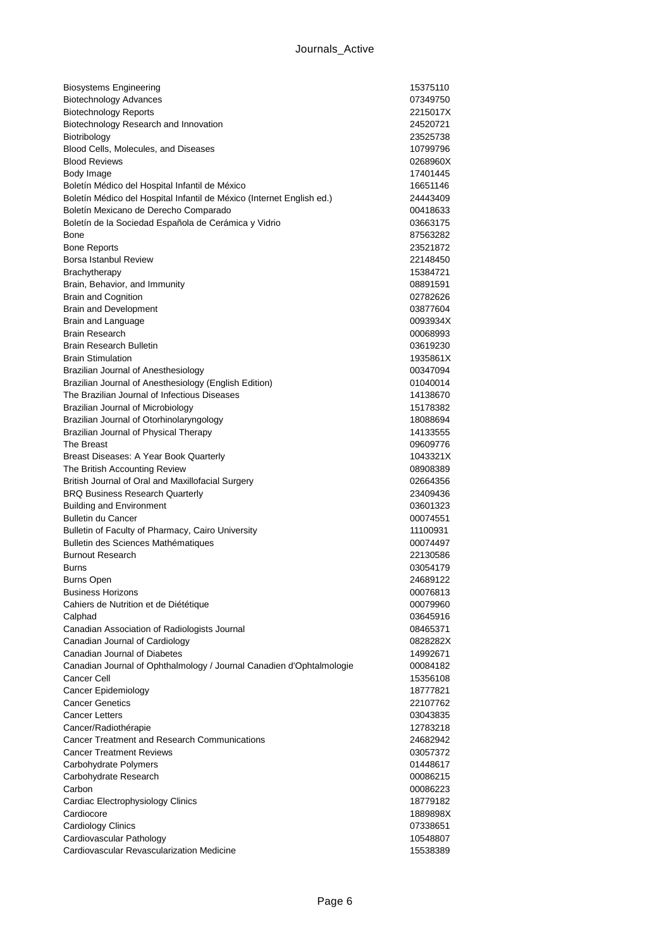| <b>Biosystems Engineering</b>                                         | 15375110             |
|-----------------------------------------------------------------------|----------------------|
| <b>Biotechnology Advances</b>                                         | 07349750             |
| <b>Biotechnology Reports</b>                                          | 2215017X             |
| Biotechnology Research and Innovation                                 | 24520721             |
| Biotribology                                                          | 23525738             |
| Blood Cells, Molecules, and Diseases                                  | 10799796             |
| <b>Blood Reviews</b>                                                  | 0268960X             |
| Body Image                                                            | 17401445             |
| Boletín Médico del Hospital Infantil de México                        | 16651146             |
| Boletín Médico del Hospital Infantil de México (Internet English ed.) | 24443409             |
| Boletín Mexicano de Derecho Comparado                                 | 00418633             |
| Boletín de la Sociedad Española de Cerámica y Vidrio                  | 03663175             |
| Bone                                                                  | 87563282             |
| <b>Bone Reports</b>                                                   | 23521872             |
| Borsa Istanbul Review                                                 | 22148450             |
| Brachytherapy                                                         | 15384721             |
| Brain, Behavior, and Immunity                                         | 08891591             |
| <b>Brain and Cognition</b>                                            | 02782626             |
| <b>Brain and Development</b>                                          | 03877604             |
| Brain and Language<br><b>Brain Research</b>                           | 0093934X             |
| Brain Research Bulletin                                               | 00068993             |
| <b>Brain Stimulation</b>                                              | 03619230             |
| Brazilian Journal of Anesthesiology                                   | 1935861X<br>00347094 |
| Brazilian Journal of Anesthesiology (English Edition)                 | 01040014             |
| The Brazilian Journal of Infectious Diseases                          | 14138670             |
| Brazilian Journal of Microbiology                                     | 15178382             |
| Brazilian Journal of Otorhinolaryngology                              | 18088694             |
| Brazilian Journal of Physical Therapy                                 | 14133555             |
| The Breast                                                            | 09609776             |
| Breast Diseases: A Year Book Quarterly                                | 1043321X             |
| The British Accounting Review                                         | 08908389             |
| British Journal of Oral and Maxillofacial Surgery                     | 02664356             |
| <b>BRQ Business Research Quarterly</b>                                | 23409436             |
| <b>Building and Environment</b>                                       | 03601323             |
| <b>Bulletin du Cancer</b>                                             | 00074551             |
| Bulletin of Faculty of Pharmacy, Cairo University                     | 11100931             |
| Bulletin des Sciences Mathématiques                                   | 00074497             |
| <b>Burnout Research</b>                                               | 22130586             |
| Burns                                                                 | 03054179             |
| Burns Open                                                            | 24689122             |
| <b>Business Horizons</b>                                              | 00076813             |
| Cahiers de Nutrition et de Diététique                                 | 00079960             |
| Calphad                                                               | 03645916             |
| Canadian Association of Radiologists Journal                          | 08465371             |
| Canadian Journal of Cardiology                                        | 0828282X             |
| Canadian Journal of Diabetes                                          | 14992671             |
| Canadian Journal of Ophthalmology / Journal Canadien d'Ophtalmologie  | 00084182             |
| Cancer Cell                                                           | 15356108             |
| <b>Cancer Epidemiology</b>                                            | 18777821             |
| <b>Cancer Genetics</b>                                                | 22107762             |
| <b>Cancer Letters</b>                                                 | 03043835             |
| Cancer/Radiothérapie                                                  | 12783218             |
| <b>Cancer Treatment and Research Communications</b>                   | 24682942             |
| <b>Cancer Treatment Reviews</b>                                       | 03057372             |
| Carbohydrate Polymers                                                 | 01448617             |
| Carbohydrate Research<br>Carbon                                       | 00086215             |
| Cardiac Electrophysiology Clinics                                     | 00086223<br>18779182 |
| Cardiocore                                                            | 1889898X             |
| Cardiology Clinics                                                    | 07338651             |
| Cardiovascular Pathology                                              | 10548807             |
| Cardiovascular Revascularization Medicine                             | 15538389             |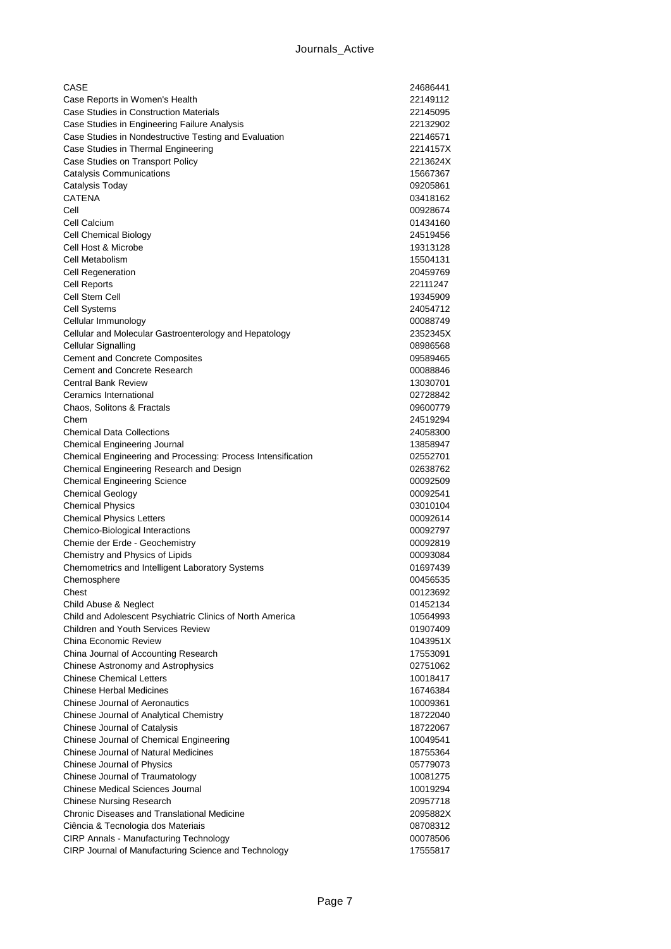| CASE                                                                                            | 24686441             |
|-------------------------------------------------------------------------------------------------|----------------------|
| Case Reports in Women's Health                                                                  | 22149112             |
| Case Studies in Construction Materials                                                          | 22145095             |
| Case Studies in Engineering Failure Analysis                                                    | 22132902             |
| Case Studies in Nondestructive Testing and Evaluation                                           | 22146571             |
| Case Studies in Thermal Engineering                                                             | 2214157X             |
| Case Studies on Transport Policy                                                                | 2213624X             |
| <b>Catalysis Communications</b>                                                                 | 15667367             |
| Catalysis Today                                                                                 | 09205861             |
| <b>CATENA</b>                                                                                   | 03418162             |
| Cell                                                                                            | 00928674             |
| Cell Calcium                                                                                    | 01434160             |
| Cell Chemical Biology                                                                           | 24519456             |
| Cell Host & Microbe                                                                             | 19313128             |
| Cell Metabolism                                                                                 | 15504131             |
| <b>Cell Regeneration</b>                                                                        | 20459769             |
| Cell Reports                                                                                    | 22111247             |
| Cell Stem Cell                                                                                  | 19345909             |
| <b>Cell Systems</b>                                                                             | 24054712             |
| Cellular Immunology                                                                             | 00088749             |
| Cellular and Molecular Gastroenterology and Hepatology                                          | 2352345X             |
| Cellular Signalling                                                                             | 08986568             |
| <b>Cement and Concrete Composites</b>                                                           | 09589465             |
| <b>Cement and Concrete Research</b>                                                             | 00088846             |
| <b>Central Bank Review</b>                                                                      | 13030701             |
| Ceramics International                                                                          | 02728842             |
| Chaos, Solitons & Fractals                                                                      | 09600779             |
| Chem                                                                                            | 24519294             |
| <b>Chemical Data Collections</b>                                                                | 24058300             |
| Chemical Engineering Journal                                                                    | 13858947             |
| Chemical Engineering and Processing: Process Intensification                                    | 02552701             |
| Chemical Engineering Research and Design                                                        | 02638762             |
| <b>Chemical Engineering Science</b>                                                             | 00092509             |
| <b>Chemical Geology</b>                                                                         | 00092541             |
| <b>Chemical Physics</b>                                                                         | 03010104             |
| <b>Chemical Physics Letters</b>                                                                 | 00092614             |
| Chemico-Biological Interactions                                                                 | 00092797             |
| Chemie der Erde - Geochemistry                                                                  | 00092819             |
| Chemistry and Physics of Lipids                                                                 | 00093084             |
| Chemometrics and Intelligent Laboratory Systems                                                 | 01697439<br>00456535 |
| Chemosphere                                                                                     |                      |
| Chest                                                                                           | 00123692             |
| Child Abuse & Neglect                                                                           | 01452134             |
| Child and Adolescent Psychiatric Clinics of North America<br>Children and Youth Services Review | 10564993             |
| China Economic Review                                                                           | 01907409             |
| China Journal of Accounting Research                                                            | 1043951X             |
| Chinese Astronomy and Astrophysics                                                              | 17553091<br>02751062 |
| <b>Chinese Chemical Letters</b>                                                                 | 10018417             |
| Chinese Herbal Medicines                                                                        | 16746384             |
| Chinese Journal of Aeronautics                                                                  | 10009361             |
| Chinese Journal of Analytical Chemistry                                                         | 18722040             |
| Chinese Journal of Catalysis                                                                    | 18722067             |
| Chinese Journal of Chemical Engineering                                                         | 10049541             |
| <b>Chinese Journal of Natural Medicines</b>                                                     | 18755364             |
| Chinese Journal of Physics                                                                      | 05779073             |
| Chinese Journal of Traumatology                                                                 | 10081275             |
| <b>Chinese Medical Sciences Journal</b>                                                         | 10019294             |
| <b>Chinese Nursing Research</b>                                                                 | 20957718             |
| <b>Chronic Diseases and Translational Medicine</b>                                              | 2095882X             |
| Ciência & Tecnologia dos Materiais                                                              | 08708312             |
| <b>CIRP Annals - Manufacturing Technology</b>                                                   | 00078506             |
| CIRP Journal of Manufacturing Science and Technology                                            | 17555817             |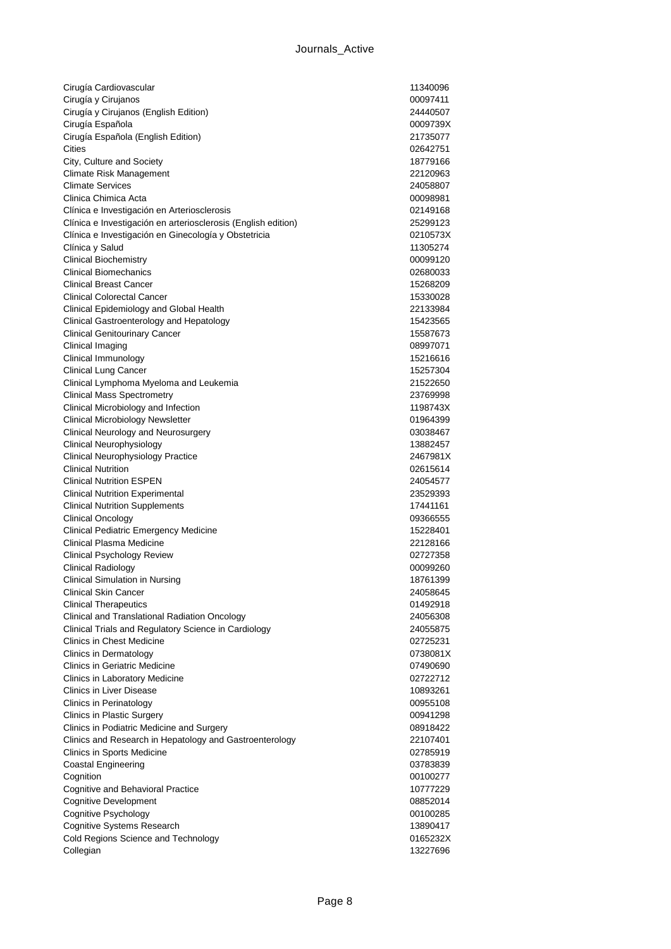| Cirugía Cardiovascular                                                                                       | 11340096             |
|--------------------------------------------------------------------------------------------------------------|----------------------|
| Cirugía y Cirujanos                                                                                          | 00097411             |
| Cirugía y Cirujanos (English Edition)                                                                        | 24440507             |
| Cirugía Española                                                                                             | 0009739X             |
| Cirugía Española (English Edition)                                                                           | 21735077             |
| Cities                                                                                                       | 02642751             |
| City, Culture and Society                                                                                    | 18779166             |
| Climate Risk Management                                                                                      | 22120963             |
| <b>Climate Services</b><br>Clinica Chimica Acta                                                              | 24058807             |
|                                                                                                              | 00098981<br>02149168 |
| Clínica e Investigación en Arteriosclerosis<br>Clínica e Investigación en arteriosclerosis (English edition) | 25299123             |
| Clínica e Investigación en Ginecología y Obstetricia                                                         | 0210573X             |
| Clínica y Salud                                                                                              | 11305274             |
| <b>Clinical Biochemistry</b>                                                                                 | 00099120             |
| <b>Clinical Biomechanics</b>                                                                                 | 02680033             |
| <b>Clinical Breast Cancer</b>                                                                                | 15268209             |
| <b>Clinical Colorectal Cancer</b>                                                                            | 15330028             |
| Clinical Epidemiology and Global Health                                                                      | 22133984             |
| Clinical Gastroenterology and Hepatology                                                                     | 15423565             |
| <b>Clinical Genitourinary Cancer</b>                                                                         | 15587673             |
| Clinical Imaging                                                                                             | 08997071             |
| Clinical Immunology                                                                                          | 15216616             |
| Clinical Lung Cancer                                                                                         | 15257304             |
| Clinical Lymphoma Myeloma and Leukemia                                                                       | 21522650             |
| <b>Clinical Mass Spectrometry</b>                                                                            | 23769998             |
| Clinical Microbiology and Infection                                                                          | 1198743X             |
| Clinical Microbiology Newsletter                                                                             | 01964399             |
| Clinical Neurology and Neurosurgery                                                                          | 03038467             |
| Clinical Neurophysiology                                                                                     | 13882457             |
| Clinical Neurophysiology Practice                                                                            | 2467981X             |
| <b>Clinical Nutrition</b><br><b>Clinical Nutrition ESPEN</b>                                                 | 02615614<br>24054577 |
| <b>Clinical Nutrition Experimental</b>                                                                       | 23529393             |
| <b>Clinical Nutrition Supplements</b>                                                                        | 17441161             |
| <b>Clinical Oncology</b>                                                                                     | 09366555             |
| <b>Clinical Pediatric Emergency Medicine</b>                                                                 | 15228401             |
| Clinical Plasma Medicine                                                                                     | 22128166             |
| Clinical Psychology Review                                                                                   | 02727358             |
| <b>Clinical Radiology</b>                                                                                    | 00099260             |
| Clinical Simulation in Nursing                                                                               | 18761399             |
| <b>Clinical Skin Cancer</b>                                                                                  | 24058645             |
| <b>Clinical Therapeutics</b>                                                                                 | 01492918             |
| Clinical and Translational Radiation Oncology                                                                | 24056308             |
| Clinical Trials and Regulatory Science in Cardiology                                                         | 24055875             |
| Clinics in Chest Medicine                                                                                    | 02725231             |
| Clinics in Dermatology                                                                                       | 0738081X             |
| <b>Clinics in Geriatric Medicine</b>                                                                         | 07490690             |
| Clinics in Laboratory Medicine                                                                               | 02722712             |
| <b>Clinics in Liver Disease</b><br>Clinics in Perinatology                                                   | 10893261             |
| <b>Clinics in Plastic Surgery</b>                                                                            | 00955108<br>00941298 |
| Clinics in Podiatric Medicine and Surgery                                                                    | 08918422             |
| Clinics and Research in Hepatology and Gastroenterology                                                      | 22107401             |
| Clinics in Sports Medicine                                                                                   | 02785919             |
| Coastal Engineering                                                                                          | 03783839             |
| Cognition                                                                                                    | 00100277             |
| Cognitive and Behavioral Practice                                                                            | 10777229             |
| <b>Cognitive Development</b>                                                                                 | 08852014             |
| Cognitive Psychology                                                                                         | 00100285             |
| Cognitive Systems Research                                                                                   | 13890417             |
| Cold Regions Science and Technology                                                                          | 0165232X             |
| Collegian                                                                                                    | 13227696             |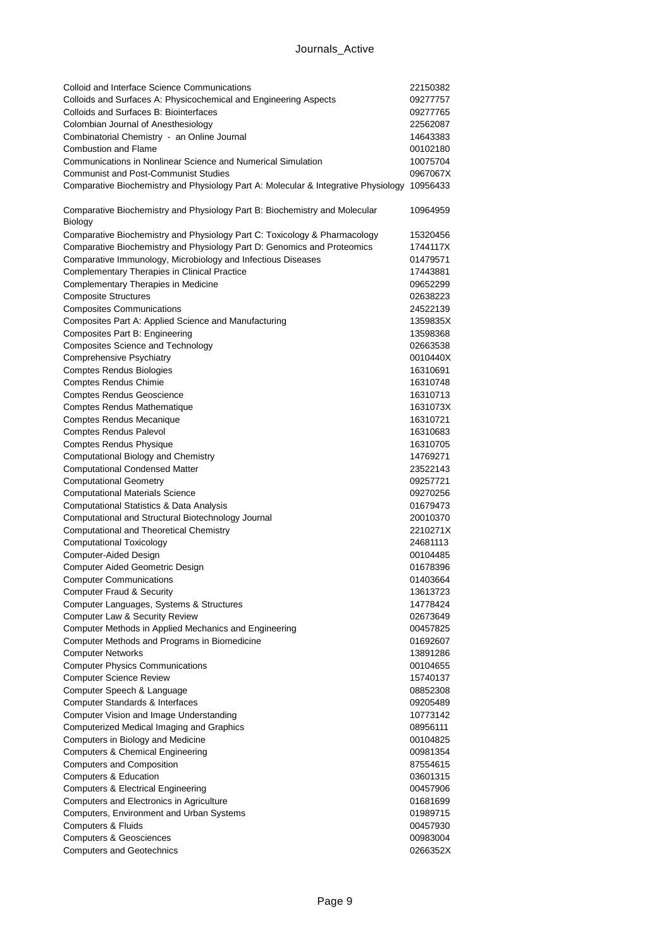| Colloid and Interface Science Communications                                          | 22150382 |
|---------------------------------------------------------------------------------------|----------|
| Colloids and Surfaces A: Physicochemical and Engineering Aspects                      | 09277757 |
| Colloids and Surfaces B: Biointerfaces                                                | 09277765 |
| Colombian Journal of Anesthesiology                                                   | 22562087 |
| Combinatorial Chemistry - an Online Journal                                           | 14643383 |
| <b>Combustion and Flame</b>                                                           | 00102180 |
| Communications in Nonlinear Science and Numerical Simulation                          | 10075704 |
| <b>Communist and Post-Communist Studies</b>                                           | 0967067X |
| Comparative Biochemistry and Physiology Part A: Molecular & Integrative Physiology    | 10956433 |
| Comparative Biochemistry and Physiology Part B: Biochemistry and Molecular<br>Biology | 10964959 |
| Comparative Biochemistry and Physiology Part C: Toxicology & Pharmacology             | 15320456 |
| Comparative Biochemistry and Physiology Part D: Genomics and Proteomics               | 1744117X |
| Comparative Immunology, Microbiology and Infectious Diseases                          | 01479571 |
| Complementary Therapies in Clinical Practice                                          | 17443881 |
| Complementary Therapies in Medicine                                                   | 09652299 |
| <b>Composite Structures</b>                                                           | 02638223 |
| <b>Composites Communications</b>                                                      | 24522139 |
| Composites Part A: Applied Science and Manufacturing                                  | 1359835X |
| Composites Part B: Engineering                                                        | 13598368 |
| <b>Composites Science and Technology</b>                                              | 02663538 |
| <b>Comprehensive Psychiatry</b>                                                       | 0010440X |
| <b>Comptes Rendus Biologies</b>                                                       | 16310691 |
| Comptes Rendus Chimie                                                                 | 16310748 |
| <b>Comptes Rendus Geoscience</b>                                                      | 16310713 |
| <b>Comptes Rendus Mathematique</b>                                                    | 1631073X |
| <b>Comptes Rendus Mecanique</b>                                                       | 16310721 |
| <b>Comptes Rendus Palevol</b>                                                         | 16310683 |
| <b>Comptes Rendus Physique</b>                                                        | 16310705 |
| Computational Biology and Chemistry                                                   | 14769271 |
| <b>Computational Condensed Matter</b>                                                 | 23522143 |
| <b>Computational Geometry</b>                                                         | 09257721 |
| <b>Computational Materials Science</b>                                                | 09270256 |
| Computational Statistics & Data Analysis                                              | 01679473 |
| Computational and Structural Biotechnology Journal                                    | 20010370 |
| Computational and Theoretical Chemistry                                               | 2210271X |
| <b>Computational Toxicology</b>                                                       | 24681113 |
| Computer-Aided Design                                                                 | 00104485 |
| Computer Aided Geometric Design                                                       | 01678396 |
| <b>Computer Communications</b>                                                        | 01403664 |
| <b>Computer Fraud &amp; Security</b>                                                  | 13613723 |
| Computer Languages, Systems & Structures                                              | 14778424 |
| Computer Law & Security Review                                                        | 02673649 |
| Computer Methods in Applied Mechanics and Engineering                                 | 00457825 |
| Computer Methods and Programs in Biomedicine                                          | 01692607 |
| <b>Computer Networks</b>                                                              | 13891286 |
| <b>Computer Physics Communications</b>                                                | 00104655 |
| <b>Computer Science Review</b>                                                        | 15740137 |
| Computer Speech & Language                                                            | 08852308 |
| Computer Standards & Interfaces                                                       | 09205489 |
| Computer Vision and Image Understanding                                               | 10773142 |
| Computerized Medical Imaging and Graphics                                             | 08956111 |
| Computers in Biology and Medicine                                                     | 00104825 |
| <b>Computers &amp; Chemical Engineering</b>                                           | 00981354 |
| <b>Computers and Composition</b>                                                      | 87554615 |
| <b>Computers &amp; Education</b>                                                      | 03601315 |
| <b>Computers &amp; Electrical Engineering</b>                                         | 00457906 |
| Computers and Electronics in Agriculture                                              | 01681699 |
| Computers, Environment and Urban Systems                                              | 01989715 |
| Computers & Fluids                                                                    | 00457930 |
| <b>Computers &amp; Geosciences</b>                                                    | 00983004 |
| <b>Computers and Geotechnics</b>                                                      | 0266352X |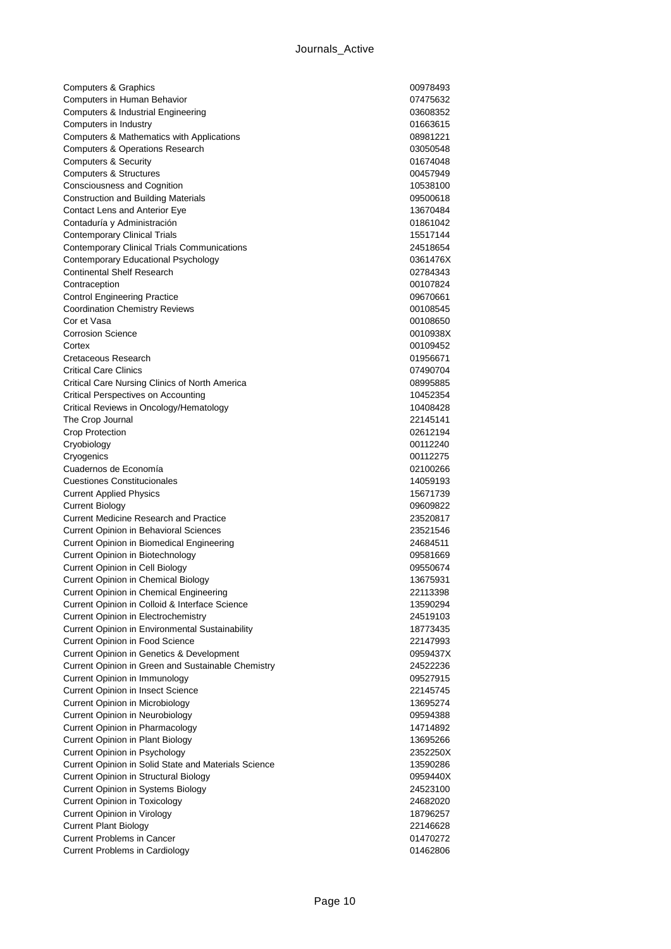| Computers & Graphics                                     | 00978493             |
|----------------------------------------------------------|----------------------|
| Computers in Human Behavior                              | 07475632             |
| Computers & Industrial Engineering                       | 03608352             |
| Computers in Industry                                    | 01663615             |
| Computers & Mathematics with Applications                | 08981221             |
| <b>Computers &amp; Operations Research</b>               | 03050548             |
| <b>Computers &amp; Security</b>                          | 01674048             |
| <b>Computers &amp; Structures</b>                        | 00457949             |
| Consciousness and Cognition                              | 10538100             |
| <b>Construction and Building Materials</b>               | 09500618             |
| Contact Lens and Anterior Eye                            | 13670484             |
| Contaduría y Administración                              | 01861042             |
| <b>Contemporary Clinical Trials</b>                      | 15517144             |
| <b>Contemporary Clinical Trials Communications</b>       | 24518654             |
| Contemporary Educational Psychology                      | 0361476X             |
| <b>Continental Shelf Research</b>                        | 02784343             |
| Contraception                                            | 00107824             |
| <b>Control Engineering Practice</b>                      | 09670661             |
| <b>Coordination Chemistry Reviews</b>                    | 00108545             |
| Cor et Vasa                                              | 00108650             |
| <b>Corrosion Science</b>                                 | 0010938X             |
| Cortex                                                   | 00109452             |
| Cretaceous Research                                      | 01956671             |
| <b>Critical Care Clinics</b>                             | 07490704             |
| Critical Care Nursing Clinics of North America           | 08995885             |
| Critical Perspectives on Accounting                      | 10452354             |
| Critical Reviews in Oncology/Hematology                  | 10408428             |
| The Crop Journal                                         | 22145141             |
| Crop Protection                                          | 02612194             |
| Cryobiology                                              | 00112240             |
| Cryogenics                                               | 00112275             |
| Cuadernos de Economía                                    | 02100266             |
| <b>Cuestiones Constitucionales</b>                       | 14059193             |
| <b>Current Applied Physics</b><br><b>Current Biology</b> | 15671739<br>09609822 |
| <b>Current Medicine Research and Practice</b>            | 23520817             |
| <b>Current Opinion in Behavioral Sciences</b>            | 23521546             |
| Current Opinion in Biomedical Engineering                | 24684511             |
| Current Opinion in Biotechnology                         | 09581669             |
| <b>Current Opinion in Cell Biology</b>                   | 09550674             |
| <b>Current Opinion in Chemical Biology</b>               | 13675931             |
| Current Opinion in Chemical Engineering                  | 22113398             |
| Current Opinion in Colloid & Interface Science           | 13590294             |
| <b>Current Opinion in Electrochemistry</b>               | 24519103             |
| Current Opinion in Environmental Sustainability          | 18773435             |
| <b>Current Opinion in Food Science</b>                   | 22147993             |
| Current Opinion in Genetics & Development                | 0959437X             |
| Current Opinion in Green and Sustainable Chemistry       | 24522236             |
| Current Opinion in Immunology                            | 09527915             |
| <b>Current Opinion in Insect Science</b>                 | 22145745             |
| <b>Current Opinion in Microbiology</b>                   | 13695274             |
| Current Opinion in Neurobiology                          | 09594388             |
| Current Opinion in Pharmacology                          | 14714892             |
| <b>Current Opinion in Plant Biology</b>                  | 13695266             |
| Current Opinion in Psychology                            | 2352250X             |
| Current Opinion in Solid State and Materials Science     | 13590286             |
| <b>Current Opinion in Structural Biology</b>             | 0959440X             |
| Current Opinion in Systems Biology                       | 24523100             |
| <b>Current Opinion in Toxicology</b>                     | 24682020             |
| Current Opinion in Virology                              | 18796257             |
| <b>Current Plant Biology</b>                             | 22146628             |
| <b>Current Problems in Cancer</b>                        | 01470272             |
| <b>Current Problems in Cardiology</b>                    | 01462806             |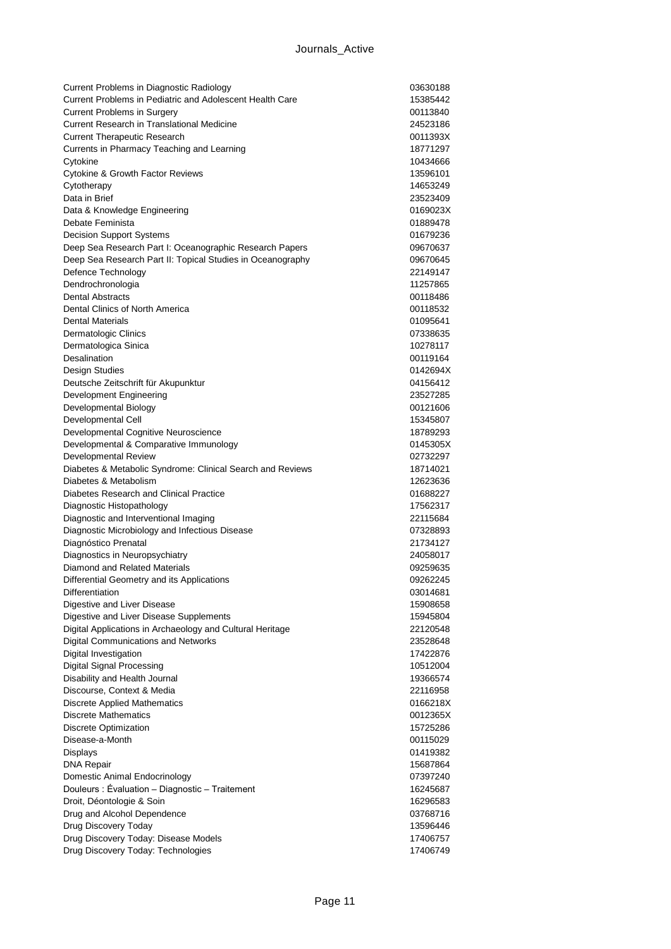| Current Problems in Diagnostic Radiology                                        | 03630188             |
|---------------------------------------------------------------------------------|----------------------|
| Current Problems in Pediatric and Adolescent Health Care                        | 15385442             |
| <b>Current Problems in Surgery</b>                                              | 00113840             |
| Current Research in Translational Medicine                                      | 24523186             |
| <b>Current Therapeutic Research</b>                                             | 0011393X             |
| Currents in Pharmacy Teaching and Learning                                      | 18771297             |
| Cytokine                                                                        | 10434666             |
| <b>Cytokine &amp; Growth Factor Reviews</b>                                     | 13596101             |
| Cytotherapy                                                                     | 14653249             |
| Data in Brief                                                                   | 23523409             |
| Data & Knowledge Engineering                                                    | 0169023X             |
| Debate Feminista                                                                | 01889478             |
| <b>Decision Support Systems</b>                                                 | 01679236             |
| Deep Sea Research Part I: Oceanographic Research Papers                         | 09670637             |
| Deep Sea Research Part II: Topical Studies in Oceanography                      | 09670645             |
| Defence Technology                                                              | 22149147             |
| Dendrochronologia                                                               | 11257865             |
| <b>Dental Abstracts</b>                                                         | 00118486             |
| Dental Clinics of North America                                                 | 00118532             |
| <b>Dental Materials</b>                                                         | 01095641             |
| Dermatologic Clinics                                                            | 07338635             |
| Dermatologica Sinica                                                            | 10278117             |
| Desalination                                                                    | 00119164             |
| Design Studies                                                                  | 0142694X             |
| Deutsche Zeitschrift für Akupunktur                                             | 04156412             |
| Development Engineering                                                         | 23527285             |
| Developmental Biology                                                           | 00121606             |
| Developmental Cell                                                              | 15345807             |
| Developmental Cognitive Neuroscience                                            | 18789293             |
| Developmental & Comparative Immunology                                          | 0145305X             |
| Developmental Review                                                            | 02732297             |
| Diabetes & Metabolic Syndrome: Clinical Search and Reviews                      | 18714021             |
| Diabetes & Metabolism                                                           | 12623636             |
| Diabetes Research and Clinical Practice                                         | 01688227             |
| Diagnostic Histopathology                                                       | 17562317             |
| Diagnostic and Interventional Imaging                                           | 22115684             |
| Diagnostic Microbiology and Infectious Disease                                  | 07328893             |
| Diagnóstico Prenatal                                                            | 21734127             |
| Diagnostics in Neuropsychiatry                                                  | 24058017             |
| Diamond and Related Materials                                                   | 09259635             |
| Differential Geometry and its Applications                                      | 09262245             |
| Differentiation                                                                 | 03014681             |
| Digestive and Liver Disease                                                     | 15908658             |
| Digestive and Liver Disease Supplements                                         | 15945804             |
| Digital Applications in Archaeology and Cultural Heritage                       | 22120548             |
| Digital Communications and Networks                                             | 23528648             |
| Digital Investigation                                                           | 17422876             |
| <b>Digital Signal Processing</b>                                                | 10512004<br>19366574 |
| Disability and Health Journal                                                   |                      |
| Discourse, Context & Media                                                      | 22116958             |
| Discrete Applied Mathematics<br><b>Discrete Mathematics</b>                     | 0166218X<br>0012365X |
| <b>Discrete Optimization</b>                                                    |                      |
| Disease-a-Month                                                                 | 15725286             |
|                                                                                 | 00115029             |
| <b>Displays</b>                                                                 | 01419382             |
| <b>DNA Repair</b>                                                               | 15687864<br>07397240 |
| Domestic Animal Endocrinology<br>Douleurs: Évaluation - Diagnostic - Traitement | 16245687             |
| Droit, Déontologie & Soin                                                       | 16296583             |
| Drug and Alcohol Dependence                                                     | 03768716             |
|                                                                                 |                      |
| Drug Discovery Today<br>Drug Discovery Today: Disease Models                    | 13596446<br>17406757 |
| Drug Discovery Today: Technologies                                              | 17406749             |
|                                                                                 |                      |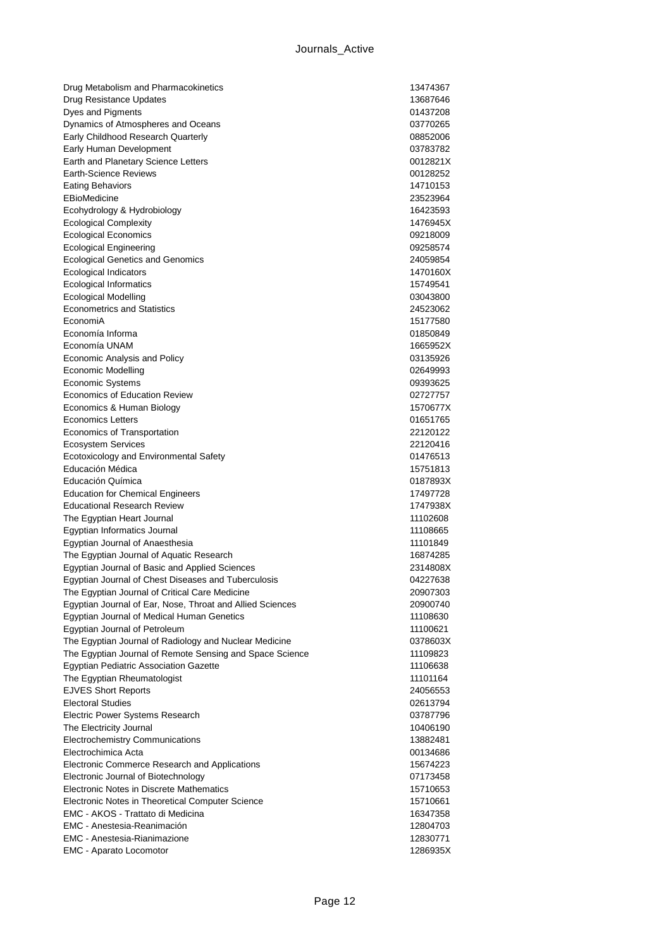| Drug Metabolism and Pharmacokinetics                      | 13474367             |
|-----------------------------------------------------------|----------------------|
| Drug Resistance Updates                                   | 13687646             |
| Dyes and Pigments                                         | 01437208             |
| Dynamics of Atmospheres and Oceans                        | 03770265             |
| Early Childhood Research Quarterly                        | 08852006             |
| Early Human Development                                   | 03783782             |
| Earth and Planetary Science Letters                       | 0012821X             |
| Earth-Science Reviews                                     | 00128252             |
| <b>Eating Behaviors</b>                                   | 14710153             |
| EBioMedicine                                              | 23523964             |
| Ecohydrology & Hydrobiology                               | 16423593             |
| <b>Ecological Complexity</b>                              | 1476945X             |
| <b>Ecological Economics</b>                               | 09218009             |
| <b>Ecological Engineering</b>                             | 09258574             |
| <b>Ecological Genetics and Genomics</b>                   | 24059854             |
| <b>Ecological Indicators</b>                              | 1470160X             |
| <b>Ecological Informatics</b>                             | 15749541             |
| <b>Ecological Modelling</b>                               | 03043800             |
| <b>Econometrics and Statistics</b>                        | 24523062             |
| EconomiA                                                  | 15177580             |
| Economía Informa                                          | 01850849             |
| Economía UNAM                                             | 1665952X             |
| Economic Analysis and Policy                              | 03135926             |
| <b>Economic Modelling</b>                                 | 02649993             |
| Economic Systems                                          | 09393625             |
| <b>Economics of Education Review</b>                      | 02727757             |
| Economics & Human Biology                                 | 1570677X             |
| <b>Economics Letters</b>                                  | 01651765             |
| Economics of Transportation                               | 22120122             |
| <b>Ecosystem Services</b>                                 | 22120416             |
| Ecotoxicology and Environmental Safety                    | 01476513             |
| Educación Médica                                          | 15751813             |
| Educación Química                                         | 0187893X             |
| <b>Education for Chemical Engineers</b>                   | 17497728             |
| <b>Educational Research Review</b>                        | 1747938X             |
| The Egyptian Heart Journal                                | 11102608             |
| Egyptian Informatics Journal                              | 11108665             |
| Egyptian Journal of Anaesthesia                           | 11101849             |
| The Egyptian Journal of Aquatic Research                  | 16874285             |
| Egyptian Journal of Basic and Applied Sciences            | 2314808X             |
| Egyptian Journal of Chest Diseases and Tuberculosis       | 04227638             |
| The Egyptian Journal of Critical Care Medicine            | 20907303             |
| Egyptian Journal of Ear, Nose, Throat and Allied Sciences | 20900740             |
| Egyptian Journal of Medical Human Genetics                | 11108630             |
| Egyptian Journal of Petroleum                             | 11100621             |
| The Egyptian Journal of Radiology and Nuclear Medicine    | 0378603X             |
| The Egyptian Journal of Remote Sensing and Space Science  | 11109823             |
| Egyptian Pediatric Association Gazette                    | 11106638             |
| The Egyptian Rheumatologist<br><b>EJVES Short Reports</b> | 11101164<br>24056553 |
| <b>Electoral Studies</b>                                  | 02613794             |
| <b>Electric Power Systems Research</b>                    | 03787796             |
| The Electricity Journal                                   | 10406190             |
| <b>Electrochemistry Communications</b>                    | 13882481             |
| Electrochimica Acta                                       | 00134686             |
| Electronic Commerce Research and Applications             | 15674223             |
| Electronic Journal of Biotechnology                       | 07173458             |
| Electronic Notes in Discrete Mathematics                  | 15710653             |
| Electronic Notes in Theoretical Computer Science          | 15710661             |
| EMC - AKOS - Trattato di Medicina                         | 16347358             |
| EMC - Anestesia-Reanimación                               | 12804703             |
| <b>EMC</b> - Anestesia-Rianimazione                       | 12830771             |
| EMC - Aparato Locomotor                                   | 1286935X             |
|                                                           |                      |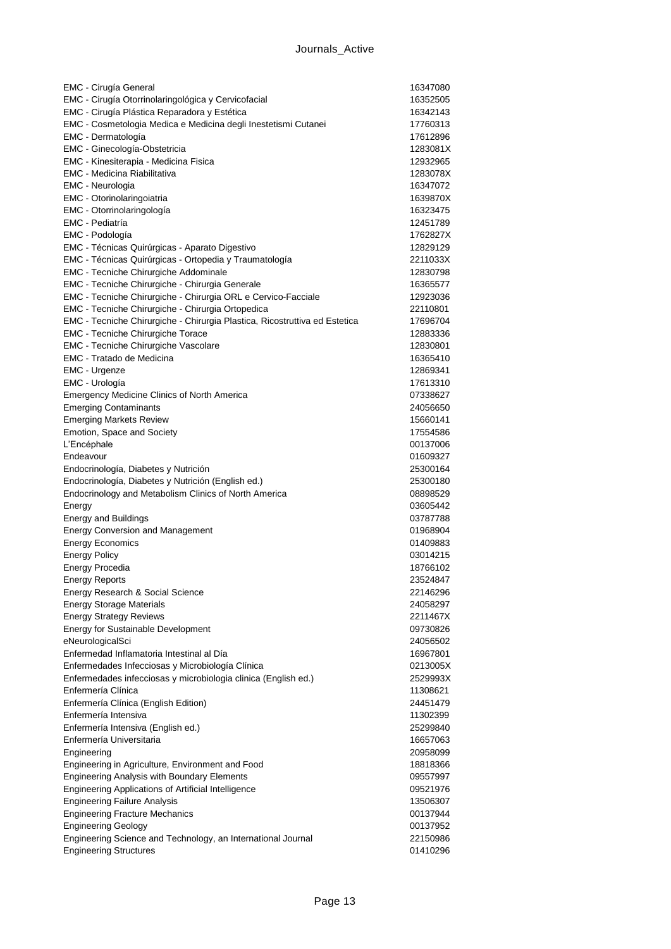| EMC - Cirugía General                                                      | 16347080             |
|----------------------------------------------------------------------------|----------------------|
| EMC - Cirugía Otorrinolaringológica y Cervicofacial                        | 16352505             |
| EMC - Cirugía Plástica Reparadora y Estética                               | 16342143             |
| EMC - Cosmetologia Medica e Medicina degli Inestetismi Cutanei             | 17760313             |
| EMC - Dermatología                                                         | 17612896             |
| EMC - Ginecología-Obstetricia                                              | 1283081X             |
| EMC - Kinesiterapia - Medicina Fisica                                      | 12932965             |
| <b>EMC - Medicina Riabilitativa</b>                                        | 1283078X             |
| EMC - Neurologia                                                           | 16347072             |
| EMC - Otorinolaringoiatria                                                 | 1639870X             |
| EMC - Otorrinolaringología                                                 | 16323475             |
| EMC - Pediatría                                                            | 12451789             |
| EMC - Podología                                                            | 1762827X             |
| EMC - Técnicas Quirúrgicas - Aparato Digestivo                             | 12829129             |
| EMC - Técnicas Quirúrgicas - Ortopedia y Traumatología                     | 2211033X             |
| EMC - Tecniche Chirurgiche Addominale                                      | 12830798             |
| EMC - Tecniche Chirurgiche - Chirurgia Generale                            | 16365577             |
| EMC - Tecniche Chirurgiche - Chirurgia ORL e Cervico-Facciale              | 12923036             |
| EMC - Tecniche Chirurgiche - Chirurgia Ortopedica                          | 22110801             |
| EMC - Tecniche Chirurgiche - Chirurgia Plastica, Ricostruttiva ed Estetica | 17696704             |
| <b>EMC - Tecniche Chirurgiche Torace</b>                                   | 12883336             |
| EMC - Tecniche Chirurgiche Vascolare                                       | 12830801             |
| <b>EMC - Tratado de Medicina</b>                                           | 16365410             |
| EMC - Urgenze                                                              | 12869341             |
| EMC - Urología                                                             | 17613310             |
| <b>Emergency Medicine Clinics of North America</b>                         | 07338627             |
| <b>Emerging Contaminants</b>                                               | 24056650             |
| <b>Emerging Markets Review</b>                                             | 15660141             |
| Emotion, Space and Society                                                 | 17554586             |
| L'Encéphale                                                                | 00137006             |
| Endeavour                                                                  | 01609327             |
| Endocrinología, Diabetes y Nutrición                                       | 25300164             |
| Endocrinología, Diabetes y Nutrición (English ed.)                         | 25300180             |
| Endocrinology and Metabolism Clinics of North America                      | 08898529             |
| Energy                                                                     | 03605442             |
| <b>Energy and Buildings</b>                                                | 03787788             |
| <b>Energy Conversion and Management</b>                                    | 01968904             |
| <b>Energy Economics</b>                                                    |                      |
|                                                                            | 01409883<br>03014215 |
| <b>Energy Policy</b>                                                       |                      |
| Energy Procedia                                                            | 18766102             |
| <b>Energy Reports</b>                                                      | 23524847             |
| Energy Research & Social Science                                           | 22146296             |
| <b>Energy Storage Materials</b>                                            | 24058297             |
| <b>Energy Strategy Reviews</b>                                             | 2211467X             |
| Energy for Sustainable Development                                         | 09730826             |
| eNeurologicalSci                                                           | 24056502             |
| Enfermedad Inflamatoria Intestinal al Día                                  | 16967801             |
| Enfermedades Infecciosas y Microbiología Clínica                           | 0213005X             |
| Enfermedades infecciosas y microbiologia clinica (English ed.)             | 2529993X             |
| Enfermería Clínica                                                         | 11308621             |
| Enfermería Clínica (English Edition)                                       | 24451479             |
| Enfermería Intensiva                                                       | 11302399             |
| Enfermería Intensiva (English ed.)                                         | 25299840             |
| Enfermería Universitaria                                                   | 16657063             |
| Engineering                                                                | 20958099             |
| Engineering in Agriculture, Environment and Food                           | 18818366             |
| <b>Engineering Analysis with Boundary Elements</b>                         | 09557997             |
| Engineering Applications of Artificial Intelligence                        | 09521976             |
| <b>Engineering Failure Analysis</b>                                        | 13506307             |
| <b>Engineering Fracture Mechanics</b>                                      | 00137944             |
| <b>Engineering Geology</b>                                                 | 00137952             |
| Engineering Science and Technology, an International Journal               | 22150986             |
| <b>Engineering Structures</b>                                              | 01410296             |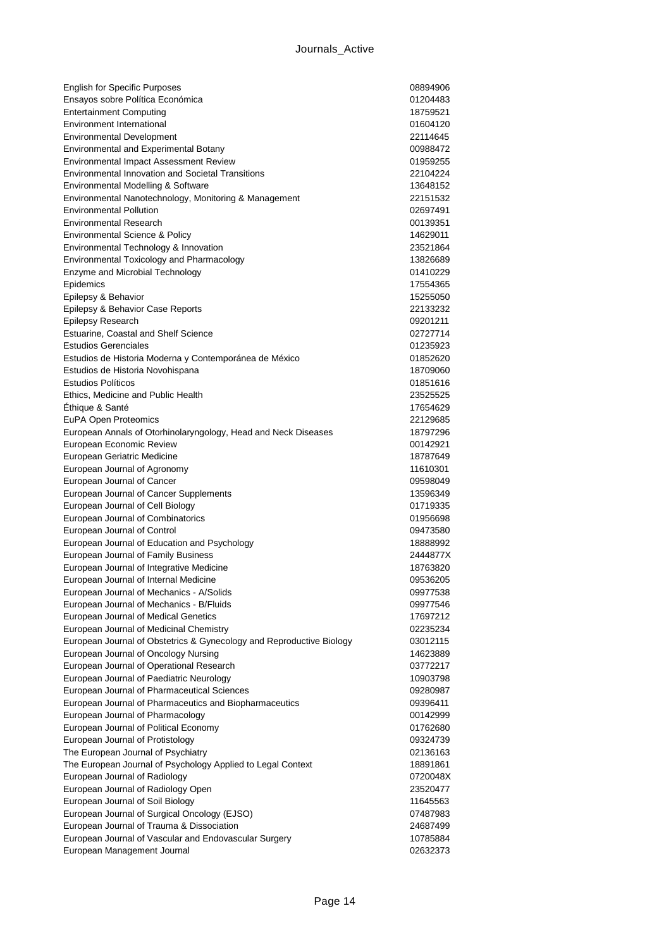| <b>English for Specific Purposes</b>                                 | 08894906             |
|----------------------------------------------------------------------|----------------------|
| Ensayos sobre Política Económica                                     | 01204483             |
| <b>Entertainment Computing</b>                                       | 18759521             |
| Environment International                                            | 01604120             |
| <b>Environmental Development</b>                                     | 22114645             |
| <b>Environmental and Experimental Botany</b>                         | 00988472             |
| Environmental Impact Assessment Review                               | 01959255             |
| <b>Environmental Innovation and Societal Transitions</b>             | 22104224             |
| Environmental Modelling & Software                                   | 13648152             |
| Environmental Nanotechnology, Monitoring & Management                | 22151532             |
| <b>Environmental Pollution</b>                                       | 02697491             |
| <b>Environmental Research</b>                                        | 00139351             |
| Environmental Science & Policy                                       | 14629011             |
| Environmental Technology & Innovation                                | 23521864             |
| Environmental Toxicology and Pharmacology                            | 13826689             |
| Enzyme and Microbial Technology                                      | 01410229             |
| Epidemics                                                            | 17554365             |
| Epilepsy & Behavior                                                  | 15255050             |
| Epilepsy & Behavior Case Reports                                     | 22133232             |
| <b>Epilepsy Research</b>                                             | 09201211             |
| Estuarine, Coastal and Shelf Science<br><b>Estudios Gerenciales</b>  | 02727714             |
|                                                                      | 01235923             |
| Estudios de Historia Moderna y Contemporánea de México               | 01852620             |
| Estudios de Historia Novohispana                                     | 18709060             |
| <b>Estudios Políticos</b><br>Ethics, Medicine and Public Health      | 01851616             |
|                                                                      | 23525525<br>17654629 |
| Éthique & Santé<br>EuPA Open Proteomics                              | 22129685             |
| European Annals of Otorhinolaryngology, Head and Neck Diseases       | 18797296             |
| European Economic Review                                             | 00142921             |
| European Geriatric Medicine                                          | 18787649             |
| European Journal of Agronomy                                         | 11610301             |
| European Journal of Cancer                                           | 09598049             |
| European Journal of Cancer Supplements                               | 13596349             |
| European Journal of Cell Biology                                     | 01719335             |
| European Journal of Combinatorics                                    | 01956698             |
| European Journal of Control                                          | 09473580             |
| European Journal of Education and Psychology                         | 18888992             |
| European Journal of Family Business                                  | 2444877X             |
| European Journal of Integrative Medicine                             | 18763820             |
| European Journal of Internal Medicine                                | 09536205             |
| European Journal of Mechanics - A/Solids                             | 09977538             |
| European Journal of Mechanics - B/Fluids                             | 09977546             |
| European Journal of Medical Genetics                                 | 17697212             |
| European Journal of Medicinal Chemistry                              | 02235234             |
| European Journal of Obstetrics & Gynecology and Reproductive Biology | 03012115             |
| European Journal of Oncology Nursing                                 | 14623889             |
| European Journal of Operational Research                             | 03772217             |
| European Journal of Paediatric Neurology                             | 10903798             |
| European Journal of Pharmaceutical Sciences                          | 09280987             |
| European Journal of Pharmaceutics and Biopharmaceutics               | 09396411             |
| European Journal of Pharmacology                                     | 00142999             |
| European Journal of Political Economy                                | 01762680             |
| European Journal of Protistology                                     | 09324739             |
| The European Journal of Psychiatry                                   | 02136163             |
| The European Journal of Psychology Applied to Legal Context          | 18891861             |
| European Journal of Radiology                                        | 0720048X             |
| European Journal of Radiology Open                                   | 23520477             |
| European Journal of Soil Biology                                     | 11645563             |
| European Journal of Surgical Oncology (EJSO)                         | 07487983             |
| European Journal of Trauma & Dissociation                            | 24687499             |
| European Journal of Vascular and Endovascular Surgery                | 10785884             |
| European Management Journal                                          | 02632373             |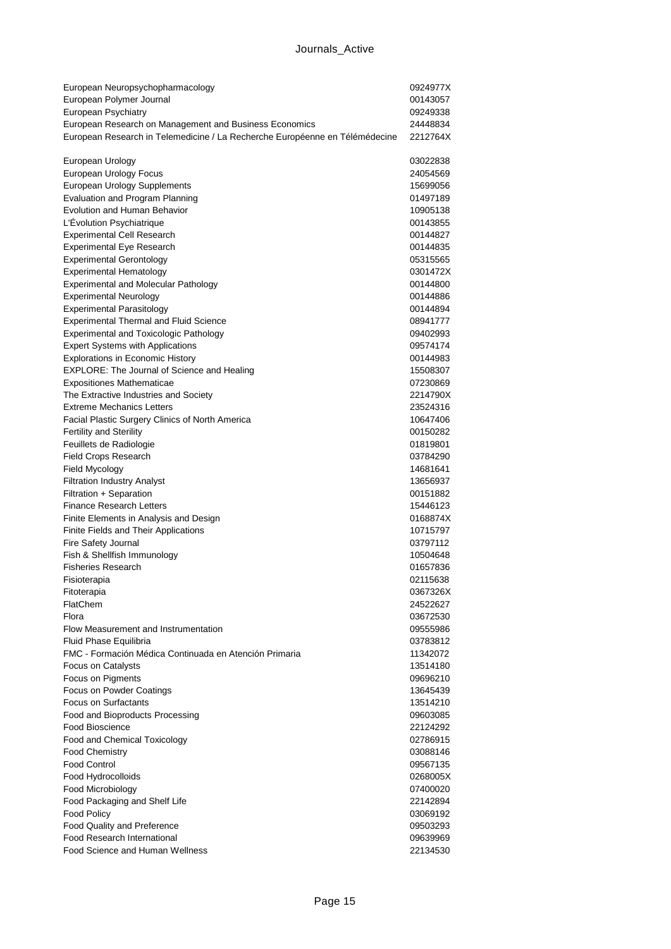| European Neuropsychopharmacology                                            | 0924977X |
|-----------------------------------------------------------------------------|----------|
| European Polymer Journal                                                    | 00143057 |
| European Psychiatry                                                         | 09249338 |
| European Research on Management and Business Economics                      | 24448834 |
| European Research in Telemedicine / La Recherche Européenne en Télémédecine | 2212764X |
|                                                                             |          |
| European Urology                                                            | 03022838 |
| European Urology Focus                                                      | 24054569 |
| European Urology Supplements                                                | 15699056 |
| Evaluation and Program Planning                                             | 01497189 |
| Evolution and Human Behavior                                                | 10905138 |
| L'Évolution Psychiatrique                                                   | 00143855 |
| <b>Experimental Cell Research</b>                                           | 00144827 |
| <b>Experimental Eye Research</b>                                            | 00144835 |
| <b>Experimental Gerontology</b>                                             | 05315565 |
| <b>Experimental Hematology</b>                                              | 0301472X |
| <b>Experimental and Molecular Pathology</b>                                 | 00144800 |
| <b>Experimental Neurology</b>                                               | 00144886 |
| <b>Experimental Parasitology</b>                                            | 00144894 |
| <b>Experimental Thermal and Fluid Science</b>                               | 08941777 |
| <b>Experimental and Toxicologic Pathology</b>                               | 09402993 |
| <b>Expert Systems with Applications</b>                                     | 09574174 |
| <b>Explorations in Economic History</b>                                     | 00144983 |
| EXPLORE: The Journal of Science and Healing                                 | 15508307 |
| <b>Expositiones Mathematicae</b>                                            | 07230869 |
| The Extractive Industries and Society                                       | 2214790X |
| <b>Extreme Mechanics Letters</b>                                            | 23524316 |
| Facial Plastic Surgery Clinics of North America                             | 10647406 |
| <b>Fertility and Sterility</b>                                              | 00150282 |
| Feuillets de Radiologie                                                     | 01819801 |
| <b>Field Crops Research</b>                                                 | 03784290 |
| Field Mycology                                                              | 14681641 |
| <b>Filtration Industry Analyst</b>                                          | 13656937 |
| Filtration + Separation                                                     | 00151882 |
| <b>Finance Research Letters</b>                                             | 15446123 |
| Finite Elements in Analysis and Design                                      | 0168874X |
| Finite Fields and Their Applications                                        | 10715797 |
| Fire Safety Journal                                                         | 03797112 |
| Fish & Shellfish Immunology                                                 | 10504648 |
| <b>Fisheries Research</b>                                                   | 01657836 |
| Fisioterapia                                                                | 02115638 |
| Fitoterapia                                                                 | 0367326X |
| FlatChem                                                                    | 24522627 |
| Flora                                                                       | 03672530 |
| Flow Measurement and Instrumentation                                        | 09555986 |
| Fluid Phase Equilibria                                                      | 03783812 |
| FMC - Formación Médica Continuada en Atención Primaria                      | 11342072 |
|                                                                             |          |
| Focus on Catalysts                                                          | 13514180 |
| Focus on Pigments                                                           | 09696210 |
| Focus on Powder Coatings                                                    | 13645439 |
| Focus on Surfactants                                                        | 13514210 |
| Food and Bioproducts Processing                                             | 09603085 |
| <b>Food Bioscience</b>                                                      | 22124292 |
| Food and Chemical Toxicology                                                | 02786915 |
| <b>Food Chemistry</b>                                                       | 03088146 |
| <b>Food Control</b>                                                         | 09567135 |
| Food Hydrocolloids                                                          | 0268005X |
| Food Microbiology                                                           | 07400020 |
| Food Packaging and Shelf Life                                               | 22142894 |
| Food Policy                                                                 | 03069192 |
| Food Quality and Preference                                                 | 09503293 |
| Food Research International                                                 | 09639969 |
| Food Science and Human Wellness                                             | 22134530 |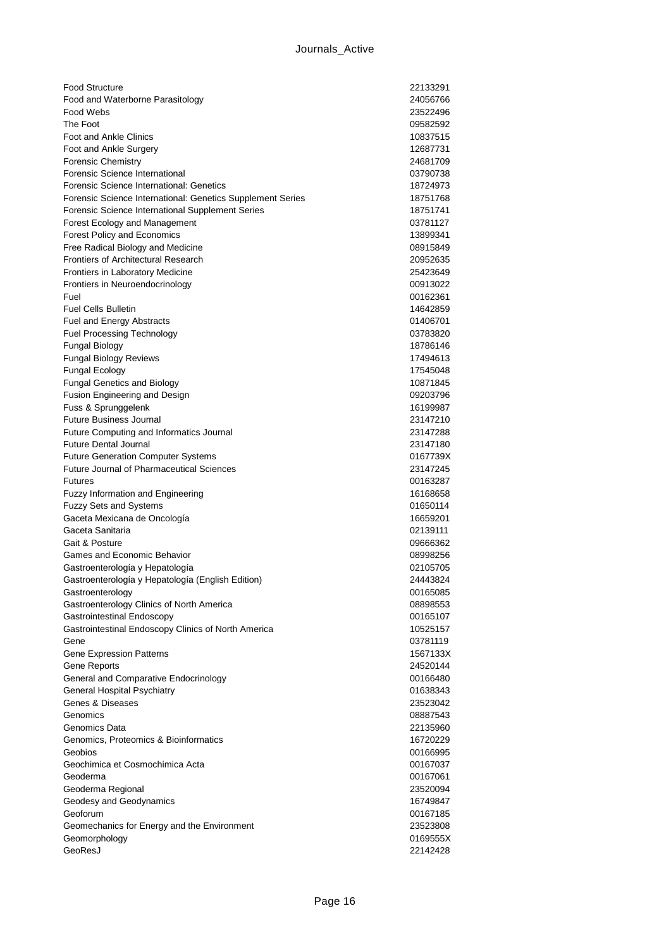| <b>Food Structure</b>                                      | 22133291             |
|------------------------------------------------------------|----------------------|
| Food and Waterborne Parasitology                           | 24056766             |
| Food Webs                                                  | 23522496             |
| The Foot                                                   | 09582592             |
| <b>Foot and Ankle Clinics</b>                              | 10837515             |
| Foot and Ankle Surgery                                     | 12687731             |
| <b>Forensic Chemistry</b>                                  | 24681709             |
| Forensic Science International                             | 03790738             |
| Forensic Science International: Genetics                   | 18724973             |
| Forensic Science International: Genetics Supplement Series | 18751768             |
| Forensic Science International Supplement Series           | 18751741             |
| Forest Ecology and Management                              | 03781127             |
| Forest Policy and Economics                                | 13899341             |
| Free Radical Biology and Medicine                          | 08915849             |
| <b>Frontiers of Architectural Research</b>                 | 20952635             |
| Frontiers in Laboratory Medicine                           | 25423649             |
| Frontiers in Neuroendocrinology<br>Fuel                    | 00913022             |
| <b>Fuel Cells Bulletin</b>                                 | 00162361<br>14642859 |
| Fuel and Energy Abstracts                                  | 01406701             |
| <b>Fuel Processing Technology</b>                          | 03783820             |
| Fungal Biology                                             | 18786146             |
| <b>Fungal Biology Reviews</b>                              | 17494613             |
| <b>Fungal Ecology</b>                                      | 17545048             |
| <b>Fungal Genetics and Biology</b>                         | 10871845             |
| Fusion Engineering and Design                              | 09203796             |
| Fuss & Sprunggelenk                                        | 16199987             |
| <b>Future Business Journal</b>                             | 23147210             |
| Future Computing and Informatics Journal                   | 23147288             |
| <b>Future Dental Journal</b>                               | 23147180             |
| <b>Future Generation Computer Systems</b>                  | 0167739X             |
| <b>Future Journal of Pharmaceutical Sciences</b>           | 23147245             |
| <b>Futures</b>                                             | 00163287             |
| <b>Fuzzy Information and Engineering</b>                   | 16168658             |
| <b>Fuzzy Sets and Systems</b>                              | 01650114             |
| Gaceta Mexicana de Oncología                               | 16659201             |
| Gaceta Sanitaria                                           | 02139111             |
| Gait & Posture                                             | 09666362             |
| Games and Economic Behavior                                | 08998256             |
| Gastroenterología y Hepatología                            | 02105705             |
| Gastroenterología y Hepatología (English Edition)          | 24443824             |
| Gastroenterology                                           | 00165085             |
| Gastroenterology Clinics of North America                  | 08898553             |
| Gastrointestinal Endoscopy                                 | 00165107             |
| Gastrointestinal Endoscopy Clinics of North America        | 10525157             |
| Gene                                                       | 03781119             |
| Gene Expression Patterns                                   | 1567133X             |
| Gene Reports                                               | 24520144             |
| General and Comparative Endocrinology                      | 00166480             |
| General Hospital Psychiatry                                | 01638343             |
| Genes & Diseases                                           | 23523042             |
| Genomics                                                   | 08887543             |
| Genomics Data                                              | 22135960             |
| Genomics, Proteomics & Bioinformatics<br>Geobios           | 16720229             |
| Geochimica et Cosmochimica Acta                            | 00166995<br>00167037 |
| Geoderma                                                   | 00167061             |
| Geoderma Regional                                          | 23520094             |
| Geodesy and Geodynamics                                    | 16749847             |
| Geoforum                                                   | 00167185             |
| Geomechanics for Energy and the Environment                | 23523808             |
| Geomorphology                                              | 0169555X             |
| GeoResJ                                                    | 22142428             |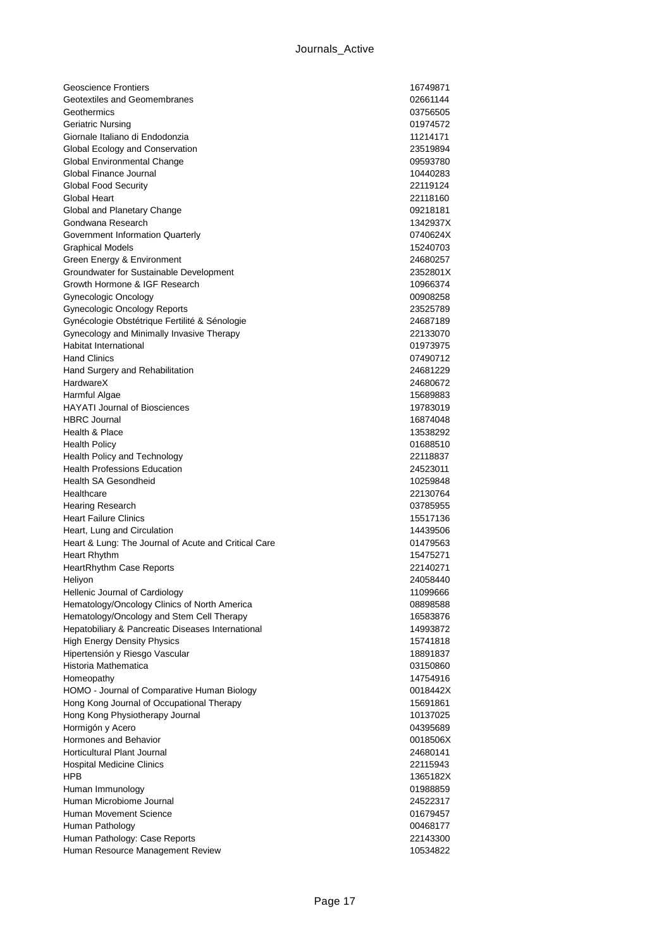| <b>Geoscience Frontiers</b>                            | 16749871             |
|--------------------------------------------------------|----------------------|
| Geotextiles and Geomembranes                           | 02661144             |
| Geothermics                                            | 03756505             |
| Geriatric Nursing                                      | 01974572             |
| Giornale Italiano di Endodonzia                        | 11214171             |
| Global Ecology and Conservation                        | 23519894             |
| Global Environmental Change                            | 09593780             |
| Global Finance Journal                                 | 10440283             |
| <b>Global Food Security</b>                            | 22119124             |
| Global Heart                                           | 22118160             |
| Global and Planetary Change                            | 09218181             |
| Gondwana Research                                      | 1342937X             |
| Government Information Quarterly                       | 0740624X             |
| <b>Graphical Models</b>                                | 15240703             |
| Green Energy & Environment                             | 24680257             |
| Groundwater for Sustainable Development                | 2352801X             |
| Growth Hormone & IGF Research                          | 10966374             |
| Gynecologic Oncology                                   | 00908258             |
| <b>Gynecologic Oncology Reports</b>                    | 23525789             |
| Gynécologie Obstétrique Fertilité & Sénologie          | 24687189             |
| Gynecology and Minimally Invasive Therapy              | 22133070             |
| Habitat International                                  | 01973975             |
| <b>Hand Clinics</b>                                    | 07490712             |
| Hand Surgery and Rehabilitation                        | 24681229             |
| HardwareX                                              | 24680672             |
| Harmful Algae                                          | 15689883             |
| <b>HAYATI Journal of Biosciences</b>                   | 19783019             |
| <b>HBRC</b> Journal                                    | 16874048             |
| Health & Place                                         | 13538292             |
| <b>Health Policy</b>                                   | 01688510             |
| Health Policy and Technology                           | 22118837             |
| <b>Health Professions Education</b>                    | 24523011             |
| <b>Health SA Gesondheid</b>                            | 10259848             |
| Healthcare                                             | 22130764             |
| Hearing Research                                       | 03785955             |
| <b>Heart Failure Clinics</b>                           | 15517136             |
| Heart, Lung and Circulation                            | 14439506             |
| Heart & Lung: The Journal of Acute and Critical Care   | 01479563             |
| <b>Heart Rhythm</b>                                    | 15475271             |
| <b>HeartRhythm Case Reports</b>                        | 22140271             |
| Heliyon                                                | 24058440             |
| Hellenic Journal of Cardiology                         | 11099666             |
| Hematology/Oncology Clinics of North America           | 08898588             |
| Hematology/Oncology and Stem Cell Therapy              | 16583876<br>14993872 |
| Hepatobiliary & Pancreatic Diseases International      |                      |
| <b>High Energy Density Physics</b>                     | 15741818             |
| Hipertensión y Riesgo Vascular<br>Historia Mathematica | 18891837             |
| Homeopathy                                             | 03150860<br>14754916 |
| HOMO - Journal of Comparative Human Biology            | 0018442X             |
| Hong Kong Journal of Occupational Therapy              | 15691861             |
| Hong Kong Physiotherapy Journal                        | 10137025             |
| Hormigón y Acero                                       | 04395689             |
| Hormones and Behavior                                  | 0018506X             |
| <b>Horticultural Plant Journal</b>                     | 24680141             |
| <b>Hospital Medicine Clinics</b>                       | 22115943             |
| HPB                                                    | 1365182X             |
| Human Immunology                                       | 01988859             |
| Human Microbiome Journal                               | 24522317             |
| Human Movement Science                                 | 01679457             |
| Human Pathology                                        | 00468177             |
| Human Pathology: Case Reports                          | 22143300             |
| Human Resource Management Review                       | 10534822             |
|                                                        |                      |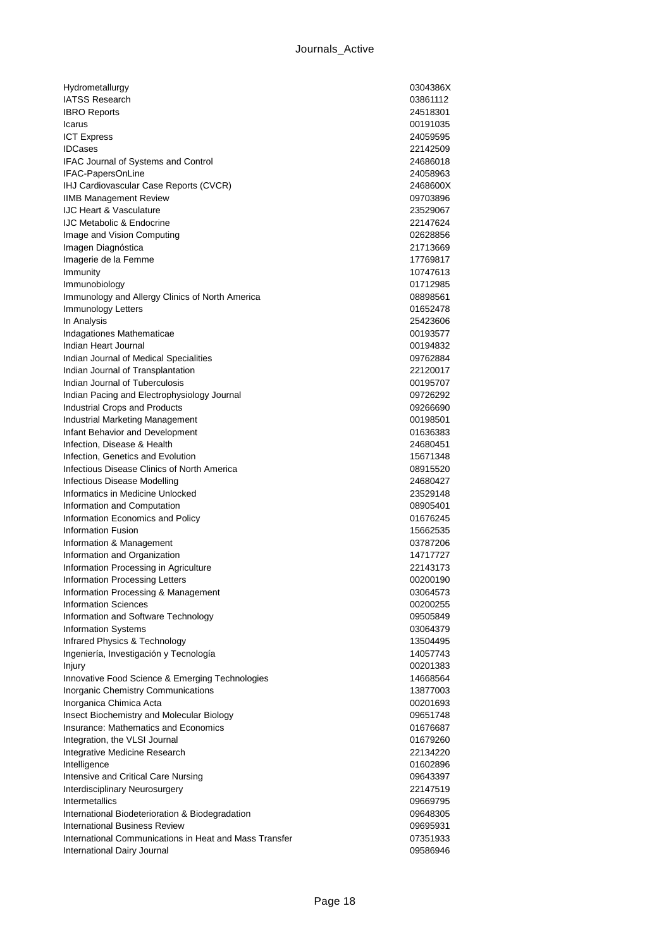| Hydrometallurgy                                                       | 0304386X             |
|-----------------------------------------------------------------------|----------------------|
| <b>IATSS Research</b>                                                 | 03861112             |
| <b>IBRO Reports</b>                                                   | 24518301             |
| Icarus                                                                | 00191035             |
| <b>ICT Express</b>                                                    | 24059595             |
| <b>IDCases</b>                                                        | 22142509             |
| IFAC Journal of Systems and Control                                   | 24686018             |
| IFAC-PapersOnLine                                                     | 24058963             |
| IHJ Cardiovascular Case Reports (CVCR)                                | 2468600X             |
| <b>IIMB Management Review</b>                                         | 09703896             |
| <b>IJC Heart &amp; Vasculature</b>                                    | 23529067             |
| <b>IJC Metabolic &amp; Endocrine</b>                                  | 22147624             |
| Image and Vision Computing                                            | 02628856             |
| Imagen Diagnóstica                                                    | 21713669<br>17769817 |
| Imagerie de la Femme                                                  | 10747613             |
| Immunity                                                              | 01712985             |
| Immunobiology<br>Immunology and Allergy Clinics of North America      | 08898561             |
| Immunology Letters                                                    | 01652478             |
| In Analysis                                                           | 25423606             |
| Indagationes Mathematicae                                             | 00193577             |
| Indian Heart Journal                                                  | 00194832             |
| Indian Journal of Medical Specialities                                | 09762884             |
| Indian Journal of Transplantation                                     | 22120017             |
| Indian Journal of Tuberculosis                                        | 00195707             |
| Indian Pacing and Electrophysiology Journal                           | 09726292             |
| <b>Industrial Crops and Products</b>                                  | 09266690             |
| Industrial Marketing Management                                       | 00198501             |
| Infant Behavior and Development                                       | 01636383             |
| Infection, Disease & Health                                           | 24680451             |
| Infection, Genetics and Evolution                                     | 15671348             |
| Infectious Disease Clinics of North America                           | 08915520             |
| Infectious Disease Modelling                                          | 24680427             |
| Informatics in Medicine Unlocked                                      | 23529148             |
| Information and Computation                                           | 08905401             |
| Information Economics and Policy                                      | 01676245             |
| <b>Information Fusion</b>                                             | 15662535             |
| Information & Management                                              | 03787206             |
| Information and Organization                                          | 14717727             |
| Information Processing in Agriculture                                 | 22143173             |
| Information Processing Letters                                        | 00200190             |
| Information Processing & Management                                   | 03064573             |
| <b>Information Sciences</b>                                           | 00200255             |
| Information and Software Technology                                   | 09505849             |
| <b>Information Systems</b>                                            | 03064379             |
| Infrared Physics & Technology                                         | 13504495             |
| Ingeniería, Investigación y Tecnología                                | 14057743             |
| Injury                                                                | 00201383             |
| Innovative Food Science & Emerging Technologies                       | 14668564             |
| Inorganic Chemistry Communications                                    | 13877003             |
| Inorganica Chimica Acta                                               | 00201693             |
| Insect Biochemistry and Molecular Biology                             | 09651748             |
| Insurance: Mathematics and Economics                                  | 01676687             |
| Integration, the VLSI Journal                                         | 01679260             |
| Integrative Medicine Research                                         | 22134220             |
| Intelligence                                                          | 01602896<br>09643397 |
| Intensive and Critical Care Nursing<br>Interdisciplinary Neurosurgery | 22147519             |
| <b>Intermetallics</b>                                                 | 09669795             |
| International Biodeterioration & Biodegradation                       | 09648305             |
| <b>International Business Review</b>                                  | 09695931             |
| International Communications in Heat and Mass Transfer                | 07351933             |
|                                                                       |                      |
| International Dairy Journal                                           | 09586946             |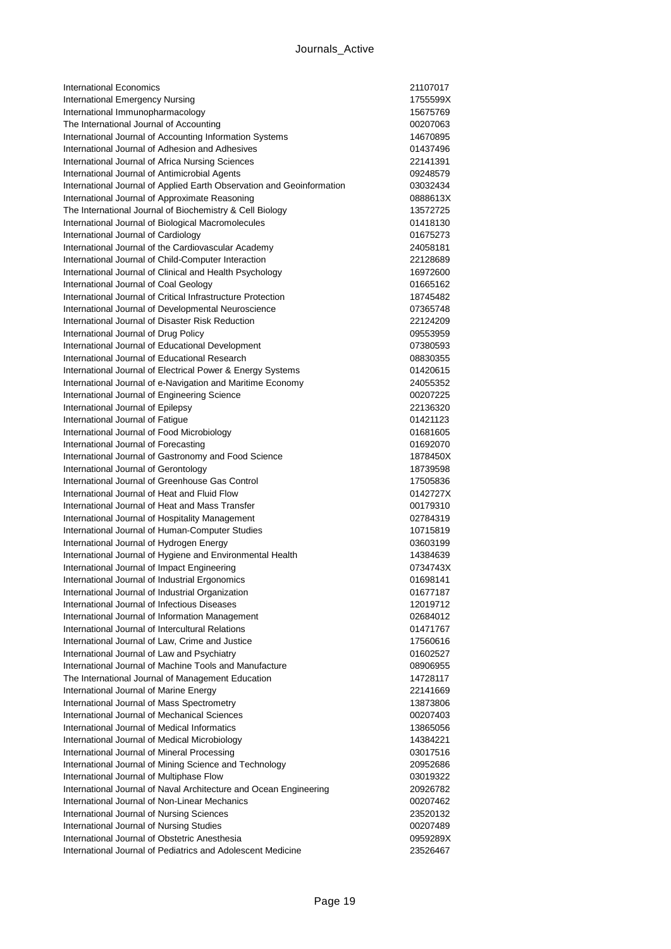| International Economics                                                                             | 21107017             |
|-----------------------------------------------------------------------------------------------------|----------------------|
| International Emergency Nursing                                                                     | 1755599X             |
| International Immunopharmacology                                                                    | 15675769             |
| The International Journal of Accounting                                                             | 00207063             |
| International Journal of Accounting Information Systems                                             | 14670895             |
| International Journal of Adhesion and Adhesives                                                     | 01437496             |
| International Journal of Africa Nursing Sciences                                                    | 22141391             |
| International Journal of Antimicrobial Agents                                                       | 09248579             |
| International Journal of Applied Earth Observation and Geoinformation                               | 03032434             |
| International Journal of Approximate Reasoning                                                      | 0888613X             |
| The International Journal of Biochemistry & Cell Biology                                            | 13572725             |
| International Journal of Biological Macromolecules                                                  | 01418130             |
| International Journal of Cardiology                                                                 | 01675273             |
| International Journal of the Cardiovascular Academy                                                 | 24058181             |
| International Journal of Child-Computer Interaction                                                 | 22128689             |
| International Journal of Clinical and Health Psychology                                             | 16972600             |
| International Journal of Coal Geology                                                               | 01665162             |
| International Journal of Critical Infrastructure Protection                                         | 18745482             |
| International Journal of Developmental Neuroscience                                                 | 07365748             |
| International Journal of Disaster Risk Reduction                                                    | 22124209             |
| International Journal of Drug Policy                                                                | 09553959             |
| International Journal of Educational Development                                                    | 07380593             |
| International Journal of Educational Research                                                       | 08830355             |
| International Journal of Electrical Power & Energy Systems                                          | 01420615             |
| International Journal of e-Navigation and Maritime Economy                                          | 24055352             |
| International Journal of Engineering Science                                                        | 00207225             |
| International Journal of Epilepsy                                                                   | 22136320             |
| International Journal of Fatigue                                                                    | 01421123             |
| International Journal of Food Microbiology                                                          | 01681605             |
| International Journal of Forecasting                                                                | 01692070             |
| International Journal of Gastronomy and Food Science                                                | 1878450X             |
| International Journal of Gerontology                                                                | 18739598             |
| International Journal of Greenhouse Gas Control                                                     | 17505836             |
| International Journal of Heat and Fluid Flow                                                        | 0142727X             |
| International Journal of Heat and Mass Transfer                                                     | 00179310             |
| International Journal of Hospitality Management                                                     | 02784319             |
| International Journal of Human-Computer Studies                                                     | 10715819             |
| International Journal of Hydrogen Energy                                                            | 03603199             |
| International Journal of Hygiene and Environmental Health                                           | 14384639             |
| International Journal of Impact Engineering                                                         | 0734743X             |
| International Journal of Industrial Ergonomics                                                      | 01698141             |
|                                                                                                     |                      |
| International Journal of Industrial Organization<br>International Journal of Infectious Diseases    | 01677187<br>12019712 |
|                                                                                                     |                      |
| International Journal of Information Management<br>International Journal of Intercultural Relations | 02684012             |
|                                                                                                     | 01471767             |
| International Journal of Law, Crime and Justice                                                     | 17560616             |
| International Journal of Law and Psychiatry                                                         | 01602527             |
| International Journal of Machine Tools and Manufacture                                              | 08906955             |
| The International Journal of Management Education                                                   | 14728117             |
| International Journal of Marine Energy                                                              | 22141669             |
| International Journal of Mass Spectrometry                                                          | 13873806             |
| International Journal of Mechanical Sciences                                                        | 00207403             |
| International Journal of Medical Informatics                                                        | 13865056             |
| International Journal of Medical Microbiology                                                       | 14384221             |
| International Journal of Mineral Processing                                                         | 03017516             |
| International Journal of Mining Science and Technology                                              | 20952686             |
| International Journal of Multiphase Flow                                                            | 03019322             |
| International Journal of Naval Architecture and Ocean Engineering                                   | 20926782             |
| International Journal of Non-Linear Mechanics                                                       | 00207462             |
| International Journal of Nursing Sciences                                                           | 23520132             |
| International Journal of Nursing Studies                                                            | 00207489             |
| International Journal of Obstetric Anesthesia                                                       | 0959289X             |
| International Journal of Pediatrics and Adolescent Medicine                                         | 23526467             |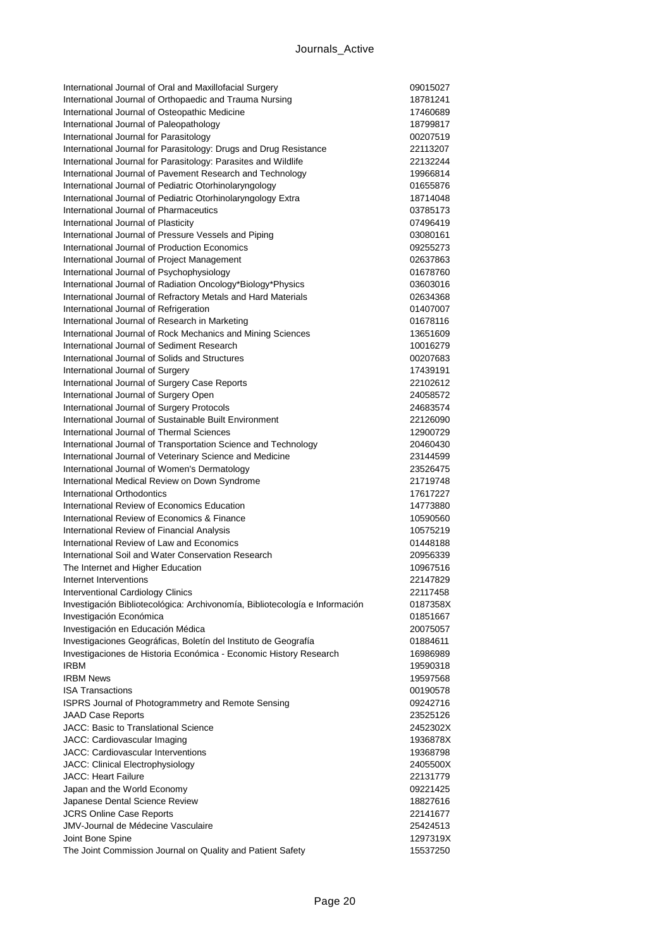| International Journal of Oral and Maxillofacial Surgery                                                 | 09015027             |
|---------------------------------------------------------------------------------------------------------|----------------------|
| International Journal of Orthopaedic and Trauma Nursing                                                 | 18781241             |
| International Journal of Osteopathic Medicine                                                           | 17460689             |
| International Journal of Paleopathology                                                                 | 18799817             |
| International Journal for Parasitology                                                                  | 00207519             |
| International Journal for Parasitology: Drugs and Drug Resistance                                       | 22113207             |
| International Journal for Parasitology: Parasites and Wildlife                                          | 22132244             |
| International Journal of Pavement Research and Technology                                               | 19966814             |
| International Journal of Pediatric Otorhinolaryngology                                                  | 01655876             |
| International Journal of Pediatric Otorhinolaryngology Extra                                            | 18714048             |
| International Journal of Pharmaceutics                                                                  | 03785173             |
| International Journal of Plasticity                                                                     | 07496419             |
| International Journal of Pressure Vessels and Piping                                                    | 03080161             |
| International Journal of Production Economics                                                           | 09255273             |
| International Journal of Project Management                                                             | 02637863             |
| International Journal of Psychophysiology                                                               | 01678760             |
| International Journal of Radiation Oncology*Biology*Physics                                             | 03603016             |
| International Journal of Refractory Metals and Hard Materials<br>International Journal of Refrigeration | 02634368<br>01407007 |
| International Journal of Research in Marketing                                                          | 01678116             |
| International Journal of Rock Mechanics and Mining Sciences                                             | 13651609             |
| International Journal of Sediment Research                                                              | 10016279             |
| International Journal of Solids and Structures                                                          | 00207683             |
| International Journal of Surgery                                                                        | 17439191             |
| International Journal of Surgery Case Reports                                                           | 22102612             |
| International Journal of Surgery Open                                                                   | 24058572             |
| International Journal of Surgery Protocols                                                              | 24683574             |
| International Journal of Sustainable Built Environment                                                  | 22126090             |
| International Journal of Thermal Sciences                                                               | 12900729             |
| International Journal of Transportation Science and Technology                                          | 20460430             |
| International Journal of Veterinary Science and Medicine                                                | 23144599             |
| International Journal of Women's Dermatology                                                            | 23526475             |
| International Medical Review on Down Syndrome                                                           | 21719748             |
| International Orthodontics                                                                              | 17617227             |
| International Review of Economics Education                                                             | 14773880             |
| International Review of Economics & Finance                                                             | 10590560             |
| International Review of Financial Analysis                                                              | 10575219             |
| International Review of Law and Economics                                                               | 01448188             |
| International Soil and Water Conservation Research                                                      | 20956339             |
| The Internet and Higher Education                                                                       | 10967516             |
| Internet Interventions                                                                                  | 22147829             |
| <b>Interventional Cardiology Clinics</b>                                                                | 22117458             |
| Investigación Bibliotecológica: Archivonomía, Bibliotecología e Información                             | 0187358X             |
| Investigación Económica                                                                                 | 01851667             |
| Investigación en Educación Médica                                                                       | 20075057             |
| Investigaciones Geográficas, Boletín del Instituto de Geografía                                         | 01884611             |
| Investigaciones de Historia Económica - Economic History Research                                       | 16986989             |
| <b>IRBM</b><br><b>IRBM News</b>                                                                         | 19590318             |
| <b>ISA Transactions</b>                                                                                 | 19597568             |
| <b>ISPRS Journal of Photogrammetry and Remote Sensing</b>                                               | 00190578<br>09242716 |
| <b>JAAD Case Reports</b>                                                                                | 23525126             |
| JACC: Basic to Translational Science                                                                    | 2452302X             |
| JACC: Cardiovascular Imaging                                                                            | 1936878X             |
| <b>JACC: Cardiovascular Interventions</b>                                                               | 19368798             |
| JACC: Clinical Electrophysiology                                                                        | 2405500X             |
| <b>JACC: Heart Failure</b>                                                                              | 22131779             |
| Japan and the World Economy                                                                             | 09221425             |
| Japanese Dental Science Review                                                                          | 18827616             |
| <b>JCRS Online Case Reports</b>                                                                         | 22141677             |
| <b>JMV-Journal de Médecine Vasculaire</b>                                                               | 25424513             |
| Joint Bone Spine                                                                                        | 1297319X             |
| The Joint Commission Journal on Quality and Patient Safety                                              | 15537250             |
|                                                                                                         |                      |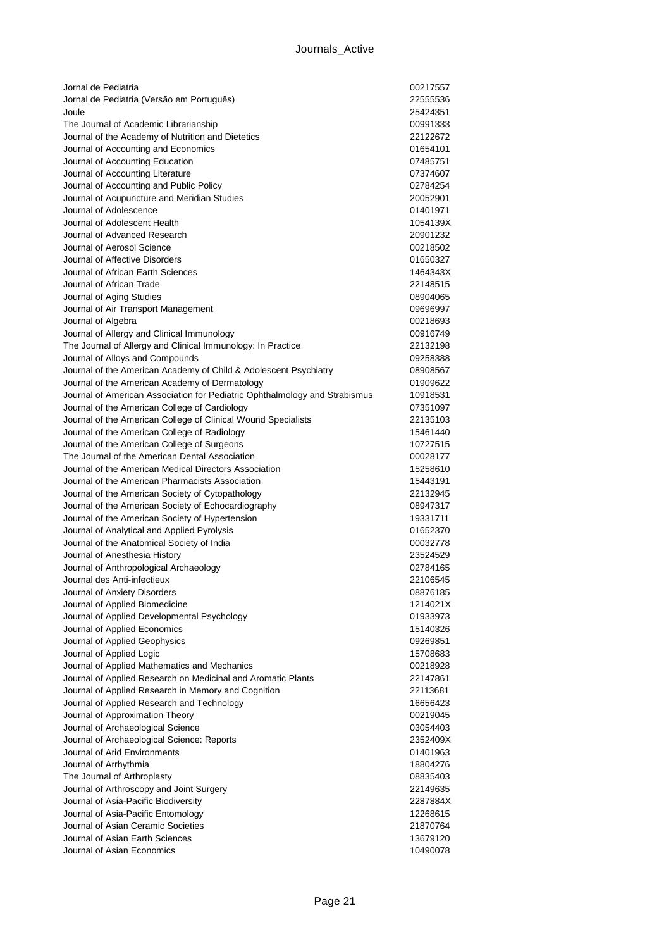| Jornal de Pediatria                                                        | 00217557 |
|----------------------------------------------------------------------------|----------|
| Jornal de Pediatria (Versão em Português)                                  | 22555536 |
| Joule                                                                      | 25424351 |
| The Journal of Academic Librarianship                                      | 00991333 |
| Journal of the Academy of Nutrition and Dietetics                          | 22122672 |
| Journal of Accounting and Economics                                        | 01654101 |
| Journal of Accounting Education                                            | 07485751 |
| Journal of Accounting Literature                                           | 07374607 |
| Journal of Accounting and Public Policy                                    | 02784254 |
| Journal of Acupuncture and Meridian Studies                                | 20052901 |
| Journal of Adolescence                                                     | 01401971 |
| Journal of Adolescent Health                                               | 1054139X |
| Journal of Advanced Research                                               | 20901232 |
| Journal of Aerosol Science                                                 | 00218502 |
| Journal of Affective Disorders                                             | 01650327 |
| Journal of African Earth Sciences                                          | 1464343X |
| Journal of African Trade                                                   | 22148515 |
| Journal of Aging Studies                                                   | 08904065 |
| Journal of Air Transport Management                                        | 09696997 |
| Journal of Algebra                                                         | 00218693 |
| Journal of Allergy and Clinical Immunology                                 | 00916749 |
| The Journal of Allergy and Clinical Immunology: In Practice                | 22132198 |
| Journal of Alloys and Compounds                                            | 09258388 |
| Journal of the American Academy of Child & Adolescent Psychiatry           | 08908567 |
| Journal of the American Academy of Dermatology                             | 01909622 |
| Journal of American Association for Pediatric Ophthalmology and Strabismus | 10918531 |
| Journal of the American College of Cardiology                              | 07351097 |
| Journal of the American College of Clinical Wound Specialists              | 22135103 |
| Journal of the American College of Radiology                               | 15461440 |
| Journal of the American College of Surgeons                                | 10727515 |
| The Journal of the American Dental Association                             | 00028177 |
| Journal of the American Medical Directors Association                      | 15258610 |
| Journal of the American Pharmacists Association                            | 15443191 |
| Journal of the American Society of Cytopathology                           | 22132945 |
| Journal of the American Society of Echocardiography                        | 08947317 |
| Journal of the American Society of Hypertension                            | 19331711 |
| Journal of Analytical and Applied Pyrolysis                                | 01652370 |
| Journal of the Anatomical Society of India                                 | 00032778 |
| Journal of Anesthesia History                                              | 23524529 |
| Journal of Anthropological Archaeology                                     | 02784165 |
| Journal des Anti-infectieux                                                | 22106545 |
| Journal of Anxiety Disorders                                               | 08876185 |
| Journal of Applied Biomedicine                                             | 1214021X |
| Journal of Applied Developmental Psychology                                | 01933973 |
| Journal of Applied Economics                                               | 15140326 |
| Journal of Applied Geophysics                                              | 09269851 |
| Journal of Applied Logic                                                   | 15708683 |
| Journal of Applied Mathematics and Mechanics                               | 00218928 |
| Journal of Applied Research on Medicinal and Aromatic Plants               | 22147861 |
| Journal of Applied Research in Memory and Cognition                        | 22113681 |
| Journal of Applied Research and Technology                                 | 16656423 |
| Journal of Approximation Theory                                            | 00219045 |
| Journal of Archaeological Science                                          | 03054403 |
| Journal of Archaeological Science: Reports                                 | 2352409X |
| Journal of Arid Environments                                               | 01401963 |
| Journal of Arrhythmia                                                      | 18804276 |
| The Journal of Arthroplasty                                                | 08835403 |
| Journal of Arthroscopy and Joint Surgery                                   | 22149635 |
| Journal of Asia-Pacific Biodiversity                                       | 2287884X |
| Journal of Asia-Pacific Entomology                                         | 12268615 |
| Journal of Asian Ceramic Societies                                         | 21870764 |
| Journal of Asian Earth Sciences                                            | 13679120 |
| Journal of Asian Economics                                                 | 10490078 |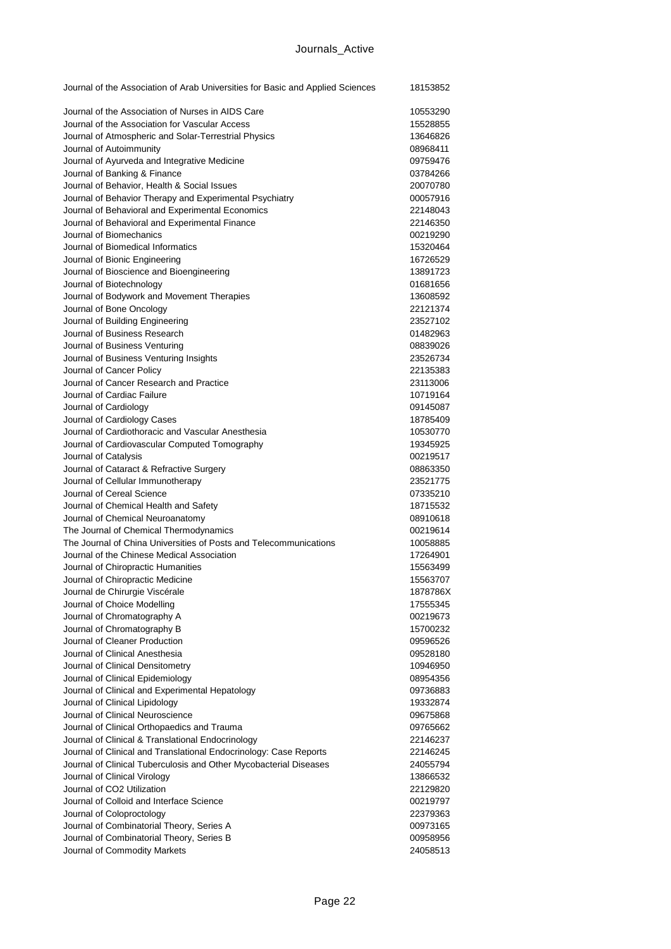| Journal of the Association of Arab Universities for Basic and Applied Sciences                                  | 18153852             |
|-----------------------------------------------------------------------------------------------------------------|----------------------|
| Journal of the Association of Nurses in AIDS Care                                                               | 10553290             |
| Journal of the Association for Vascular Access                                                                  | 15528855             |
| Journal of Atmospheric and Solar-Terrestrial Physics                                                            | 13646826             |
| Journal of Autoimmunity                                                                                         | 08968411             |
| Journal of Ayurveda and Integrative Medicine                                                                    | 09759476             |
| Journal of Banking & Finance                                                                                    | 03784266             |
| Journal of Behavior, Health & Social Issues                                                                     | 20070780             |
| Journal of Behavior Therapy and Experimental Psychiatry                                                         | 00057916             |
| Journal of Behavioral and Experimental Economics                                                                | 22148043             |
| Journal of Behavioral and Experimental Finance                                                                  | 22146350             |
| Journal of Biomechanics                                                                                         | 00219290             |
| Journal of Biomedical Informatics                                                                               | 15320464             |
| Journal of Bionic Engineering                                                                                   | 16726529             |
| Journal of Bioscience and Bioengineering                                                                        | 13891723             |
| Journal of Biotechnology                                                                                        | 01681656             |
| Journal of Bodywork and Movement Therapies                                                                      | 13608592             |
| Journal of Bone Oncology                                                                                        | 22121374             |
| Journal of Building Engineering                                                                                 | 23527102             |
| Journal of Business Research                                                                                    | 01482963             |
| Journal of Business Venturing                                                                                   | 08839026             |
| Journal of Business Venturing Insights                                                                          | 23526734             |
| Journal of Cancer Policy                                                                                        | 22135383             |
| Journal of Cancer Research and Practice                                                                         | 23113006             |
| Journal of Cardiac Failure                                                                                      | 10719164             |
| Journal of Cardiology                                                                                           | 09145087             |
| Journal of Cardiology Cases                                                                                     | 18785409             |
| Journal of Cardiothoracic and Vascular Anesthesia                                                               | 10530770             |
| Journal of Cardiovascular Computed Tomography                                                                   | 19345925             |
| Journal of Catalysis                                                                                            | 00219517             |
| Journal of Cataract & Refractive Surgery                                                                        | 08863350             |
| Journal of Cellular Immunotherapy                                                                               | 23521775             |
| Journal of Cereal Science                                                                                       | 07335210             |
| Journal of Chemical Health and Safety                                                                           | 18715532             |
| Journal of Chemical Neuroanatomy                                                                                | 08910618             |
| The Journal of Chemical Thermodynamics                                                                          | 00219614             |
| The Journal of China Universities of Posts and Telecommunications<br>Journal of the Chinese Medical Association | 10058885             |
| Journal of Chiropractic Humanities                                                                              | 17264901             |
|                                                                                                                 | 15563499<br>15563707 |
| Journal of Chiropractic Medicine                                                                                |                      |
| Journal de Chirurgie Viscérale<br>Journal of Choice Modelling                                                   | 1878786X             |
| Journal of Chromatography A                                                                                     | 17555345<br>00219673 |
| Journal of Chromatography B                                                                                     | 15700232             |
| Journal of Cleaner Production                                                                                   | 09596526             |
| Journal of Clinical Anesthesia                                                                                  | 09528180             |
| Journal of Clinical Densitometry                                                                                | 10946950             |
| Journal of Clinical Epidemiology                                                                                | 08954356             |
| Journal of Clinical and Experimental Hepatology                                                                 | 09736883             |
| Journal of Clinical Lipidology                                                                                  | 19332874             |
| Journal of Clinical Neuroscience                                                                                | 09675868             |
| Journal of Clinical Orthopaedics and Trauma                                                                     | 09765662             |
| Journal of Clinical & Translational Endocrinology                                                               | 22146237             |
| Journal of Clinical and Translational Endocrinology: Case Reports                                               | 22146245             |
| Journal of Clinical Tuberculosis and Other Mycobacterial Diseases                                               | 24055794             |
| Journal of Clinical Virology                                                                                    | 13866532             |
| Journal of CO2 Utilization                                                                                      | 22129820             |
| Journal of Colloid and Interface Science                                                                        | 00219797             |
| Journal of Coloproctology                                                                                       | 22379363             |
| Journal of Combinatorial Theory, Series A                                                                       | 00973165             |
| Journal of Combinatorial Theory, Series B                                                                       | 00958956             |
| Journal of Commodity Markets                                                                                    | 24058513             |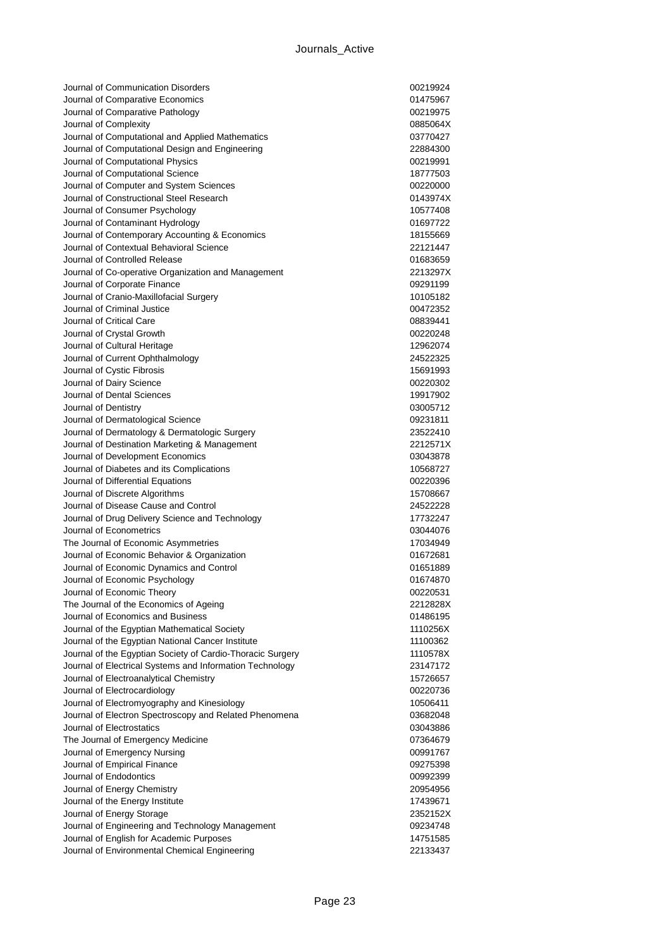| Journal of Communication Disorders                                                 | 00219924             |
|------------------------------------------------------------------------------------|----------------------|
| Journal of Comparative Economics                                                   | 01475967             |
| Journal of Comparative Pathology                                                   | 00219975             |
| Journal of Complexity                                                              | 0885064X             |
| Journal of Computational and Applied Mathematics                                   | 03770427             |
| Journal of Computational Design and Engineering                                    | 22884300             |
| Journal of Computational Physics                                                   | 00219991             |
| Journal of Computational Science                                                   | 18777503             |
| Journal of Computer and System Sciences                                            | 00220000             |
| Journal of Constructional Steel Research                                           | 0143974X             |
| Journal of Consumer Psychology                                                     | 10577408             |
| Journal of Contaminant Hydrology                                                   | 01697722             |
| Journal of Contemporary Accounting & Economics                                     | 18155669             |
| Journal of Contextual Behavioral Science                                           | 22121447             |
| Journal of Controlled Release                                                      | 01683659             |
| Journal of Co-operative Organization and Management                                | 2213297X             |
| Journal of Corporate Finance                                                       | 09291199             |
| Journal of Cranio-Maxillofacial Surgery                                            | 10105182             |
| Journal of Criminal Justice                                                        | 00472352             |
| Journal of Critical Care                                                           | 08839441             |
| Journal of Crystal Growth                                                          | 00220248             |
| Journal of Cultural Heritage                                                       | 12962074             |
| Journal of Current Ophthalmology                                                   | 24522325             |
| Journal of Cystic Fibrosis                                                         | 15691993             |
| Journal of Dairy Science<br>Journal of Dental Sciences                             | 00220302             |
|                                                                                    | 19917902<br>03005712 |
| Journal of Dentistry                                                               |                      |
| Journal of Dermatological Science<br>Journal of Dermatology & Dermatologic Surgery | 09231811<br>23522410 |
| Journal of Destination Marketing & Management                                      | 2212571X             |
| Journal of Development Economics                                                   | 03043878             |
| Journal of Diabetes and its Complications                                          | 10568727             |
| Journal of Differential Equations                                                  | 00220396             |
| Journal of Discrete Algorithms                                                     | 15708667             |
| Journal of Disease Cause and Control                                               | 24522228             |
| Journal of Drug Delivery Science and Technology                                    | 17732247             |
| Journal of Econometrics                                                            | 03044076             |
| The Journal of Economic Asymmetries                                                | 17034949             |
| Journal of Economic Behavior & Organization                                        | 01672681             |
| Journal of Economic Dynamics and Control                                           | 01651889             |
| Journal of Economic Psychology                                                     | 01674870             |
| Journal of Economic Theory                                                         | 00220531             |
| The Journal of the Economics of Ageing                                             | 2212828X             |
| Journal of Economics and Business                                                  | 01486195             |
| Journal of the Egyptian Mathematical Society                                       | 1110256X             |
| Journal of the Egyptian National Cancer Institute                                  | 11100362             |
| Journal of the Egyptian Society of Cardio-Thoracic Surgery                         | 1110578X             |
| Journal of Electrical Systems and Information Technology                           | 23147172             |
| Journal of Electroanalytical Chemistry                                             | 15726657             |
| Journal of Electrocardiology                                                       | 00220736             |
| Journal of Electromyography and Kinesiology                                        | 10506411             |
| Journal of Electron Spectroscopy and Related Phenomena                             | 03682048             |
| Journal of Electrostatics                                                          | 03043886             |
| The Journal of Emergency Medicine                                                  | 07364679             |
| Journal of Emergency Nursing                                                       | 00991767             |
| Journal of Empirical Finance                                                       | 09275398             |
| Journal of Endodontics                                                             | 00992399             |
| Journal of Energy Chemistry                                                        | 20954956             |
| Journal of the Energy Institute                                                    | 17439671             |
| Journal of Energy Storage                                                          | 2352152X             |
| Journal of Engineering and Technology Management                                   | 09234748             |
| Journal of English for Academic Purposes                                           | 14751585             |
| Journal of Environmental Chemical Engineering                                      | 22133437             |
|                                                                                    |                      |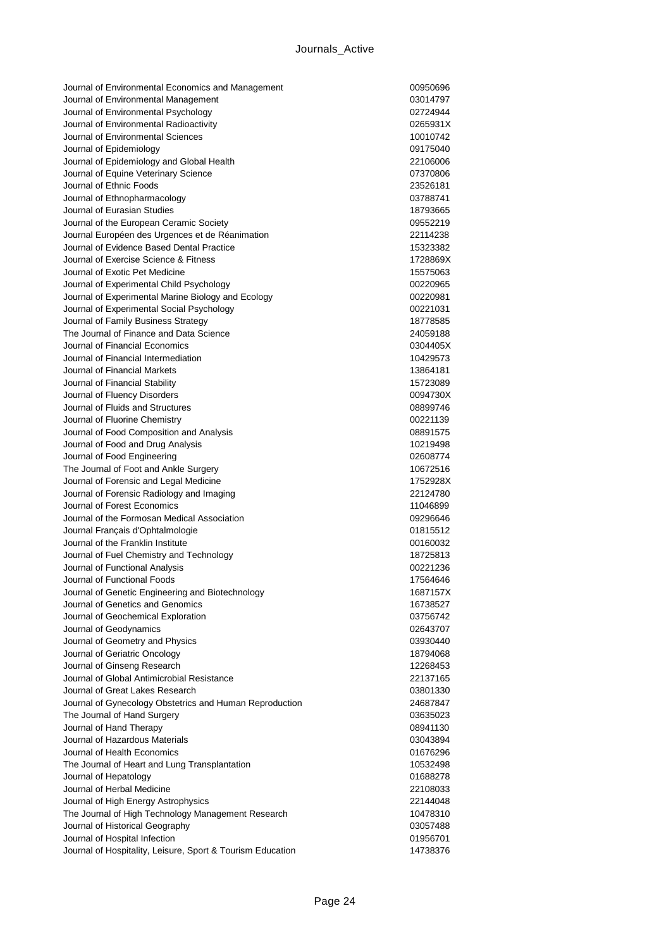| Journal of Environmental Economics and Management                                           | 00950696             |
|---------------------------------------------------------------------------------------------|----------------------|
| Journal of Environmental Management                                                         | 03014797             |
| Journal of Environmental Psychology                                                         | 02724944             |
| Journal of Environmental Radioactivity                                                      | 0265931X             |
| Journal of Environmental Sciences                                                           | 10010742             |
| Journal of Epidemiology                                                                     | 09175040             |
| Journal of Epidemiology and Global Health                                                   | 22106006             |
| Journal of Equine Veterinary Science                                                        | 07370806             |
| Journal of Ethnic Foods                                                                     | 23526181             |
| Journal of Ethnopharmacology                                                                | 03788741             |
| Journal of Eurasian Studies                                                                 | 18793665             |
| Journal of the European Ceramic Society                                                     | 09552219             |
| Journal Européen des Urgences et de Réanimation                                             | 22114238             |
| Journal of Evidence Based Dental Practice                                                   | 15323382             |
| Journal of Exercise Science & Fitness                                                       | 1728869X             |
| Journal of Exotic Pet Medicine                                                              | 15575063             |
| Journal of Experimental Child Psychology                                                    | 00220965             |
| Journal of Experimental Marine Biology and Ecology                                          | 00220981             |
| Journal of Experimental Social Psychology                                                   | 00221031             |
| Journal of Family Business Strategy                                                         | 18778585             |
| The Journal of Finance and Data Science                                                     | 24059188             |
| Journal of Financial Economics                                                              | 0304405X             |
| Journal of Financial Intermediation                                                         | 10429573             |
| Journal of Financial Markets                                                                | 13864181             |
| Journal of Financial Stability                                                              | 15723089             |
| Journal of Fluency Disorders                                                                | 0094730X             |
| Journal of Fluids and Structures                                                            | 08899746             |
| Journal of Fluorine Chemistry                                                               | 00221139             |
| Journal of Food Composition and Analysis                                                    | 08891575             |
| Journal of Food and Drug Analysis                                                           | 10219498             |
| Journal of Food Engineering                                                                 | 02608774             |
| The Journal of Foot and Ankle Surgery                                                       | 10672516             |
| Journal of Forensic and Legal Medicine                                                      | 1752928X             |
| Journal of Forensic Radiology and Imaging                                                   | 22124780             |
| Journal of Forest Economics                                                                 | 11046899             |
| Journal of the Formosan Medical Association                                                 | 09296646             |
| Journal Français d'Ophtalmologie                                                            | 01815512             |
| Journal of the Franklin Institute                                                           | 00160032             |
| Journal of Fuel Chemistry and Technology                                                    | 18725813             |
| Journal of Functional Analysis                                                              | 00221236             |
| Journal of Functional Foods                                                                 | 17564646             |
| Journal of Genetic Engineering and Biotechnology                                            | 1687157X             |
| Journal of Genetics and Genomics                                                            | 16738527             |
| Journal of Geochemical Exploration                                                          | 03756742             |
| Journal of Geodynamics                                                                      | 02643707             |
| Journal of Geometry and Physics                                                             | 03930440             |
| Journal of Geriatric Oncology                                                               | 18794068             |
| Journal of Ginseng Research                                                                 | 12268453             |
| Journal of Global Antimicrobial Resistance                                                  | 22137165             |
| Journal of Great Lakes Research                                                             | 03801330             |
| Journal of Gynecology Obstetrics and Human Reproduction                                     | 24687847             |
| The Journal of Hand Surgery                                                                 | 03635023             |
| Journal of Hand Therapy                                                                     | 08941130             |
| Journal of Hazardous Materials                                                              | 03043894             |
| Journal of Health Economics                                                                 | 01676296             |
| The Journal of Heart and Lung Transplantation                                               | 10532498             |
| Journal of Hepatology                                                                       | 01688278             |
| Journal of Herbal Medicine                                                                  | 22108033             |
| Journal of High Energy Astrophysics                                                         | 22144048             |
| The Journal of High Technology Management Research                                          |                      |
|                                                                                             |                      |
|                                                                                             | 10478310             |
| Journal of Historical Geography                                                             | 03057488             |
| Journal of Hospital Infection<br>Journal of Hospitality, Leisure, Sport & Tourism Education | 01956701<br>14738376 |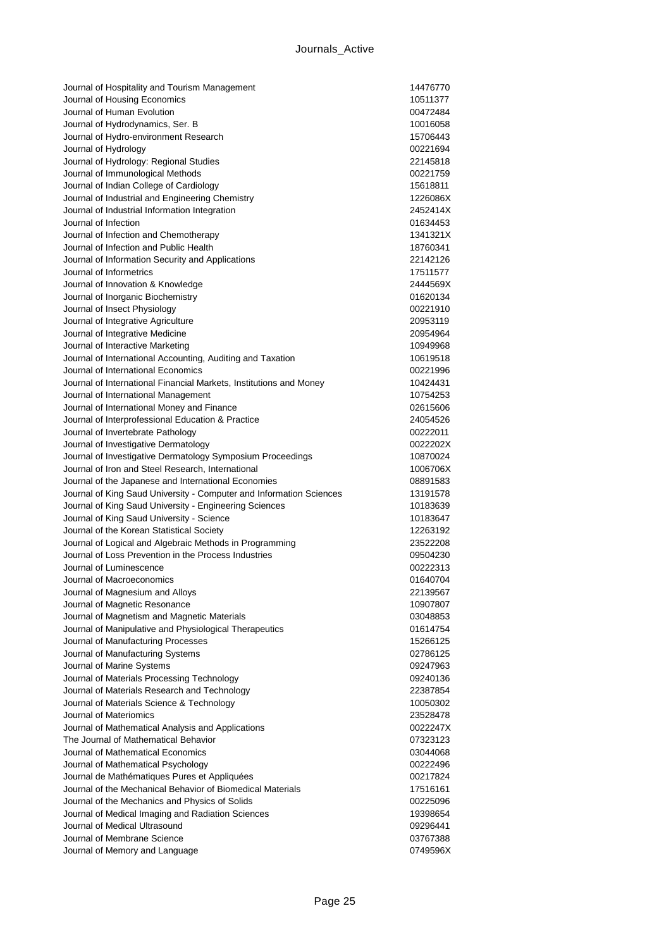| Journal of Hospitality and Tourism Management                                                              | 14476770             |
|------------------------------------------------------------------------------------------------------------|----------------------|
| Journal of Housing Economics                                                                               | 10511377             |
| Journal of Human Evolution                                                                                 | 00472484             |
| Journal of Hydrodynamics, Ser. B                                                                           | 10016058             |
| Journal of Hydro-environment Research                                                                      | 15706443             |
| Journal of Hydrology                                                                                       | 00221694             |
| Journal of Hydrology: Regional Studies                                                                     | 22145818             |
| Journal of Immunological Methods                                                                           | 00221759             |
| Journal of Indian College of Cardiology                                                                    | 15618811             |
| Journal of Industrial and Engineering Chemistry                                                            | 1226086X             |
| Journal of Industrial Information Integration                                                              | 2452414X             |
| Journal of Infection                                                                                       | 01634453             |
| Journal of Infection and Chemotherapy                                                                      | 1341321X             |
| Journal of Infection and Public Health                                                                     | 18760341             |
| Journal of Information Security and Applications                                                           | 22142126             |
| Journal of Informetrics                                                                                    | 17511577             |
| Journal of Innovation & Knowledge                                                                          | 2444569X             |
| Journal of Inorganic Biochemistry                                                                          | 01620134             |
| Journal of Insect Physiology                                                                               | 00221910             |
| Journal of Integrative Agriculture                                                                         | 20953119             |
| Journal of Integrative Medicine                                                                            | 20954964             |
| Journal of Interactive Marketing                                                                           | 10949968             |
| Journal of International Accounting, Auditing and Taxation                                                 | 10619518             |
| Journal of International Economics                                                                         | 00221996             |
| Journal of International Financial Markets, Institutions and Money                                         | 10424431             |
| Journal of International Management                                                                        | 10754253             |
| Journal of International Money and Finance                                                                 | 02615606             |
| Journal of Interprofessional Education & Practice                                                          | 24054526             |
| Journal of Invertebrate Pathology                                                                          | 00222011             |
| Journal of Investigative Dermatology                                                                       | 0022202X             |
| Journal of Investigative Dermatology Symposium Proceedings                                                 | 10870024             |
| Journal of Iron and Steel Research, International                                                          | 1006706X             |
| Journal of the Japanese and International Economies                                                        | 08891583             |
| Journal of King Saud University - Computer and Information Sciences                                        | 13191578             |
| Journal of King Saud University - Engineering Sciences                                                     | 10183639             |
| Journal of King Saud University - Science                                                                  | 10183647             |
| Journal of the Korean Statistical Society                                                                  | 12263192             |
| Journal of Logical and Algebraic Methods in Programming                                                    | 23522208             |
| Journal of Loss Prevention in the Process Industries                                                       | 09504230             |
| Journal of Luminescence                                                                                    | 00222313             |
| Journal of Macroeconomics                                                                                  | 01640704             |
| Journal of Magnesium and Alloys                                                                            | 22139567             |
| Journal of Magnetic Resonance                                                                              | 10907807             |
| Journal of Magnetism and Magnetic Materials                                                                | 03048853             |
| Journal of Manipulative and Physiological Therapeutics                                                     | 01614754             |
| Journal of Manufacturing Processes                                                                         | 15266125             |
| Journal of Manufacturing Systems                                                                           | 02786125             |
| Journal of Marine Systems                                                                                  | 09247963             |
| Journal of Materials Processing Technology                                                                 | 09240136             |
| Journal of Materials Research and Technology<br>Journal of Materials Science & Technology                  | 22387854             |
| Journal of Materiomics                                                                                     | 10050302<br>23528478 |
|                                                                                                            |                      |
| Journal of Mathematical Analysis and Applications                                                          | 0022247X             |
| The Journal of Mathematical Behavior<br>Journal of Mathematical Economics                                  | 07323123<br>03044068 |
|                                                                                                            |                      |
| Journal of Mathematical Psychology                                                                         | 00222496             |
| Journal de Mathématiques Pures et Appliquées<br>Journal of the Mechanical Behavior of Biomedical Materials | 00217824             |
| Journal of the Mechanics and Physics of Solids                                                             | 17516161<br>00225096 |
| Journal of Medical Imaging and Radiation Sciences                                                          |                      |
| Journal of Medical Ultrasound                                                                              | 19398654             |
| Journal of Membrane Science                                                                                | 09296441<br>03767388 |
| Journal of Memory and Language                                                                             | 0749596X             |
|                                                                                                            |                      |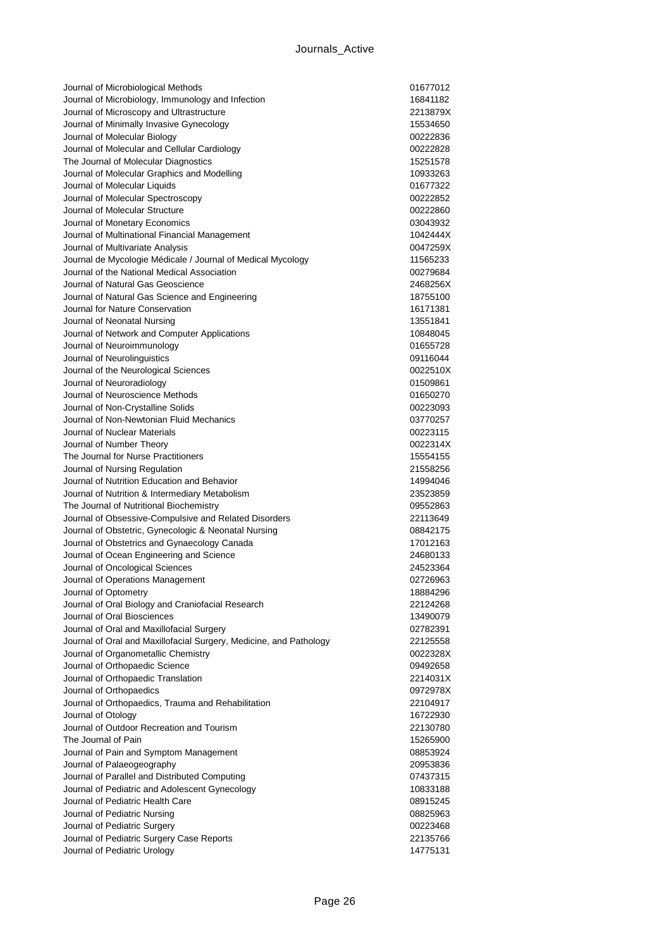| Journal of Microbiological Methods                                               | 01677012             |
|----------------------------------------------------------------------------------|----------------------|
| Journal of Microbiology, Immunology and Infection                                | 16841182             |
| Journal of Microscopy and Ultrastructure                                         | 2213879X             |
| Journal of Minimally Invasive Gynecology                                         | 15534650             |
| Journal of Molecular Biology                                                     | 00222836             |
| Journal of Molecular and Cellular Cardiology                                     | 00222828             |
| The Journal of Molecular Diagnostics                                             | 15251578             |
| Journal of Molecular Graphics and Modelling                                      | 10933263             |
| Journal of Molecular Liquids                                                     | 01677322             |
| Journal of Molecular Spectroscopy                                                | 00222852             |
| Journal of Molecular Structure                                                   | 00222860             |
| Journal of Monetary Economics                                                    | 03043932             |
| Journal of Multinational Financial Management                                    | 1042444X             |
| Journal of Multivariate Analysis                                                 | 0047259X             |
| Journal de Mycologie Médicale / Journal of Medical Mycology                      | 11565233             |
| Journal of the National Medical Association                                      | 00279684             |
| Journal of Natural Gas Geoscience                                                | 2468256X             |
| Journal of Natural Gas Science and Engineering                                   | 18755100             |
| Journal for Nature Conservation                                                  | 16171381             |
| Journal of Neonatal Nursing                                                      | 13551841             |
| Journal of Network and Computer Applications                                     | 10848045             |
| Journal of Neuroimmunology                                                       | 01655728             |
| Journal of Neurolinguistics                                                      | 09116044             |
| Journal of the Neurological Sciences                                             | 0022510X             |
| Journal of Neuroradiology                                                        | 01509861             |
| Journal of Neuroscience Methods                                                  | 01650270             |
| Journal of Non-Crystalline Solids                                                | 00223093             |
| Journal of Non-Newtonian Fluid Mechanics                                         | 03770257             |
| Journal of Nuclear Materials                                                     | 00223115             |
| Journal of Number Theory                                                         | 0022314X             |
| The Journal for Nurse Practitioners                                              | 15554155             |
| Journal of Nursing Regulation                                                    | 21558256             |
| Journal of Nutrition Education and Behavior                                      | 14994046             |
| Journal of Nutrition & Intermediary Metabolism                                   | 23523859             |
| The Journal of Nutritional Biochemistry                                          | 09552863             |
| Journal of Obsessive-Compulsive and Related Disorders                            | 22113649             |
| Journal of Obstetric, Gynecologic & Neonatal Nursing                             | 08842175             |
| Journal of Obstetrics and Gynaecology Canada                                     | 17012163             |
| Journal of Ocean Engineering and Science                                         | 24680133             |
| Journal of Oncological Sciences                                                  | 24523364             |
| Journal of Operations Management                                                 | 02726963             |
| Journal of Optometry                                                             | 18884296             |
| Journal of Oral Biology and Craniofacial Research<br>Journal of Oral Biosciences | 22124268             |
| Journal of Oral and Maxillofacial Surgery                                        | 13490079<br>02782391 |
| Journal of Oral and Maxillofacial Surgery, Medicine, and Pathology               |                      |
| Journal of Organometallic Chemistry                                              | 22125558<br>0022328X |
| Journal of Orthopaedic Science                                                   | 09492658             |
| Journal of Orthopaedic Translation                                               | 2214031X             |
| Journal of Orthopaedics                                                          | 0972978X             |
| Journal of Orthopaedics, Trauma and Rehabilitation                               | 22104917             |
| Journal of Otology                                                               | 16722930             |
| Journal of Outdoor Recreation and Tourism                                        | 22130780             |
| The Journal of Pain                                                              | 15265900             |
| Journal of Pain and Symptom Management                                           | 08853924             |
| Journal of Palaeogeography                                                       | 20953836             |
| Journal of Parallel and Distributed Computing                                    | 07437315             |
| Journal of Pediatric and Adolescent Gynecology                                   | 10833188             |
| Journal of Pediatric Health Care                                                 | 08915245             |
| Journal of Pediatric Nursing                                                     | 08825963             |
| Journal of Pediatric Surgery                                                     |                      |
|                                                                                  |                      |
|                                                                                  | 00223468             |
| Journal of Pediatric Surgery Case Reports<br>Journal of Pediatric Urology        | 22135766<br>14775131 |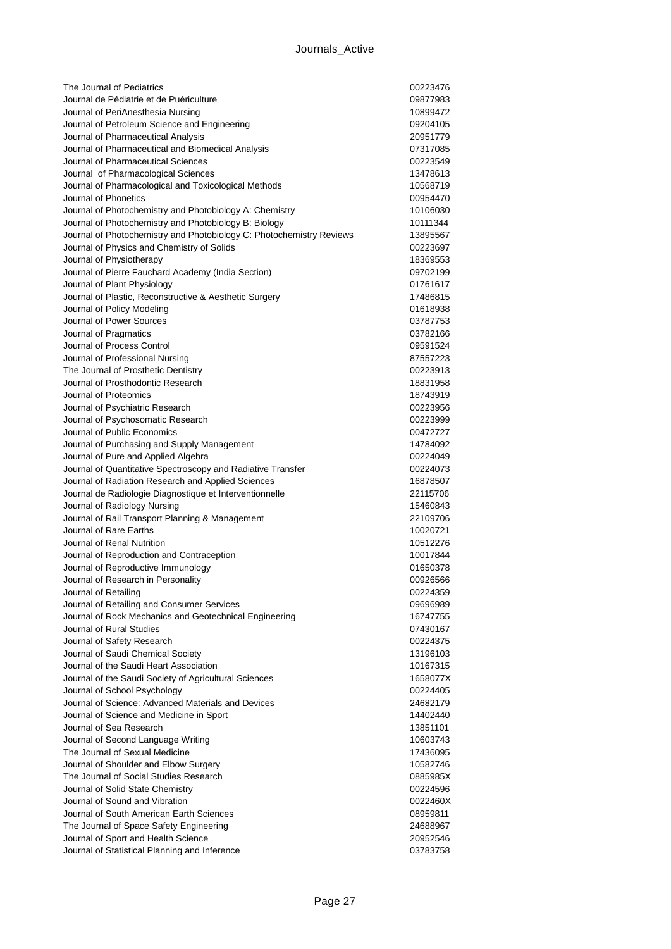| The Journal of Pediatrics                                                                       | 00223476             |
|-------------------------------------------------------------------------------------------------|----------------------|
| Journal de Pédiatrie et de Puériculture                                                         | 09877983             |
| Journal of PeriAnesthesia Nursing                                                               | 10899472             |
| Journal of Petroleum Science and Engineering                                                    | 09204105             |
| Journal of Pharmaceutical Analysis                                                              | 20951779             |
| Journal of Pharmaceutical and Biomedical Analysis                                               | 07317085             |
| Journal of Pharmaceutical Sciences                                                              | 00223549             |
| Journal of Pharmacological Sciences                                                             | 13478613             |
| Journal of Pharmacological and Toxicological Methods                                            | 10568719             |
| Journal of Phonetics                                                                            | 00954470             |
| Journal of Photochemistry and Photobiology A: Chemistry                                         | 10106030             |
| Journal of Photochemistry and Photobiology B: Biology                                           | 10111344             |
| Journal of Photochemistry and Photobiology C: Photochemistry Reviews                            | 13895567             |
| Journal of Physics and Chemistry of Solids                                                      | 00223697             |
| Journal of Physiotherapy                                                                        | 18369553             |
| Journal of Pierre Fauchard Academy (India Section)                                              | 09702199             |
| Journal of Plant Physiology                                                                     | 01761617             |
| Journal of Plastic, Reconstructive & Aesthetic Surgery                                          | 17486815             |
| Journal of Policy Modeling                                                                      | 01618938             |
| Journal of Power Sources                                                                        | 03787753             |
| Journal of Pragmatics                                                                           | 03782166             |
| Journal of Process Control                                                                      | 09591524             |
| Journal of Professional Nursing                                                                 | 87557223             |
| The Journal of Prosthetic Dentistry                                                             | 00223913             |
| Journal of Prosthodontic Research                                                               | 18831958             |
| Journal of Proteomics                                                                           | 18743919             |
| Journal of Psychiatric Research                                                                 | 00223956             |
| Journal of Psychosomatic Research                                                               | 00223999             |
| Journal of Public Economics                                                                     | 00472727             |
| Journal of Purchasing and Supply Management                                                     | 14784092             |
| Journal of Pure and Applied Algebra                                                             | 00224049             |
| Journal of Quantitative Spectroscopy and Radiative Transfer                                     | 00224073             |
| Journal of Radiation Research and Applied Sciences                                              | 16878507             |
| Journal de Radiologie Diagnostique et Interventionnelle                                         | 22115706             |
| Journal of Radiology Nursing                                                                    | 15460843             |
| Journal of Rail Transport Planning & Management                                                 | 22109706             |
| Journal of Rare Earths                                                                          | 10020721             |
| Journal of Renal Nutrition                                                                      | 10512276             |
| Journal of Reproduction and Contraception                                                       | 10017844             |
| Journal of Reproductive Immunology                                                              | 01650378             |
| Journal of Research in Personality                                                              | 00926566             |
| Journal of Retailing                                                                            | 00224359             |
| Journal of Retailing and Consumer Services                                                      | 09696989             |
| Journal of Rock Mechanics and Geotechnical Engineering                                          | 16747755             |
| Journal of Rural Studies                                                                        | 07430167             |
| Journal of Safety Research                                                                      | 00224375             |
| Journal of Saudi Chemical Society                                                               | 13196103             |
| Journal of the Saudi Heart Association<br>Journal of the Saudi Society of Agricultural Sciences | 10167315             |
|                                                                                                 | 1658077X<br>00224405 |
| Journal of School Psychology<br>Journal of Science: Advanced Materials and Devices              | 24682179             |
| Journal of Science and Medicine in Sport                                                        | 14402440             |
| Journal of Sea Research                                                                         | 13851101             |
| Journal of Second Language Writing                                                              | 10603743             |
| The Journal of Sexual Medicine                                                                  | 17436095             |
| Journal of Shoulder and Elbow Surgery                                                           | 10582746             |
| The Journal of Social Studies Research                                                          | 0885985X             |
| Journal of Solid State Chemistry                                                                | 00224596             |
| Journal of Sound and Vibration                                                                  | 0022460X             |
| Journal of South American Earth Sciences                                                        | 08959811             |
| The Journal of Space Safety Engineering                                                         | 24688967             |
| Journal of Sport and Health Science                                                             | 20952546             |
| Journal of Statistical Planning and Inference                                                   | 03783758             |
|                                                                                                 |                      |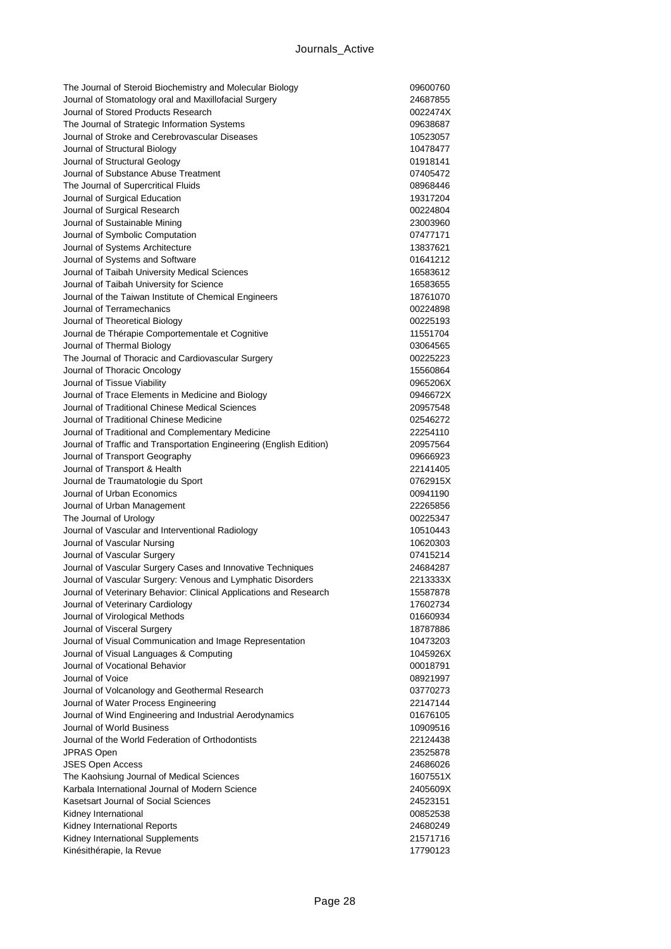| The Journal of Steroid Biochemistry and Molecular Biology                        | 09600760             |
|----------------------------------------------------------------------------------|----------------------|
| Journal of Stomatology oral and Maxillofacial Surgery                            | 24687855             |
| Journal of Stored Products Research                                              | 0022474X             |
| The Journal of Strategic Information Systems                                     | 09638687             |
| Journal of Stroke and Cerebrovascular Diseases                                   | 10523057             |
| Journal of Structural Biology                                                    | 10478477             |
| Journal of Structural Geology                                                    | 01918141             |
| Journal of Substance Abuse Treatment                                             | 07405472             |
| The Journal of Supercritical Fluids                                              | 08968446             |
| Journal of Surgical Education                                                    | 19317204             |
| Journal of Surgical Research                                                     | 00224804             |
| Journal of Sustainable Mining                                                    | 23003960             |
| Journal of Symbolic Computation                                                  | 07477171             |
| Journal of Systems Architecture                                                  | 13837621             |
| Journal of Systems and Software                                                  | 01641212             |
| Journal of Taibah University Medical Sciences                                    | 16583612             |
| Journal of Taibah University for Science                                         | 16583655             |
| Journal of the Taiwan Institute of Chemical Engineers                            | 18761070             |
| Journal of Terramechanics                                                        | 00224898             |
| Journal of Theoretical Biology                                                   | 00225193             |
| Journal de Thérapie Comportementale et Cognitive                                 | 11551704             |
| Journal of Thermal Biology                                                       | 03064565             |
| The Journal of Thoracic and Cardiovascular Surgery                               | 00225223             |
| Journal of Thoracic Oncology                                                     | 15560864             |
| Journal of Tissue Viability<br>Journal of Trace Elements in Medicine and Biology | 0965206X             |
| Journal of Traditional Chinese Medical Sciences                                  | 0946672X<br>20957548 |
| Journal of Traditional Chinese Medicine                                          | 02546272             |
| Journal of Traditional and Complementary Medicine                                | 22254110             |
| Journal of Traffic and Transportation Engineering (English Edition)              | 20957564             |
| Journal of Transport Geography                                                   | 09666923             |
| Journal of Transport & Health                                                    | 22141405             |
| Journal de Traumatologie du Sport                                                | 0762915X             |
| Journal of Urban Economics                                                       | 00941190             |
| Journal of Urban Management                                                      | 22265856             |
| The Journal of Urology                                                           | 00225347             |
| Journal of Vascular and Interventional Radiology                                 | 10510443             |
| Journal of Vascular Nursing                                                      | 10620303             |
| Journal of Vascular Surgery                                                      | 07415214             |
| Journal of Vascular Surgery Cases and Innovative Techniques                      | 24684287             |
| Journal of Vascular Surgery: Venous and Lymphatic Disorders                      | 2213333X             |
| Journal of Veterinary Behavior: Clinical Applications and Research               | 15587878             |
| Journal of Veterinary Cardiology                                                 | 17602734             |
| Journal of Virological Methods                                                   | 01660934             |
| Journal of Visceral Surgery                                                      | 18787886             |
| Journal of Visual Communication and Image Representation                         | 10473203             |
| Journal of Visual Languages & Computing                                          | 1045926X             |
| Journal of Vocational Behavior                                                   | 00018791             |
| Journal of Voice                                                                 | 08921997             |
| Journal of Volcanology and Geothermal Research                                   | 03770273             |
| Journal of Water Process Engineering                                             | 22147144             |
| Journal of Wind Engineering and Industrial Aerodynamics                          | 01676105             |
| Journal of World Business                                                        | 10909516             |
| Journal of the World Federation of Orthodontists                                 | 22124438             |
| <b>JPRAS Open</b>                                                                | 23525878             |
| <b>JSES Open Access</b>                                                          | 24686026             |
| The Kaohsiung Journal of Medical Sciences                                        | 1607551X             |
| Karbala International Journal of Modern Science                                  | 2405609X             |
| Kasetsart Journal of Social Sciences                                             | 24523151             |
| Kidney International                                                             | 00852538             |
| Kidney International Reports                                                     | 24680249             |
| Kidney International Supplements                                                 | 21571716             |
| Kinésithérapie, la Revue                                                         | 17790123             |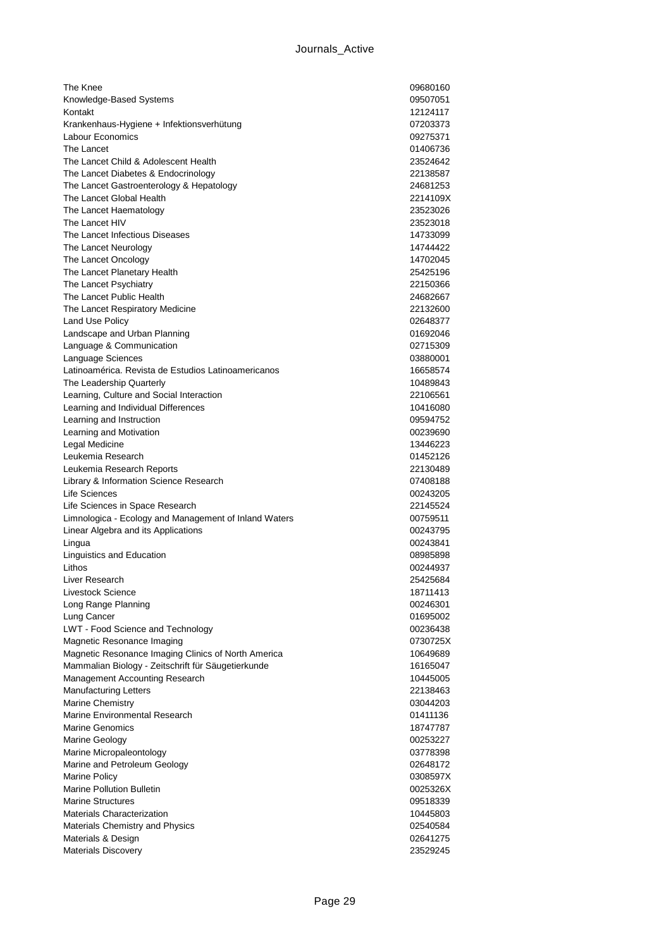| The Knee                                              | 09680160 |
|-------------------------------------------------------|----------|
| Knowledge-Based Systems                               | 09507051 |
| Kontakt                                               | 12124117 |
| Krankenhaus-Hygiene + Infektionsverhütung             | 07203373 |
| Labour Economics                                      | 09275371 |
| The Lancet                                            | 01406736 |
| The Lancet Child & Adolescent Health                  | 23524642 |
| The Lancet Diabetes & Endocrinology                   | 22138587 |
| The Lancet Gastroenterology & Hepatology              | 24681253 |
| The Lancet Global Health                              | 2214109X |
| The Lancet Haematology                                | 23523026 |
| The Lancet HIV                                        | 23523018 |
| The Lancet Infectious Diseases                        | 14733099 |
| The Lancet Neurology                                  | 14744422 |
| The Lancet Oncology                                   | 14702045 |
| The Lancet Planetary Health                           | 25425196 |
| The Lancet Psychiatry                                 | 22150366 |
| The Lancet Public Health                              | 24682667 |
| The Lancet Respiratory Medicine                       | 22132600 |
| Land Use Policy                                       | 02648377 |
| Landscape and Urban Planning                          | 01692046 |
| Language & Communication                              | 02715309 |
| Language Sciences                                     | 03880001 |
| Latinoamérica. Revista de Estudios Latinoamericanos   | 16658574 |
| The Leadership Quarterly                              | 10489843 |
| Learning, Culture and Social Interaction              | 22106561 |
| Learning and Individual Differences                   | 10416080 |
| Learning and Instruction                              | 09594752 |
| Learning and Motivation                               | 00239690 |
| Legal Medicine                                        | 13446223 |
| Leukemia Research                                     | 01452126 |
| Leukemia Research Reports                             | 22130489 |
| Library & Information Science Research                | 07408188 |
| Life Sciences                                         | 00243205 |
| Life Sciences in Space Research                       | 22145524 |
| Limnologica - Ecology and Management of Inland Waters | 00759511 |
| Linear Algebra and its Applications                   | 00243795 |
| Lingua                                                | 00243841 |
| Linguistics and Education                             | 08985898 |
| Lithos                                                | 00244937 |
| Liver Research                                        | 25425684 |
| Livestock Science                                     | 18711413 |
| Long Range Planning                                   | 00246301 |
| Lung Cancer                                           | 01695002 |
| LWT - Food Science and Technology                     | 00236438 |
| Magnetic Resonance Imaging                            | 0730725X |
| Magnetic Resonance Imaging Clinics of North America   | 10649689 |
| Mammalian Biology - Zeitschrift für Säugetierkunde    | 16165047 |
| Management Accounting Research                        | 10445005 |
| <b>Manufacturing Letters</b>                          | 22138463 |
| <b>Marine Chemistry</b>                               | 03044203 |
| Marine Environmental Research                         | 01411136 |
| <b>Marine Genomics</b>                                | 18747787 |
| Marine Geology                                        | 00253227 |
| Marine Micropaleontology                              | 03778398 |
| Marine and Petroleum Geology                          | 02648172 |
| <b>Marine Policy</b>                                  | 0308597X |
| <b>Marine Pollution Bulletin</b>                      | 0025326X |
| <b>Marine Structures</b>                              | 09518339 |
| Materials Characterization                            | 10445803 |
| Materials Chemistry and Physics                       | 02540584 |
| Materials & Design                                    | 02641275 |
| Materials Discovery                                   | 23529245 |
|                                                       |          |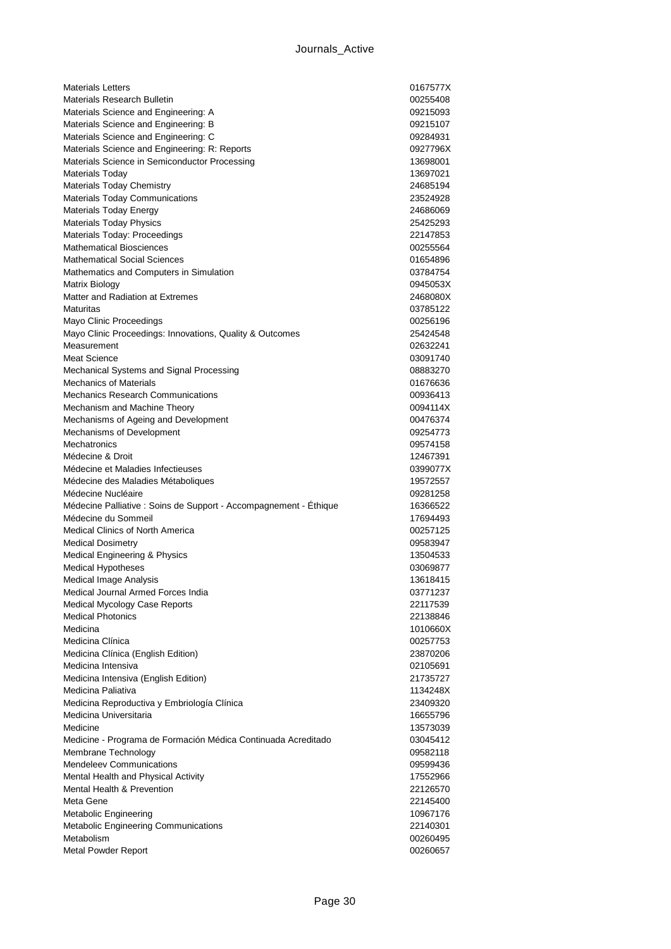| <b>Materials Letters</b>                                          | 0167577X |
|-------------------------------------------------------------------|----------|
| <b>Materials Research Bulletin</b>                                | 00255408 |
| Materials Science and Engineering: A                              | 09215093 |
| Materials Science and Engineering: B                              | 09215107 |
| Materials Science and Engineering: C                              | 09284931 |
| Materials Science and Engineering: R: Reports                     | 0927796X |
| Materials Science in Semiconductor Processing                     | 13698001 |
| <b>Materials Today</b>                                            | 13697021 |
| <b>Materials Today Chemistry</b>                                  | 24685194 |
| <b>Materials Today Communications</b>                             | 23524928 |
| Materials Today Energy                                            | 24686069 |
| <b>Materials Today Physics</b>                                    | 25425293 |
| Materials Today: Proceedings                                      | 22147853 |
| <b>Mathematical Biosciences</b>                                   | 00255564 |
| <b>Mathematical Social Sciences</b>                               | 01654896 |
| Mathematics and Computers in Simulation                           | 03784754 |
| Matrix Biology                                                    | 0945053X |
| Matter and Radiation at Extremes                                  | 2468080X |
| Maturitas                                                         | 03785122 |
| Mayo Clinic Proceedings                                           | 00256196 |
| Mayo Clinic Proceedings: Innovations, Quality & Outcomes          | 25424548 |
| Measurement                                                       | 02632241 |
| <b>Meat Science</b>                                               | 03091740 |
| Mechanical Systems and Signal Processing                          | 08883270 |
| <b>Mechanics of Materials</b>                                     | 01676636 |
| Mechanics Research Communications                                 | 00936413 |
| Mechanism and Machine Theory                                      | 0094114X |
| Mechanisms of Ageing and Development                              | 00476374 |
| Mechanisms of Development                                         | 09254773 |
| Mechatronics                                                      | 09574158 |
| Médecine & Droit                                                  | 12467391 |
| Médecine et Maladies Infectieuses                                 | 0399077X |
| Médecine des Maladies Métaboliques                                | 19572557 |
| Médecine Nucléaire                                                | 09281258 |
|                                                                   |          |
| Médecine Palliative : Soins de Support - Accompagnement - Éthique | 16366522 |
| Médecine du Sommeil                                               | 17694493 |
| <b>Medical Clinics of North America</b>                           | 00257125 |
| <b>Medical Dosimetry</b>                                          | 09583947 |
| Medical Engineering & Physics                                     | 13504533 |
| <b>Medical Hypotheses</b>                                         | 03069877 |
| Medical Image Analysis                                            | 13618415 |
| Medical Journal Armed Forces India                                | 03771237 |
| Medical Mycology Case Reports                                     | 22117539 |
| <b>Medical Photonics</b>                                          | 22138846 |
| Medicina                                                          | 1010660X |
| Medicina Clínica                                                  | 00257753 |
| Medicina Clínica (English Edition)                                | 23870206 |
| Medicina Intensiva                                                | 02105691 |
| Medicina Intensiva (English Edition)                              | 21735727 |
| Medicina Paliativa                                                | 1134248X |
| Medicina Reproductiva y Embriología Clínica                       | 23409320 |
| Medicina Universitaria                                            | 16655796 |
| Medicine                                                          | 13573039 |
| Medicine - Programa de Formación Médica Continuada Acreditado     | 03045412 |
| Membrane Technology                                               | 09582118 |
| <b>Mendeleev Communications</b>                                   | 09599436 |
| Mental Health and Physical Activity                               | 17552966 |
| Mental Health & Prevention                                        | 22126570 |
| Meta Gene                                                         | 22145400 |
| Metabolic Engineering                                             | 10967176 |
| Metabolic Engineering Communications                              | 22140301 |
| Metabolism                                                        | 00260495 |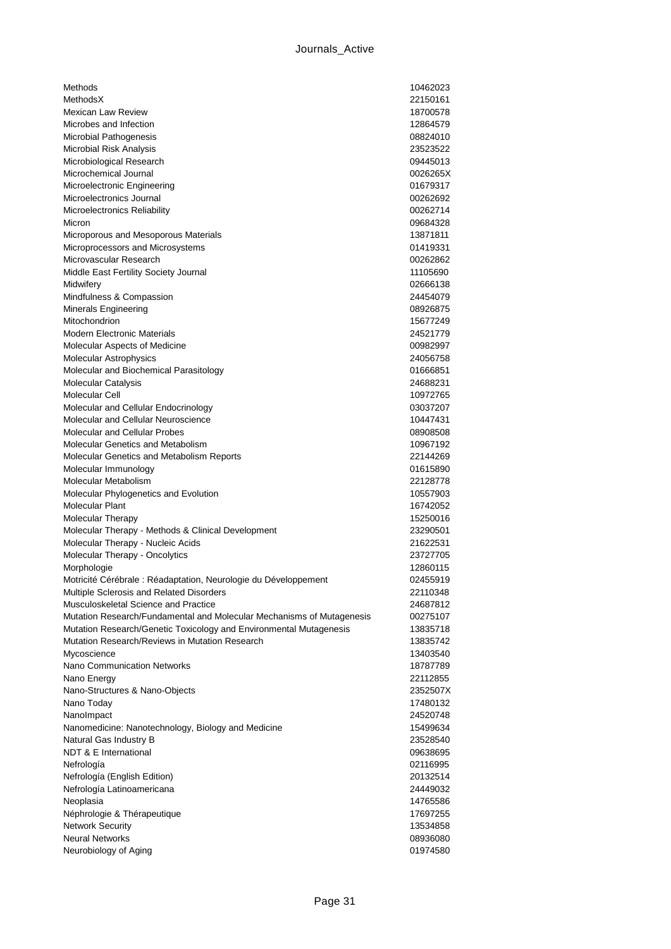| Methods                                                               | 10462023             |
|-----------------------------------------------------------------------|----------------------|
| MethodsX                                                              | 22150161             |
| <b>Mexican Law Review</b>                                             | 18700578             |
| Microbes and Infection                                                | 12864579             |
| Microbial Pathogenesis                                                | 08824010             |
| Microbial Risk Analysis                                               | 23523522             |
| Microbiological Research                                              | 09445013             |
| Microchemical Journal                                                 | 0026265X             |
| Microelectronic Engineering                                           | 01679317             |
| Microelectronics Journal                                              | 00262692             |
| Microelectronics Reliability                                          | 00262714             |
| Micron                                                                | 09684328             |
| Microporous and Mesoporous Materials                                  | 13871811             |
| Microprocessors and Microsystems                                      | 01419331             |
| Microvascular Research                                                | 00262862             |
| Middle East Fertility Society Journal                                 | 11105690             |
| Midwifery                                                             | 02666138             |
| Mindfulness & Compassion                                              | 24454079             |
| Minerals Engineering                                                  | 08926875             |
| Mitochondrion                                                         | 15677249             |
| <b>Modern Electronic Materials</b>                                    | 24521779             |
| Molecular Aspects of Medicine                                         | 00982997             |
| <b>Molecular Astrophysics</b>                                         | 24056758             |
| Molecular and Biochemical Parasitology                                | 01666851             |
| Molecular Catalysis                                                   | 24688231             |
| Molecular Cell                                                        | 10972765             |
| Molecular and Cellular Endocrinology                                  | 03037207             |
| Molecular and Cellular Neuroscience                                   | 10447431             |
| <b>Molecular and Cellular Probes</b>                                  | 08908508             |
| <b>Molecular Genetics and Metabolism</b>                              | 10967192             |
| Molecular Genetics and Metabolism Reports                             | 22144269             |
| Molecular Immunology<br>Molecular Metabolism                          | 01615890             |
|                                                                       | 22128778             |
| Molecular Phylogenetics and Evolution                                 | 10557903             |
| Molecular Plant<br>Molecular Therapy                                  | 16742052<br>15250016 |
| Molecular Therapy - Methods & Clinical Development                    | 23290501             |
| Molecular Therapy - Nucleic Acids                                     | 21622531             |
| Molecular Therapy - Oncolytics                                        | 23727705             |
| Morphologie                                                           | 12860115             |
| Motricité Cérébrale : Réadaptation, Neurologie du Développement       | 02455919             |
| Multiple Sclerosis and Related Disorders                              | 22110348             |
| Musculoskeletal Science and Practice                                  | 24687812             |
| Mutation Research/Fundamental and Molecular Mechanisms of Mutagenesis | 00275107             |
| Mutation Research/Genetic Toxicology and Environmental Mutagenesis    | 13835718             |
| Mutation Research/Reviews in Mutation Research                        | 13835742             |
| Mycoscience                                                           | 13403540             |
| <b>Nano Communication Networks</b>                                    | 18787789             |
| Nano Energy                                                           | 22112855             |
| Nano-Structures & Nano-Objects                                        | 2352507X             |
| Nano Today                                                            | 17480132             |
| NanoImpact                                                            | 24520748             |
| Nanomedicine: Nanotechnology, Biology and Medicine                    | 15499634             |
| Natural Gas Industry B                                                | 23528540             |
| NDT & E International                                                 | 09638695             |
| Nefrología                                                            | 02116995             |
| Nefrología (English Edition)                                          | 20132514             |
| Nefrología Latinoamericana                                            | 24449032             |
| Neoplasia                                                             | 14765586             |
| Néphrologie & Thérapeutique                                           | 17697255             |
| <b>Network Security</b>                                               | 13534858             |
| <b>Neural Networks</b>                                                | 08936080             |
| Neurobiology of Aging                                                 | 01974580             |
|                                                                       |                      |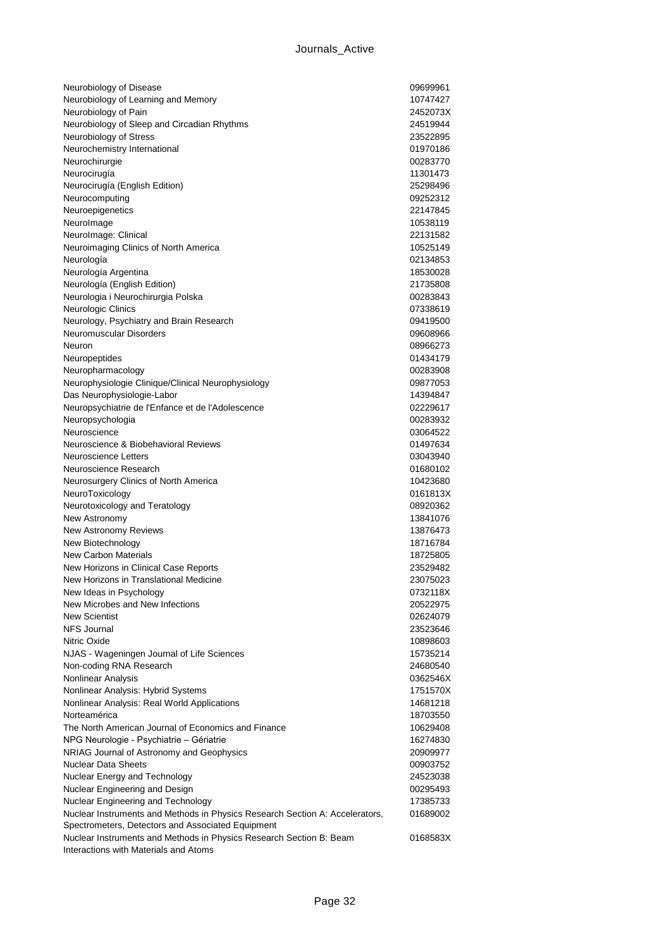| Neurobiology of Disease                                                      | 09699961 |
|------------------------------------------------------------------------------|----------|
| Neurobiology of Learning and Memory                                          | 10747427 |
| Neurobiology of Pain                                                         | 2452073X |
| Neurobiology of Sleep and Circadian Rhythms                                  | 24519944 |
| Neurobiology of Stress                                                       | 23522895 |
| Neurochemistry International                                                 | 01970186 |
| Neurochirurgie                                                               | 00283770 |
| Neurocirugía                                                                 | 11301473 |
| Neurocirugía (English Edition)                                               | 25298496 |
| Neurocomputing                                                               | 09252312 |
| Neuroepigenetics                                                             | 22147845 |
| Neurolmage                                                                   | 10538119 |
| NeuroImage: Clinical                                                         | 22131582 |
| Neuroimaging Clinics of North America                                        | 10525149 |
| Neurología                                                                   | 02134853 |
| Neurología Argentina                                                         | 18530028 |
| Neurología (English Edition)                                                 | 21735808 |
| Neurologia i Neurochirurgia Polska                                           | 00283843 |
| Neurologic Clinics                                                           | 07338619 |
| Neurology, Psychiatry and Brain Research                                     | 09419500 |
| Neuromuscular Disorders                                                      | 09608966 |
| Neuron                                                                       | 08966273 |
| Neuropeptides                                                                | 01434179 |
| Neuropharmacology                                                            | 00283908 |
| Neurophysiologie Clinique/Clinical Neurophysiology                           | 09877053 |
| Das Neurophysiologie-Labor                                                   | 14394847 |
| Neuropsychiatrie de l'Enfance et de l'Adolescence                            | 02229617 |
| Neuropsychologia                                                             | 00283932 |
| Neuroscience                                                                 | 03064522 |
| Neuroscience & Biobehavioral Reviews                                         | 01497634 |
| <b>Neuroscience Letters</b>                                                  | 03043940 |
| Neuroscience Research                                                        | 01680102 |
| Neurosurgery Clinics of North America                                        | 10423680 |
| NeuroToxicology                                                              | 0161813X |
| Neurotoxicology and Teratology                                               | 08920362 |
| New Astronomy                                                                | 13841076 |
| <b>New Astronomy Reviews</b>                                                 | 13876473 |
| New Biotechnology                                                            | 18716784 |
| <b>New Carbon Materials</b>                                                  | 18725805 |
| New Horizons in Clinical Case Reports                                        | 23529482 |
| New Horizons in Translational Medicine                                       | 23075023 |
| New Ideas in Psychology                                                      | 0732118X |
| New Microbes and New Infections                                              | 20522975 |
| <b>New Scientist</b>                                                         | 02624079 |
| <b>NFS Journal</b>                                                           | 23523646 |
| Nitric Oxide                                                                 | 10898603 |
| NJAS - Wageningen Journal of Life Sciences                                   | 15735214 |
| Non-coding RNA Research                                                      | 24680540 |
| Nonlinear Analysis                                                           | 0362546X |
| Nonlinear Analysis: Hybrid Systems                                           | 1751570X |
| Nonlinear Analysis: Real World Applications                                  | 14681218 |
| Norteamérica                                                                 | 18703550 |
| The North American Journal of Economics and Finance                          | 10629408 |
| NPG Neurologie - Psychiatrie - Gériatrie                                     | 16274830 |
| NRIAG Journal of Astronomy and Geophysics                                    | 20909977 |
| <b>Nuclear Data Sheets</b>                                                   | 00903752 |
| Nuclear Energy and Technology                                                | 24523038 |
| Nuclear Engineering and Design                                               | 00295493 |
| Nuclear Engineering and Technology                                           | 17385733 |
| Nuclear Instruments and Methods in Physics Research Section A: Accelerators, | 01689002 |
| Spectrometers, Detectors and Associated Equipment                            |          |
| Nuclear Instruments and Methods in Physics Research Section B: Beam          | 0168583X |
| Interactions with Materials and Atoms                                        |          |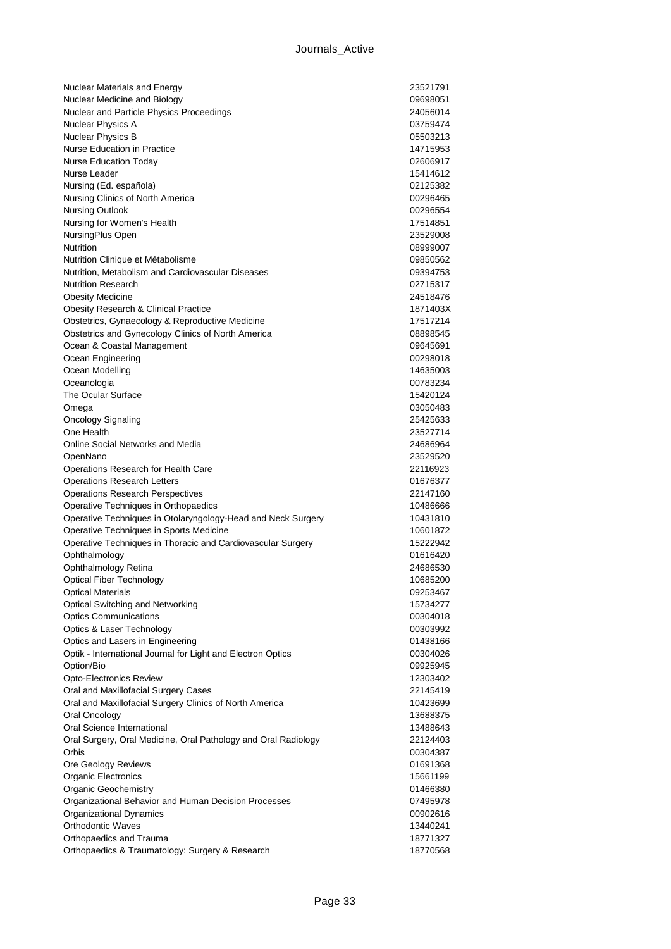| Nuclear Materials and Energy                                                    | 23521791             |
|---------------------------------------------------------------------------------|----------------------|
| Nuclear Medicine and Biology                                                    | 09698051             |
| Nuclear and Particle Physics Proceedings                                        | 24056014             |
| Nuclear Physics A                                                               | 03759474             |
| Nuclear Physics B                                                               | 05503213             |
| Nurse Education in Practice                                                     | 14715953             |
| <b>Nurse Education Today</b>                                                    | 02606917             |
| Nurse Leader                                                                    | 15414612             |
| Nursing (Ed. española)                                                          | 02125382             |
| Nursing Clinics of North America                                                | 00296465             |
| <b>Nursing Outlook</b>                                                          | 00296554             |
| Nursing for Women's Health                                                      | 17514851             |
| NursingPlus Open                                                                | 23529008             |
| Nutrition                                                                       | 08999007             |
| Nutrition Clinique et Métabolisme                                               | 09850562             |
| Nutrition, Metabolism and Cardiovascular Diseases                               | 09394753             |
| <b>Nutrition Research</b>                                                       | 02715317             |
| <b>Obesity Medicine</b>                                                         | 24518476             |
| <b>Obesity Research &amp; Clinical Practice</b>                                 | 1871403X             |
| Obstetrics, Gynaecology & Reproductive Medicine                                 | 17517214             |
| Obstetrics and Gynecology Clinics of North America                              | 08898545             |
| Ocean & Coastal Management                                                      | 09645691             |
| Ocean Engineering                                                               | 00298018             |
| Ocean Modelling                                                                 | 14635003             |
| Oceanologia                                                                     | 00783234             |
| The Ocular Surface                                                              | 15420124             |
| Omega                                                                           | 03050483             |
| <b>Oncology Signaling</b>                                                       | 25425633             |
| One Health                                                                      | 23527714             |
| Online Social Networks and Media                                                | 24686964             |
| OpenNano                                                                        | 23529520             |
| Operations Research for Health Care                                             | 22116923             |
| <b>Operations Research Letters</b>                                              | 01676377<br>22147160 |
| <b>Operations Research Perspectives</b><br>Operative Techniques in Orthopaedics | 10486666             |
| Operative Techniques in Otolaryngology-Head and Neck Surgery                    | 10431810             |
| Operative Techniques in Sports Medicine                                         | 10601872             |
| Operative Techniques in Thoracic and Cardiovascular Surgery                     | 15222942             |
| Ophthalmology                                                                   | 01616420             |
| Ophthalmology Retina                                                            | 24686530             |
| <b>Optical Fiber Technology</b>                                                 | 10685200             |
| <b>Optical Materials</b>                                                        | 09253467             |
| Optical Switching and Networking                                                | 15734277             |
| <b>Optics Communications</b>                                                    | 00304018             |
| Optics & Laser Technology                                                       | 00303992             |
| Optics and Lasers in Engineering                                                | 01438166             |
| Optik - International Journal for Light and Electron Optics                     | 00304026             |
| Option/Bio                                                                      | 09925945             |
| <b>Opto-Electronics Review</b>                                                  | 12303402             |
| Oral and Maxillofacial Surgery Cases                                            | 22145419             |
| Oral and Maxillofacial Surgery Clinics of North America                         | 10423699             |
| Oral Oncology                                                                   | 13688375             |
| Oral Science International                                                      | 13488643             |
| Oral Surgery, Oral Medicine, Oral Pathology and Oral Radiology                  | 22124403             |
| Orbis                                                                           | 00304387             |
| Ore Geology Reviews                                                             | 01691368             |
| <b>Organic Electronics</b>                                                      | 15661199             |
| <b>Organic Geochemistry</b>                                                     | 01466380             |
| Organizational Behavior and Human Decision Processes                            | 07495978             |
| Organizational Dynamics                                                         | 00902616             |
| <b>Orthodontic Waves</b>                                                        | 13440241             |
| Orthopaedics and Trauma                                                         | 18771327             |
| Orthopaedics & Traumatology: Surgery & Research                                 | 18770568             |
|                                                                                 |                      |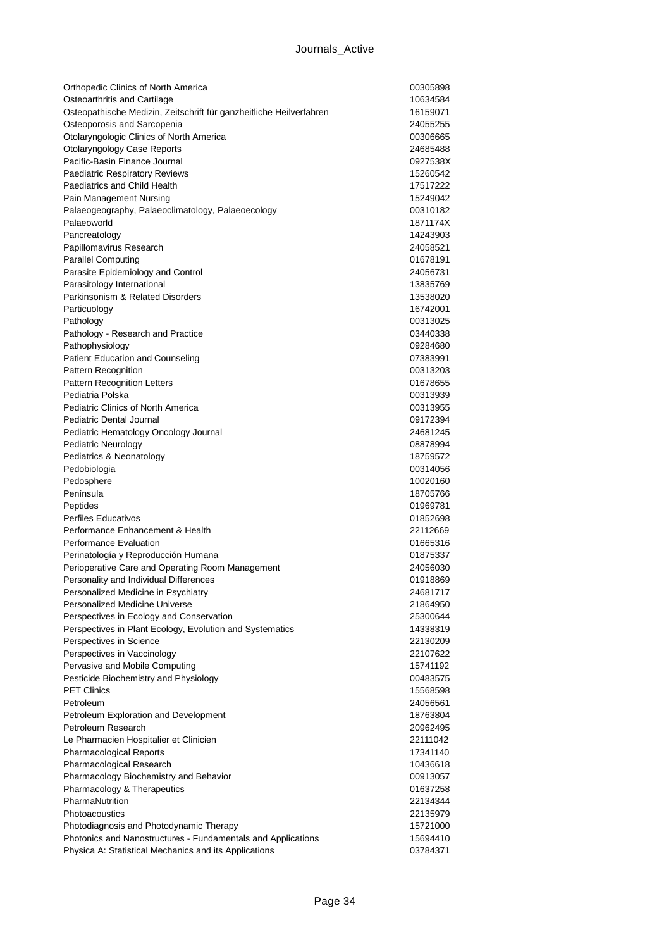| Orthopedic Clinics of North America                                 | 00305898 |
|---------------------------------------------------------------------|----------|
| Osteoarthritis and Cartilage                                        | 10634584 |
| Osteopathische Medizin, Zeitschrift für ganzheitliche Heilverfahren | 16159071 |
| Osteoporosis and Sarcopenia                                         | 24055255 |
| Otolaryngologic Clinics of North America                            | 00306665 |
| Otolaryngology Case Reports                                         | 24685488 |
| Pacific-Basin Finance Journal                                       | 0927538X |
| <b>Paediatric Respiratory Reviews</b>                               | 15260542 |
| Paediatrics and Child Health                                        | 17517222 |
| Pain Management Nursing                                             | 15249042 |
| Palaeogeography, Palaeoclimatology, Palaeoecology                   | 00310182 |
| Palaeoworld                                                         | 1871174X |
| Pancreatology                                                       | 14243903 |
| Papillomavirus Research                                             | 24058521 |
| <b>Parallel Computing</b>                                           | 01678191 |
| Parasite Epidemiology and Control                                   | 24056731 |
| Parasitology International                                          | 13835769 |
| Parkinsonism & Related Disorders                                    | 13538020 |
| Particuology                                                        | 16742001 |
| Pathology                                                           | 00313025 |
| Pathology - Research and Practice                                   | 03440338 |
| Pathophysiology                                                     | 09284680 |
| Patient Education and Counseling                                    | 07383991 |
| Pattern Recognition                                                 | 00313203 |
| <b>Pattern Recognition Letters</b>                                  | 01678655 |
| Pediatria Polska                                                    | 00313939 |
| Pediatric Clinics of North America                                  | 00313955 |
| <b>Pediatric Dental Journal</b>                                     | 09172394 |
| Pediatric Hematology Oncology Journal                               | 24681245 |
| Pediatric Neurology                                                 | 08878994 |
| Pediatrics & Neonatology                                            | 18759572 |
| Pedobiologia                                                        | 00314056 |
| Pedosphere                                                          | 10020160 |
| Península                                                           | 18705766 |
| Peptides                                                            | 01969781 |
| <b>Perfiles Educativos</b>                                          | 01852698 |
| Performance Enhancement & Health                                    | 22112669 |
| Performance Evaluation                                              | 01665316 |
| Perinatología y Reproducción Humana                                 | 01875337 |
| Perioperative Care and Operating Room Management                    | 24056030 |
| Personality and Individual Differences                              | 01918869 |
| Personalized Medicine in Psychiatry                                 | 24681717 |
| <b>Personalized Medicine Universe</b>                               | 21864950 |
| Perspectives in Ecology and Conservation                            | 25300644 |
| Perspectives in Plant Ecology, Evolution and Systematics            | 14338319 |
| Perspectives in Science                                             | 22130209 |
| Perspectives in Vaccinology                                         | 22107622 |
| Pervasive and Mobile Computing                                      | 15741192 |
| Pesticide Biochemistry and Physiology                               | 00483575 |
| <b>PET Clinics</b>                                                  | 15568598 |
| Petroleum                                                           | 24056561 |
| Petroleum Exploration and Development                               | 18763804 |
| Petroleum Research                                                  | 20962495 |
| Le Pharmacien Hospitalier et Clinicien                              | 22111042 |
| <b>Pharmacological Reports</b>                                      | 17341140 |
| Pharmacological Research                                            | 10436618 |
| Pharmacology Biochemistry and Behavior                              | 00913057 |
| Pharmacology & Therapeutics                                         | 01637258 |
| PharmaNutrition                                                     | 22134344 |
| Photoacoustics                                                      | 22135979 |
| Photodiagnosis and Photodynamic Therapy                             | 15721000 |
| Photonics and Nanostructures - Fundamentals and Applications        | 15694410 |
| Physica A: Statistical Mechanics and its Applications               | 03784371 |
|                                                                     |          |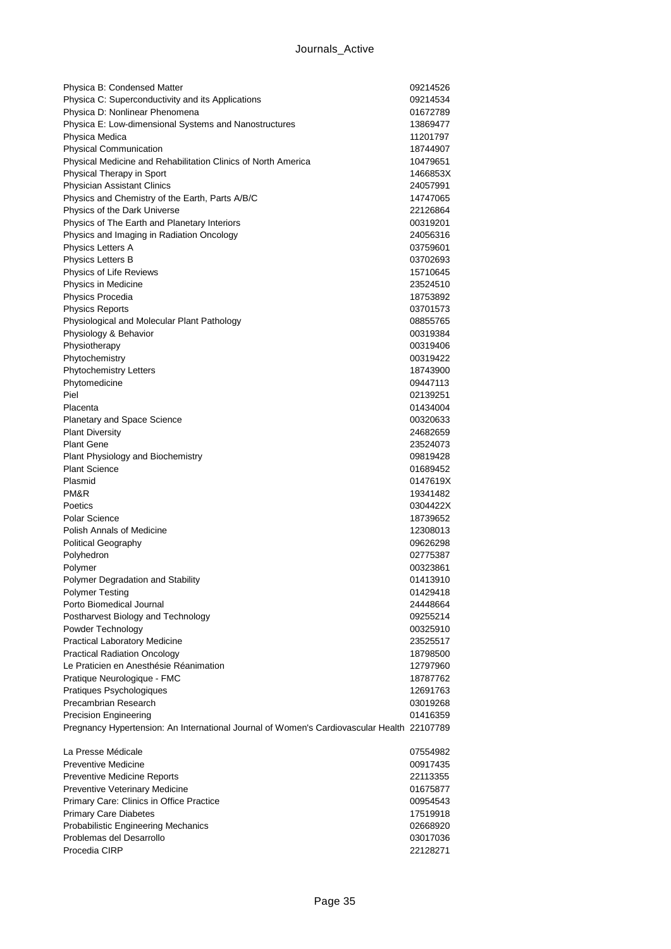| Physica B: Condensed Matter                                                                | 09214526             |
|--------------------------------------------------------------------------------------------|----------------------|
| Physica C: Superconductivity and its Applications                                          | 09214534             |
| Physica D: Nonlinear Phenomena                                                             | 01672789             |
| Physica E: Low-dimensional Systems and Nanostructures                                      | 13869477             |
| Physica Medica                                                                             | 11201797             |
| <b>Physical Communication</b>                                                              | 18744907             |
| Physical Medicine and Rehabilitation Clinics of North America                              | 10479651             |
| Physical Therapy in Sport                                                                  | 1466853X             |
| <b>Physician Assistant Clinics</b>                                                         | 24057991             |
| Physics and Chemistry of the Earth, Parts A/B/C                                            | 14747065             |
| Physics of the Dark Universe                                                               | 22126864             |
| Physics of The Earth and Planetary Interiors                                               | 00319201             |
| Physics and Imaging in Radiation Oncology                                                  | 24056316             |
| Physics Letters A                                                                          | 03759601             |
| Physics Letters B                                                                          | 03702693             |
| Physics of Life Reviews                                                                    | 15710645             |
| Physics in Medicine                                                                        | 23524510             |
| Physics Procedia                                                                           | 18753892             |
| <b>Physics Reports</b>                                                                     | 03701573             |
| Physiological and Molecular Plant Pathology                                                | 08855765             |
| Physiology & Behavior<br>Physiotherapy                                                     | 00319384             |
| Phytochemistry                                                                             | 00319406<br>00319422 |
| <b>Phytochemistry Letters</b>                                                              | 18743900             |
| Phytomedicine                                                                              | 09447113             |
| Piel                                                                                       | 02139251             |
| Placenta                                                                                   | 01434004             |
| <b>Planetary and Space Science</b>                                                         | 00320633             |
| <b>Plant Diversity</b>                                                                     | 24682659             |
| <b>Plant Gene</b>                                                                          | 23524073             |
| Plant Physiology and Biochemistry                                                          | 09819428             |
| <b>Plant Science</b>                                                                       | 01689452             |
| Plasmid                                                                                    | 0147619X             |
| PM&R                                                                                       | 19341482             |
| Poetics                                                                                    | 0304422X             |
| Polar Science                                                                              | 18739652             |
| Polish Annals of Medicine                                                                  | 12308013             |
| <b>Political Geography</b>                                                                 | 09626298             |
| Polyhedron                                                                                 | 02775387             |
| Polymer                                                                                    | 00323861             |
| Polymer Degradation and Stability                                                          | 01413910             |
| <b>Polymer Testing</b>                                                                     | 01429418             |
| Porto Biomedical Journal<br>Postharvest Biology and Technology                             | 24448664             |
| Powder Technology                                                                          | 09255214<br>00325910 |
| Practical Laboratory Medicine                                                              | 23525517             |
| <b>Practical Radiation Oncology</b>                                                        | 18798500             |
| Le Praticien en Anesthésie Réanimation                                                     | 12797960             |
| Pratique Neurologique - FMC                                                                | 18787762             |
| Pratiques Psychologiques                                                                   | 12691763             |
| Precambrian Research                                                                       | 03019268             |
| <b>Precision Engineering</b>                                                               | 01416359             |
| Pregnancy Hypertension: An International Journal of Women's Cardiovascular Health 22107789 |                      |
| La Presse Médicale                                                                         | 07554982             |
| <b>Preventive Medicine</b>                                                                 | 00917435             |
| Preventive Medicine Reports                                                                | 22113355             |
| Preventive Veterinary Medicine                                                             | 01675877             |
| Primary Care: Clinics in Office Practice                                                   | 00954543             |
| <b>Primary Care Diabetes</b>                                                               | 17519918             |
| Probabilistic Engineering Mechanics                                                        | 02668920             |
| Problemas del Desarrollo                                                                   | 03017036             |

Procedia CIRP 22128271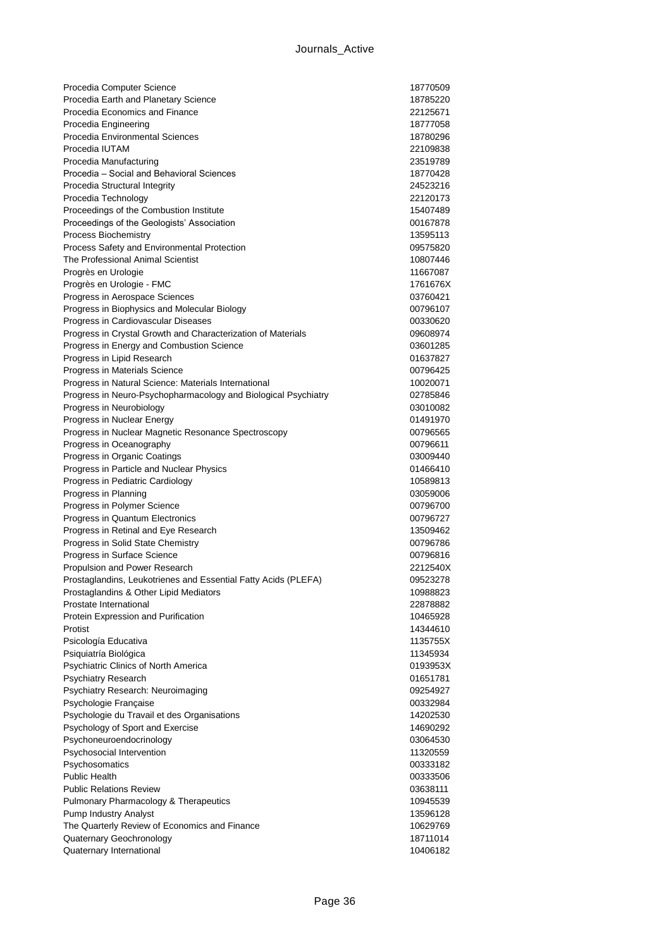| Procedia Computer Science                                                           | 18770509             |
|-------------------------------------------------------------------------------------|----------------------|
| Procedia Earth and Planetary Science                                                | 18785220             |
| Procedia Economics and Finance                                                      | 22125671             |
| Procedia Engineering                                                                | 18777058             |
| Procedia Environmental Sciences                                                     | 18780296             |
| Procedia IUTAM                                                                      | 22109838             |
| Procedia Manufacturing                                                              | 23519789             |
| Procedia - Social and Behavioral Sciences                                           | 18770428             |
| Procedia Structural Integrity                                                       | 24523216             |
| Procedia Technology                                                                 | 22120173             |
| Proceedings of the Combustion Institute                                             | 15407489             |
| Proceedings of the Geologists' Association                                          | 00167878             |
| Process Biochemistry                                                                | 13595113             |
| Process Safety and Environmental Protection                                         | 09575820             |
| The Professional Animal Scientist                                                   | 10807446             |
| Progrès en Urologie                                                                 | 11667087             |
| Progrès en Urologie - FMC                                                           | 1761676X             |
| Progress in Aerospace Sciences                                                      | 03760421             |
| Progress in Biophysics and Molecular Biology<br>Progress in Cardiovascular Diseases | 00796107             |
| Progress in Crystal Growth and Characterization of Materials                        | 00330620<br>09608974 |
| Progress in Energy and Combustion Science                                           | 03601285             |
| Progress in Lipid Research                                                          | 01637827             |
| Progress in Materials Science                                                       | 00796425             |
| Progress in Natural Science: Materials International                                | 10020071             |
| Progress in Neuro-Psychopharmacology and Biological Psychiatry                      | 02785846             |
| Progress in Neurobiology                                                            | 03010082             |
| Progress in Nuclear Energy                                                          | 01491970             |
| Progress in Nuclear Magnetic Resonance Spectroscopy                                 | 00796565             |
| Progress in Oceanography                                                            | 00796611             |
| Progress in Organic Coatings                                                        | 03009440             |
| Progress in Particle and Nuclear Physics                                            | 01466410             |
| Progress in Pediatric Cardiology                                                    | 10589813             |
| Progress in Planning                                                                | 03059006             |
| Progress in Polymer Science                                                         | 00796700             |
| Progress in Quantum Electronics                                                     | 00796727             |
| Progress in Retinal and Eye Research                                                | 13509462             |
| Progress in Solid State Chemistry                                                   | 00796786             |
| Progress in Surface Science                                                         | 00796816             |
| Propulsion and Power Research                                                       | 2212540X             |
| Prostaglandins, Leukotrienes and Essential Fatty Acids (PLEFA)                      | 09523278             |
| Prostaglandins & Other Lipid Mediators                                              | 10988823             |
| Prostate International                                                              | 22878882             |
| Protein Expression and Purification                                                 | 10465928             |
| Protist                                                                             | 14344610             |
| Psicología Educativa                                                                | 1135755X             |
| Psiquiatría Biológica                                                               | 11345934             |
| Psychiatric Clinics of North America                                                | 0193953X             |
| Psychiatry Research                                                                 | 01651781             |
| Psychiatry Research: Neuroimaging                                                   | 09254927             |
| Psychologie Française                                                               | 00332984             |
| Psychologie du Travail et des Organisations                                         | 14202530             |
| Psychology of Sport and Exercise                                                    | 14690292             |
| Psychoneuroendocrinology                                                            | 03064530             |
| Psychosocial Intervention                                                           | 11320559             |
| Psychosomatics                                                                      | 00333182             |
| <b>Public Health</b>                                                                | 00333506             |
| <b>Public Relations Review</b>                                                      | 03638111             |
| Pulmonary Pharmacology & Therapeutics                                               | 10945539<br>13596128 |
| Pump Industry Analyst<br>The Quarterly Review of Economics and Finance              | 10629769             |
| Quaternary Geochronology                                                            | 18711014             |
| Quaternary International                                                            | 10406182             |
|                                                                                     |                      |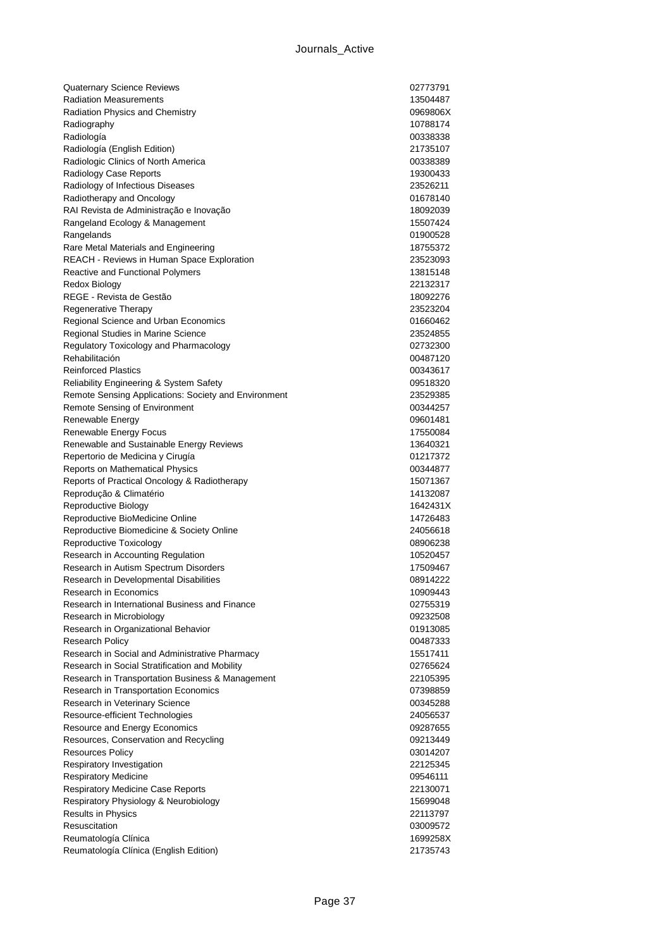| <b>Quaternary Science Reviews</b>                              | 02773791             |
|----------------------------------------------------------------|----------------------|
| <b>Radiation Measurements</b>                                  | 13504487             |
| Radiation Physics and Chemistry                                | 0969806X             |
| Radiography                                                    | 10788174             |
| Radiología                                                     | 00338338             |
| Radiología (English Edition)                                   | 21735107             |
| Radiologic Clinics of North America                            | 00338389             |
| Radiology Case Reports                                         | 19300433             |
| Radiology of Infectious Diseases                               | 23526211             |
| Radiotherapy and Oncology                                      | 01678140             |
| RAI Revista de Administração e Inovação                        | 18092039             |
| Rangeland Ecology & Management                                 | 15507424             |
| Rangelands                                                     | 01900528             |
| Rare Metal Materials and Engineering                           | 18755372             |
| <b>REACH - Reviews in Human Space Exploration</b>              | 23523093             |
| <b>Reactive and Functional Polymers</b>                        | 13815148             |
| Redox Biology                                                  | 22132317             |
| REGE - Revista de Gestão                                       | 18092276             |
| Regenerative Therapy                                           | 23523204             |
| Regional Science and Urban Economics                           | 01660462             |
| Regional Studies in Marine Science                             | 23524855             |
| Regulatory Toxicology and Pharmacology                         | 02732300             |
| Rehabilitación                                                 | 00487120             |
| <b>Reinforced Plastics</b>                                     | 00343617             |
| Reliability Engineering & System Safety                        | 09518320             |
| Remote Sensing Applications: Society and Environment           | 23529385             |
| Remote Sensing of Environment                                  | 00344257             |
| Renewable Energy                                               | 09601481             |
| Renewable Energy Focus                                         | 17550084             |
| Renewable and Sustainable Energy Reviews                       | 13640321             |
| Repertorio de Medicina y Cirugía                               | 01217372             |
| Reports on Mathematical Physics                                | 00344877             |
| Reports of Practical Oncology & Radiotherapy                   | 15071367             |
| Reprodução & Climatério                                        | 14132087             |
| Reproductive Biology                                           | 1642431X             |
| Reproductive BioMedicine Online                                | 14726483             |
| Reproductive Biomedicine & Society Online                      | 24056618             |
| Reproductive Toxicology                                        | 08906238             |
| Research in Accounting Regulation                              | 10520457             |
| Research in Autism Spectrum Disorders                          | 17509467             |
| Research in Developmental Disabilities                         | 08914222             |
| Research in Economics                                          | 10909443             |
| Research in International Business and Finance                 | 02755319             |
| Research in Microbiology                                       | 09232508             |
| Research in Organizational Behavior                            | 01913085             |
| <b>Research Policy</b>                                         | 00487333             |
| Research in Social and Administrative Pharmacy                 | 15517411             |
| Research in Social Stratification and Mobility                 | 02765624             |
| Research in Transportation Business & Management               | 22105395             |
| Research in Transportation Economics                           | 07398859             |
| Research in Veterinary Science                                 | 00345288             |
| Resource-efficient Technologies                                | 24056537             |
| Resource and Energy Economics                                  | 09287655             |
| Resources, Conservation and Recycling                          | 09213449             |
| <b>Resources Policy</b>                                        | 03014207             |
| Respiratory Investigation                                      | 22125345             |
| <b>Respiratory Medicine</b>                                    | 09546111             |
| <b>Respiratory Medicine Case Reports</b>                       | 22130071             |
| Respiratory Physiology & Neurobiology                          | 15699048             |
| <b>Results in Physics</b>                                      | 22113797             |
| Resuscitation                                                  | 03009572             |
|                                                                |                      |
| Reumatología Clínica<br>Reumatología Clínica (English Edition) | 1699258X<br>21735743 |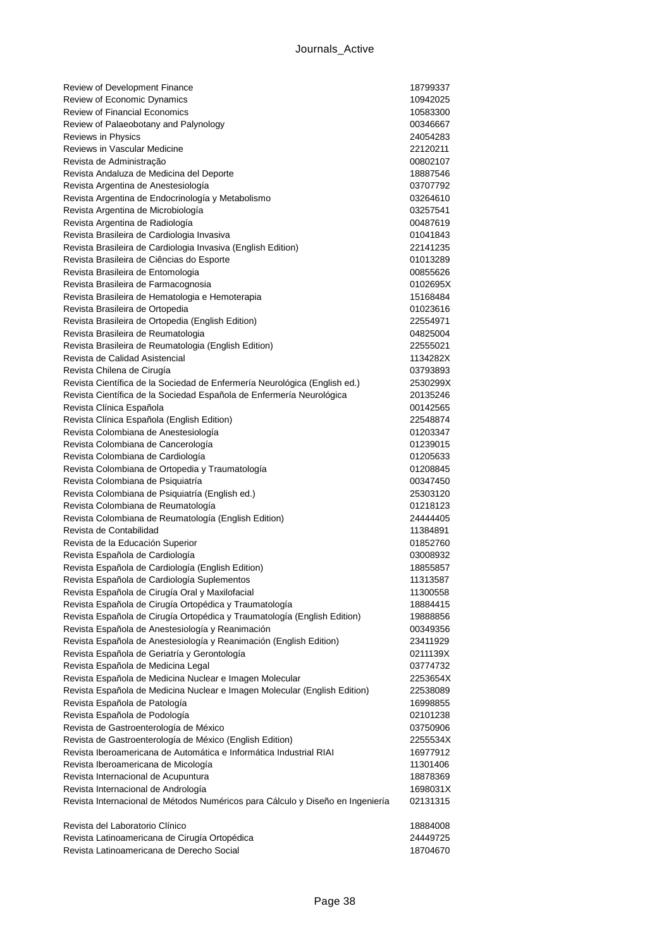| Review of Development Finance                                                                                      | 18799337             |
|--------------------------------------------------------------------------------------------------------------------|----------------------|
| Review of Economic Dynamics<br><b>Review of Financial Economics</b>                                                | 10942025             |
| Review of Palaeobotany and Palynology                                                                              | 10583300<br>00346667 |
| Reviews in Physics                                                                                                 | 24054283             |
| Reviews in Vascular Medicine                                                                                       | 22120211             |
| Revista de Administração                                                                                           | 00802107             |
| Revista Andaluza de Medicina del Deporte                                                                           | 18887546             |
| Revista Argentina de Anestesiología                                                                                | 03707792             |
| Revista Argentina de Endocrinología y Metabolismo                                                                  | 03264610             |
| Revista Argentina de Microbiología                                                                                 | 03257541             |
| Revista Argentina de Radiología                                                                                    | 00487619             |
| Revista Brasileira de Cardiologia Invasiva                                                                         | 01041843             |
| Revista Brasileira de Cardiologia Invasiva (English Edition)                                                       | 22141235             |
| Revista Brasileira de Ciências do Esporte                                                                          | 01013289             |
| Revista Brasileira de Entomologia                                                                                  | 00855626             |
| Revista Brasileira de Farmacognosia                                                                                | 0102695X             |
| Revista Brasileira de Hematologia e Hemoterapia                                                                    | 15168484             |
| Revista Brasileira de Ortopedia                                                                                    | 01023616             |
| Revista Brasileira de Ortopedia (English Edition)                                                                  | 22554971             |
| Revista Brasileira de Reumatologia                                                                                 | 04825004             |
| Revista Brasileira de Reumatologia (English Edition)                                                               | 22555021             |
| Revista de Calidad Asistencial                                                                                     | 1134282X             |
| Revista Chilena de Cirugía                                                                                         | 03793893             |
| Revista Científica de la Sociedad de Enfermería Neurológica (English ed.)                                          | 2530299X             |
| Revista Científica de la Sociedad Española de Enfermería Neurológica                                               | 20135246<br>00142565 |
| Revista Clínica Española<br>Revista Clínica Española (English Edition)                                             | 22548874             |
| Revista Colombiana de Anestesiología                                                                               | 01203347             |
| Revista Colombiana de Cancerología                                                                                 | 01239015             |
| Revista Colombiana de Cardiología                                                                                  | 01205633             |
| Revista Colombiana de Ortopedia y Traumatología                                                                    | 01208845             |
| Revista Colombiana de Psiquiatría                                                                                  | 00347450             |
| Revista Colombiana de Psiquiatría (English ed.)                                                                    | 25303120             |
| Revista Colombiana de Reumatología                                                                                 | 01218123             |
| Revista Colombiana de Reumatología (English Edition)                                                               | 24444405             |
| Revista de Contabilidad                                                                                            | 11384891             |
| Revista de la Educación Superior                                                                                   | 01852760             |
| Revista Española de Cardiología                                                                                    | 03008932             |
| Revista Española de Cardiología (English Edition)                                                                  | 18855857             |
| Revista Española de Cardiología Suplementos                                                                        | 11313587             |
| Revista Española de Cirugía Oral y Maxilofacial                                                                    | 11300558             |
| Revista Española de Cirugía Ortopédica y Traumatología                                                             | 18884415             |
| Revista Española de Cirugía Ortopédica y Traumatología (English Edition)                                           | 19888856             |
| Revista Española de Anestesiología y Reanimación                                                                   | 00349356             |
| Revista Española de Anestesiología y Reanimación (English Edition)<br>Revista Española de Geriatría y Gerontología | 23411929             |
| Revista Española de Medicina Legal                                                                                 | 0211139X<br>03774732 |
| Revista Española de Medicina Nuclear e Imagen Molecular                                                            | 2253654X             |
| Revista Española de Medicina Nuclear e Imagen Molecular (English Edition)                                          | 22538089             |
| Revista Española de Patología                                                                                      | 16998855             |
| Revista Española de Podología                                                                                      | 02101238             |
| Revista de Gastroenterología de México                                                                             | 03750906             |
| Revista de Gastroenterología de México (English Edition)                                                           | 2255534X             |
| Revista Iberoamericana de Automática e Informática Industrial RIAI                                                 | 16977912             |
| Revista Iberoamericana de Micología                                                                                | 11301406             |
| Revista Internacional de Acupuntura                                                                                | 18878369             |
| Revista Internacional de Andrología                                                                                | 1698031X             |
| Revista Internacional de Métodos Numéricos para Cálculo y Diseño en Ingeniería                                     | 02131315             |
| Revista del Laboratorio Clínico                                                                                    | 18884008             |
| Revista Latinoamericana de Cirugía Ortopédica                                                                      | 24449725             |
| Revista Latinoamericana de Derecho Social                                                                          | 18704670             |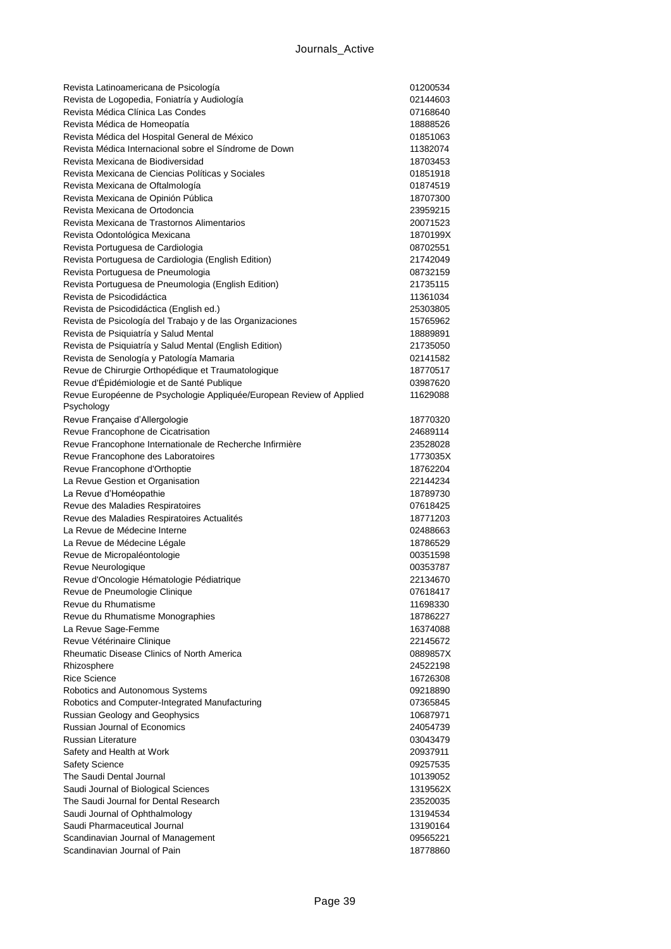| Revista Latinoamericana de Psicología                                | 01200534 |
|----------------------------------------------------------------------|----------|
| Revista de Logopedia, Foniatría y Audiología                         | 02144603 |
| Revista Médica Clínica Las Condes                                    | 07168640 |
| Revista Médica de Homeopatía                                         | 18888526 |
| Revista Médica del Hospital General de México                        | 01851063 |
| Revista Médica Internacional sobre el Síndrome de Down               | 11382074 |
| Revista Mexicana de Biodiversidad                                    | 18703453 |
| Revista Mexicana de Ciencias Políticas y Sociales                    | 01851918 |
| Revista Mexicana de Oftalmología                                     | 01874519 |
| Revista Mexicana de Opinión Pública                                  | 18707300 |
| Revista Mexicana de Ortodoncia                                       | 23959215 |
| Revista Mexicana de Trastornos Alimentarios                          | 20071523 |
| Revista Odontológica Mexicana                                        | 1870199X |
| Revista Portuguesa de Cardiologia                                    | 08702551 |
| Revista Portuguesa de Cardiologia (English Edition)                  | 21742049 |
| Revista Portuguesa de Pneumologia                                    | 08732159 |
| Revista Portuguesa de Pneumologia (English Edition)                  | 21735115 |
| Revista de Psicodidáctica                                            | 11361034 |
| Revista de Psicodidáctica (English ed.)                              | 25303805 |
| Revista de Psicología del Trabajo y de las Organizaciones            | 15765962 |
| Revista de Psiquiatría y Salud Mental                                | 18889891 |
| Revista de Psiquiatría y Salud Mental (English Edition)              | 21735050 |
| Revista de Senología y Patología Mamaria                             | 02141582 |
| Revue de Chirurgie Orthopédique et Traumatologique                   | 18770517 |
| Revue d'Épidémiologie et de Santé Publique                           | 03987620 |
| Revue Européenne de Psychologie Appliquée/European Review of Applied | 11629088 |
| Psychology                                                           |          |
| Revue Française d'Allergologie                                       | 18770320 |
| Revue Francophone de Cicatrisation                                   | 24689114 |
| Revue Francophone Internationale de Recherche Infirmière             | 23528028 |
| Revue Francophone des Laboratoires                                   | 1773035X |
| Revue Francophone d'Orthoptie                                        | 18762204 |
| La Revue Gestion et Organisation                                     | 22144234 |
| La Revue d'Homéopathie                                               | 18789730 |
| Revue des Maladies Respiratoires                                     | 07618425 |
| Revue des Maladies Respiratoires Actualités                          | 18771203 |
| La Revue de Médecine Interne                                         | 02488663 |
| La Revue de Médecine Légale                                          | 18786529 |
| Revue de Micropaléontologie                                          | 00351598 |
| Revue Neurologique                                                   | 00353787 |
| Revue d'Oncologie Hématologie Pédiatrique                            | 22134670 |
| Revue de Pneumologie Clinique                                        | 07618417 |
| Revue du Rhumatisme                                                  | 11698330 |
| Revue du Rhumatisme Monographies                                     | 18786227 |
| La Revue Sage-Femme                                                  | 16374088 |
| Revue Vétérinaire Clinique                                           | 22145672 |
| <b>Rheumatic Disease Clinics of North America</b>                    | 0889857X |
| Rhizosphere                                                          | 24522198 |
| <b>Rice Science</b>                                                  | 16726308 |
| Robotics and Autonomous Systems                                      | 09218890 |
| Robotics and Computer-Integrated Manufacturing                       | 07365845 |
| <b>Russian Geology and Geophysics</b>                                | 10687971 |
| Russian Journal of Economics                                         | 24054739 |
| <b>Russian Literature</b>                                            | 03043479 |
| Safety and Health at Work                                            | 20937911 |
| <b>Safety Science</b>                                                | 09257535 |
| The Saudi Dental Journal                                             | 10139052 |
| Saudi Journal of Biological Sciences                                 | 1319562X |
| The Saudi Journal for Dental Research                                | 23520035 |
| Saudi Journal of Ophthalmology                                       | 13194534 |
| Saudi Pharmaceutical Journal                                         | 13190164 |
| Scandinavian Journal of Management                                   | 09565221 |
| Scandinavian Journal of Pain                                         | 18778860 |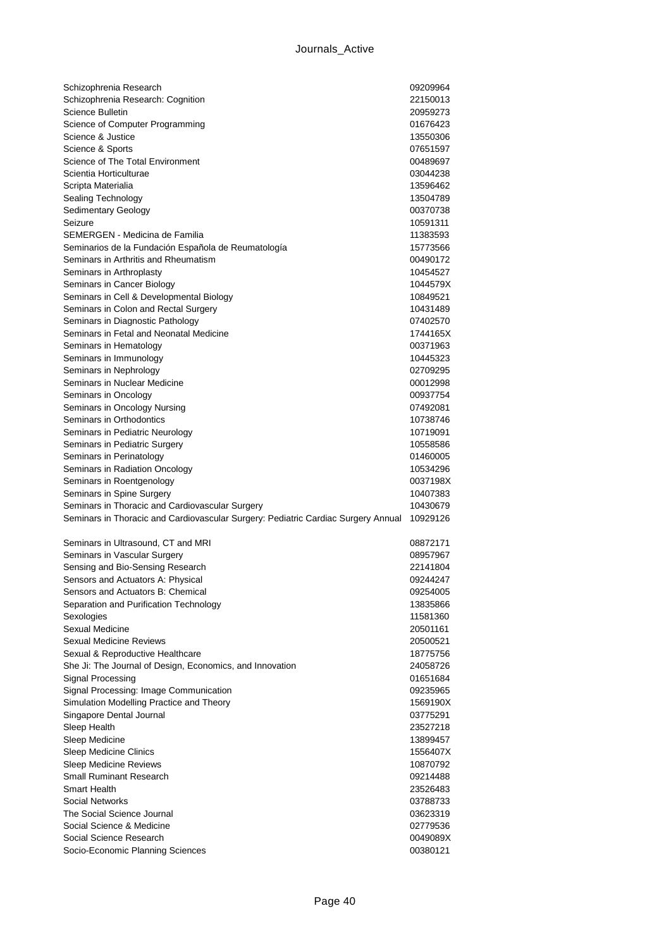| Schizophrenia Research                                                            | 09209964             |
|-----------------------------------------------------------------------------------|----------------------|
| Schizophrenia Research: Cognition                                                 | 22150013             |
| Science Bulletin                                                                  | 20959273             |
| Science of Computer Programming                                                   | 01676423             |
| Science & Justice                                                                 | 13550306             |
| Science & Sports                                                                  | 07651597             |
| Science of The Total Environment                                                  | 00489697             |
| Scientia Horticulturae                                                            | 03044238             |
| Scripta Materialia                                                                | 13596462             |
| Sealing Technology                                                                | 13504789<br>00370738 |
| <b>Sedimentary Geology</b><br>Seizure                                             | 10591311             |
| SEMERGEN - Medicina de Familia                                                    | 11383593             |
| Seminarios de la Fundación Española de Reumatología                               | 15773566             |
| Seminars in Arthritis and Rheumatism                                              | 00490172             |
| Seminars in Arthroplasty                                                          | 10454527             |
| Seminars in Cancer Biology                                                        | 1044579X             |
| Seminars in Cell & Developmental Biology                                          | 10849521             |
| Seminars in Colon and Rectal Surgery                                              | 10431489             |
| Seminars in Diagnostic Pathology                                                  | 07402570             |
| Seminars in Fetal and Neonatal Medicine                                           | 1744165X             |
| Seminars in Hematology                                                            | 00371963             |
| Seminars in Immunology                                                            | 10445323             |
| Seminars in Nephrology                                                            | 02709295             |
| Seminars in Nuclear Medicine                                                      | 00012998             |
| Seminars in Oncology                                                              | 00937754             |
| Seminars in Oncology Nursing                                                      | 07492081             |
| Seminars in Orthodontics                                                          | 10738746             |
| Seminars in Pediatric Neurology                                                   | 10719091             |
| Seminars in Pediatric Surgery                                                     | 10558586             |
| Seminars in Perinatology                                                          | 01460005             |
| Seminars in Radiation Oncology                                                    | 10534296             |
| Seminars in Roentgenology<br>Seminars in Spine Surgery                            | 0037198X<br>10407383 |
| Seminars in Thoracic and Cardiovascular Surgery                                   | 10430679             |
| Seminars in Thoracic and Cardiovascular Surgery: Pediatric Cardiac Surgery Annual | 10929126             |
|                                                                                   |                      |
| Seminars in Ultrasound, CT and MRI                                                | 08872171             |
| Seminars in Vascular Surgery                                                      | 08957967             |
| Sensing and Bio-Sensing Research                                                  | 22141804             |
| Sensors and Actuators A: Physical                                                 | 09244247             |
| Sensors and Actuators B: Chemical                                                 | 09254005             |
| Separation and Purification Technology                                            | 13835866             |
| Sexologies                                                                        | 11581360             |
| Sexual Medicine<br><b>Sexual Medicine Reviews</b>                                 | 20501161             |
| Sexual & Reproductive Healthcare                                                  |                      |
|                                                                                   | 20500521             |
|                                                                                   | 18775756             |
| She Ji: The Journal of Design, Economics, and Innovation                          | 24058726             |
| Signal Processing                                                                 | 01651684             |
| Signal Processing: Image Communication                                            | 09235965             |
| Simulation Modelling Practice and Theory                                          | 1569190X<br>03775291 |
| Singapore Dental Journal<br>Sleep Health                                          | 23527218             |
| Sleep Medicine                                                                    | 13899457             |
| Sleep Medicine Clinics                                                            | 1556407X             |
| <b>Sleep Medicine Reviews</b>                                                     | 10870792             |
| <b>Small Ruminant Research</b>                                                    | 09214488             |
| Smart Health                                                                      | 23526483             |
| Social Networks                                                                   | 03788733             |
| The Social Science Journal                                                        | 03623319             |
| Social Science & Medicine                                                         | 02779536             |
| Social Science Research<br>Socio-Economic Planning Sciences                       | 0049089X<br>00380121 |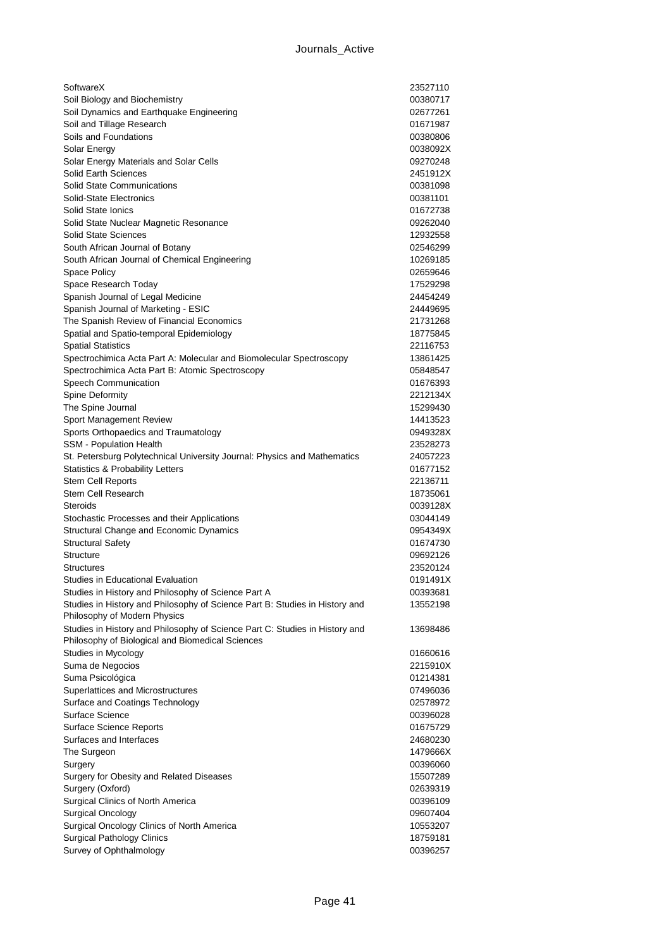| SoftwareX                                                                                                   | 23527110 |
|-------------------------------------------------------------------------------------------------------------|----------|
| Soil Biology and Biochemistry                                                                               | 00380717 |
| Soil Dynamics and Earthquake Engineering                                                                    | 02677261 |
| Soil and Tillage Research                                                                                   | 01671987 |
| Soils and Foundations                                                                                       | 00380806 |
| Solar Energy                                                                                                | 0038092X |
| Solar Energy Materials and Solar Cells                                                                      | 09270248 |
| Solid Earth Sciences                                                                                        | 2451912X |
| <b>Solid State Communications</b>                                                                           | 00381098 |
| Solid-State Electronics                                                                                     | 00381101 |
| Solid State Ionics                                                                                          | 01672738 |
| Solid State Nuclear Magnetic Resonance                                                                      | 09262040 |
| <b>Solid State Sciences</b>                                                                                 | 12932558 |
| South African Journal of Botany                                                                             | 02546299 |
| South African Journal of Chemical Engineering                                                               | 10269185 |
| Space Policy                                                                                                | 02659646 |
| Space Research Today                                                                                        | 17529298 |
| Spanish Journal of Legal Medicine                                                                           | 24454249 |
| Spanish Journal of Marketing - ESIC                                                                         | 24449695 |
| The Spanish Review of Financial Economics                                                                   | 21731268 |
| Spatial and Spatio-temporal Epidemiology                                                                    | 18775845 |
| <b>Spatial Statistics</b>                                                                                   | 22116753 |
| Spectrochimica Acta Part A: Molecular and Biomolecular Spectroscopy                                         | 13861425 |
| Spectrochimica Acta Part B: Atomic Spectroscopy                                                             | 05848547 |
| Speech Communication                                                                                        | 01676393 |
| <b>Spine Deformity</b>                                                                                      | 2212134X |
| The Spine Journal                                                                                           | 15299430 |
| Sport Management Review                                                                                     | 14413523 |
| Sports Orthopaedics and Traumatology                                                                        | 0949328X |
| <b>SSM</b> - Population Health                                                                              | 23528273 |
| St. Petersburg Polytechnical University Journal: Physics and Mathematics                                    | 24057223 |
| Statistics & Probability Letters                                                                            | 01677152 |
| <b>Stem Cell Reports</b>                                                                                    | 22136711 |
| Stem Cell Research                                                                                          | 18735061 |
| Steroids                                                                                                    | 0039128X |
| Stochastic Processes and their Applications                                                                 | 03044149 |
| Structural Change and Economic Dynamics                                                                     | 0954349X |
| <b>Structural Safety</b>                                                                                    | 01674730 |
| Structure                                                                                                   | 09692126 |
| Structures                                                                                                  | 23520124 |
| Studies in Educational Evaluation                                                                           | 0191491X |
| Studies in History and Philosophy of Science Part A                                                         | 00393681 |
| Studies in History and Philosophy of Science Part B: Studies in History and<br>Philosophy of Modern Physics | 13552198 |
| Studies in History and Philosophy of Science Part C: Studies in History and                                 | 13698486 |
| Philosophy of Biological and Biomedical Sciences                                                            |          |
| Studies in Mycology                                                                                         | 01660616 |
| Suma de Negocios                                                                                            | 2215910X |
| Suma Psicológica                                                                                            | 01214381 |
| Superlattices and Microstructures                                                                           | 07496036 |
| Surface and Coatings Technology                                                                             | 02578972 |
| Surface Science                                                                                             | 00396028 |
| <b>Surface Science Reports</b>                                                                              | 01675729 |
| Surfaces and Interfaces                                                                                     | 24680230 |
| The Surgeon                                                                                                 | 1479666X |
| Surgery                                                                                                     | 00396060 |
| Surgery for Obesity and Related Diseases                                                                    | 15507289 |
| Surgery (Oxford)                                                                                            | 02639319 |
| Surgical Clinics of North America                                                                           | 00396109 |
| <b>Surgical Oncology</b>                                                                                    | 09607404 |
| Surgical Oncology Clinics of North America                                                                  | 10553207 |
| <b>Surgical Pathology Clinics</b>                                                                           | 18759181 |
| Survey of Ophthalmology                                                                                     | 00396257 |
|                                                                                                             |          |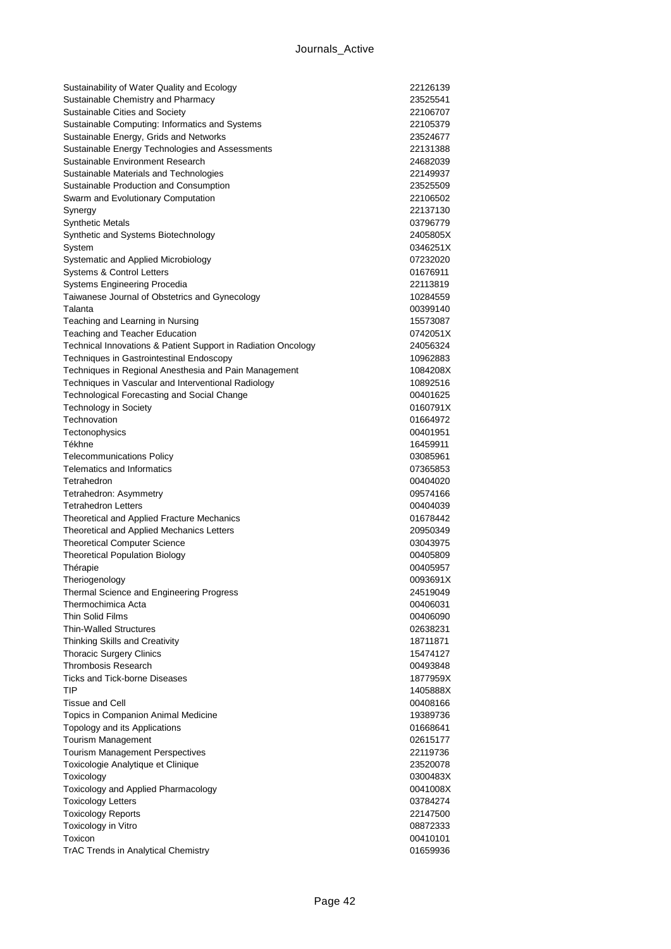| Sustainability of Water Quality and Ecology                                           | 22126139             |
|---------------------------------------------------------------------------------------|----------------------|
| Sustainable Chemistry and Pharmacy                                                    | 23525541             |
| Sustainable Cities and Society                                                        | 22106707             |
| Sustainable Computing: Informatics and Systems                                        | 22105379             |
| Sustainable Energy, Grids and Networks                                                | 23524677             |
| Sustainable Energy Technologies and Assessments                                       | 22131388             |
| Sustainable Environment Research                                                      | 24682039             |
| Sustainable Materials and Technologies                                                | 22149937             |
| Sustainable Production and Consumption                                                | 23525509             |
| Swarm and Evolutionary Computation                                                    | 22106502             |
| Synergy                                                                               | 22137130             |
| <b>Synthetic Metals</b>                                                               | 03796779             |
| Synthetic and Systems Biotechnology                                                   | 2405805X             |
| System                                                                                | 0346251X             |
| Systematic and Applied Microbiology                                                   | 07232020             |
| Systems & Control Letters                                                             | 01676911<br>22113819 |
| <b>Systems Engineering Procedia</b><br>Taiwanese Journal of Obstetrics and Gynecology | 10284559             |
| Talanta                                                                               | 00399140             |
| Teaching and Learning in Nursing                                                      | 15573087             |
| Teaching and Teacher Education                                                        | 0742051X             |
| Technical Innovations & Patient Support in Radiation Oncology                         | 24056324             |
| Techniques in Gastrointestinal Endoscopy                                              | 10962883             |
| Techniques in Regional Anesthesia and Pain Management                                 | 1084208X             |
| Techniques in Vascular and Interventional Radiology                                   | 10892516             |
| Technological Forecasting and Social Change                                           | 00401625             |
| <b>Technology in Society</b>                                                          | 0160791X             |
| Technovation                                                                          | 01664972             |
| Tectonophysics                                                                        | 00401951             |
| Tékhne                                                                                | 16459911             |
| <b>Telecommunications Policy</b>                                                      | 03085961             |
| <b>Telematics and Informatics</b>                                                     | 07365853             |
| Tetrahedron                                                                           | 00404020             |
| Tetrahedron: Asymmetry                                                                | 09574166             |
| <b>Tetrahedron Letters</b>                                                            | 00404039             |
| Theoretical and Applied Fracture Mechanics                                            | 01678442             |
| Theoretical and Applied Mechanics Letters                                             | 20950349             |
| <b>Theoretical Computer Science</b>                                                   | 03043975             |
| <b>Theoretical Population Biology</b>                                                 | 00405809             |
| Thérapie                                                                              | 00405957             |
| Theriogenology                                                                        | 0093691X             |
| Thermal Science and Engineering Progress<br>Thermochimica Acta                        | 24519049             |
| Thin Solid Films                                                                      | 00406031<br>00406090 |
| <b>Thin-Walled Structures</b>                                                         | 02638231             |
| Thinking Skills and Creativity                                                        | 18711871             |
| <b>Thoracic Surgery Clinics</b>                                                       | 15474127             |
| <b>Thrombosis Research</b>                                                            | 00493848             |
| Ticks and Tick-borne Diseases                                                         | 1877959X             |
| TIP                                                                                   | 1405888X             |
| <b>Tissue and Cell</b>                                                                | 00408166             |
| Topics in Companion Animal Medicine                                                   | 19389736             |
| Topology and its Applications                                                         | 01668641             |
| Tourism Management                                                                    | 02615177             |
| <b>Tourism Management Perspectives</b>                                                | 22119736             |
| Toxicologie Analytique et Clinique                                                    | 23520078             |
| Toxicology                                                                            | 0300483X             |
| Toxicology and Applied Pharmacology                                                   | 0041008X             |
| <b>Toxicology Letters</b>                                                             | 03784274             |
| <b>Toxicology Reports</b>                                                             | 22147500             |
| Toxicology in Vitro                                                                   | 08872333             |
| Toxicon                                                                               | 00410101             |
| TrAC Trends in Analytical Chemistry                                                   | 01659936             |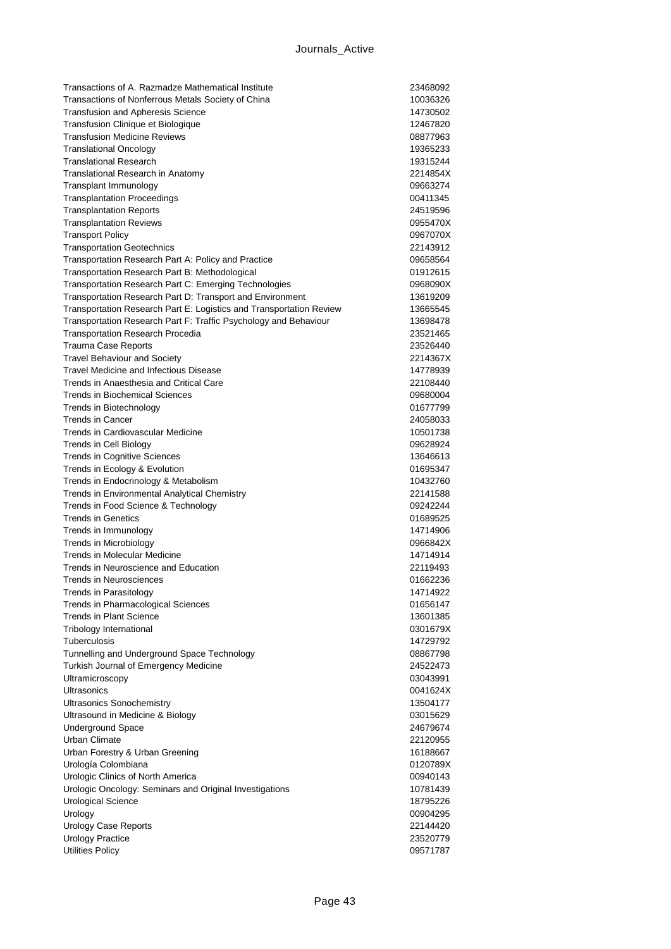| Transactions of A. Razmadze Mathematical Institute                            | 23468092             |
|-------------------------------------------------------------------------------|----------------------|
| Transactions of Nonferrous Metals Society of China                            | 10036326             |
| <b>Transfusion and Apheresis Science</b>                                      | 14730502             |
| Transfusion Clinique et Biologique                                            | 12467820             |
| <b>Transfusion Medicine Reviews</b>                                           | 08877963             |
| <b>Translational Oncology</b>                                                 | 19365233             |
| <b>Translational Research</b>                                                 | 19315244             |
| Translational Research in Anatomy                                             | 2214854X             |
| Transplant Immunology                                                         | 09663274             |
| <b>Transplantation Proceedings</b>                                            | 00411345             |
| <b>Transplantation Reports</b>                                                | 24519596             |
| <b>Transplantation Reviews</b>                                                | 0955470X             |
| <b>Transport Policy</b>                                                       | 0967070X             |
| <b>Transportation Geotechnics</b>                                             | 22143912             |
| Transportation Research Part A: Policy and Practice                           | 09658564             |
| Transportation Research Part B: Methodological                                | 01912615             |
| Transportation Research Part C: Emerging Technologies                         | 0968090X             |
| Transportation Research Part D: Transport and Environment                     | 13619209             |
| Transportation Research Part E: Logistics and Transportation Review           | 13665545             |
| Transportation Research Part F: Traffic Psychology and Behaviour              | 13698478             |
| <b>Transportation Research Procedia</b>                                       | 23521465             |
| <b>Trauma Case Reports</b>                                                    | 23526440             |
| <b>Travel Behaviour and Society</b><br>Travel Medicine and Infectious Disease | 2214367X             |
| Trends in Anaesthesia and Critical Care                                       | 14778939             |
| <b>Trends in Biochemical Sciences</b>                                         | 22108440             |
| Trends in Biotechnology                                                       | 09680004<br>01677799 |
| <b>Trends in Cancer</b>                                                       | 24058033             |
| Trends in Cardiovascular Medicine                                             | 10501738             |
| <b>Trends in Cell Biology</b>                                                 | 09628924             |
| <b>Trends in Cognitive Sciences</b>                                           | 13646613             |
| Trends in Ecology & Evolution                                                 | 01695347             |
| Trends in Endocrinology & Metabolism                                          | 10432760             |
| Trends in Environmental Analytical Chemistry                                  | 22141588             |
| Trends in Food Science & Technology                                           | 09242244             |
| <b>Trends in Genetics</b>                                                     | 01689525             |
| Trends in Immunology                                                          | 14714906             |
| <b>Trends in Microbiology</b>                                                 | 0966842X             |
| Trends in Molecular Medicine                                                  | 14714914             |
| Trends in Neuroscience and Education                                          | 22119493             |
| Trends in Neurosciences                                                       | 01662236             |
| Trends in Parasitology                                                        | 14714922             |
| <b>Trends in Pharmacological Sciences</b>                                     | 01656147             |
| <b>Trends in Plant Science</b>                                                | 13601385             |
| <b>Tribology International</b>                                                | 0301679X             |
| Tuberculosis                                                                  | 14729792             |
| Tunnelling and Underground Space Technology                                   | 08867798             |
| Turkish Journal of Emergency Medicine                                         | 24522473             |
| Ultramicroscopy                                                               | 03043991             |
| Ultrasonics                                                                   | 0041624X             |
| <b>Ultrasonics Sonochemistry</b>                                              | 13504177             |
| Ultrasound in Medicine & Biology                                              | 03015629             |
| Underground Space                                                             | 24679674             |
| Urban Climate                                                                 | 22120955             |
| Urban Forestry & Urban Greening                                               | 16188667             |
| Urología Colombiana                                                           | 0120789X             |
| Urologic Clinics of North America                                             | 00940143             |
| Urologic Oncology: Seminars and Original Investigations                       | 10781439             |
| <b>Urological Science</b>                                                     | 18795226             |
| Urology                                                                       | 00904295             |
| Urology Case Reports                                                          | 22144420             |
| <b>Urology Practice</b>                                                       | 23520779             |
| <b>Utilities Policy</b>                                                       | 09571787             |